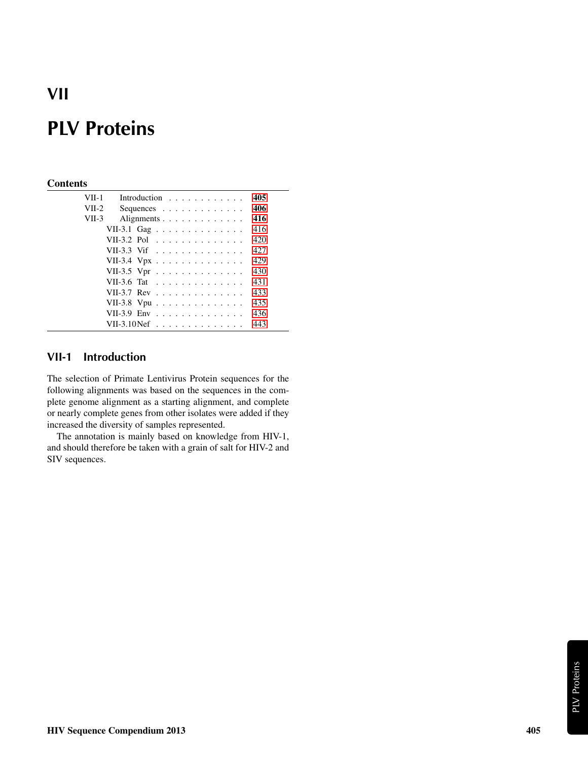## VII

# PLV Proteins

### **Contents**

| VII-1   |                                                          | Introduction |  |  |  |  |  |  |  | 405 |
|---------|----------------------------------------------------------|--------------|--|--|--|--|--|--|--|-----|
| $VII-2$ |                                                          | Sequences    |  |  |  |  |  |  |  | 406 |
| $VII-3$ |                                                          | Alignments   |  |  |  |  |  |  |  | 416 |
|         | VII-3.1 Gag                                              |              |  |  |  |  |  |  |  | 416 |
|         | VII-3.2 Pol                                              |              |  |  |  |  |  |  |  | 420 |
|         | VII-3.3 Vif                                              |              |  |  |  |  |  |  |  | 427 |
|         | VII-3.4 Vpx                                              |              |  |  |  |  |  |  |  | 429 |
|         | VII-3.5 Vpr                                              |              |  |  |  |  |  |  |  | 430 |
|         | VII-3.6 Tat $\ldots \ldots \ldots \ldots \ldots$         |              |  |  |  |  |  |  |  | 431 |
|         | VII-3.7 Rev $\ldots$ $\ldots$ $\ldots$ $\ldots$ $\ldots$ |              |  |  |  |  |  |  |  | 433 |
|         | VII-3.8 Vpu                                              |              |  |  |  |  |  |  |  | 435 |
|         | VII-3.9 Env                                              |              |  |  |  |  |  |  |  | 436 |
|         | VII-3.10 $N$ ef                                          |              |  |  |  |  |  |  |  | 443 |
|         |                                                          |              |  |  |  |  |  |  |  |     |

### <span id="page-0-0"></span>VII-1 Introduction

The selection of Primate Lentivirus Protein sequences for the following alignments was based on the sequences in the complete genome alignment as a starting alignment, and complete or nearly complete genes from other isolates were added if they increased the diversity of samples represented.

The annotation is mainly based on knowledge from HIV-1, and should therefore be taken with a grain of salt for HIV-2 and SIV sequences.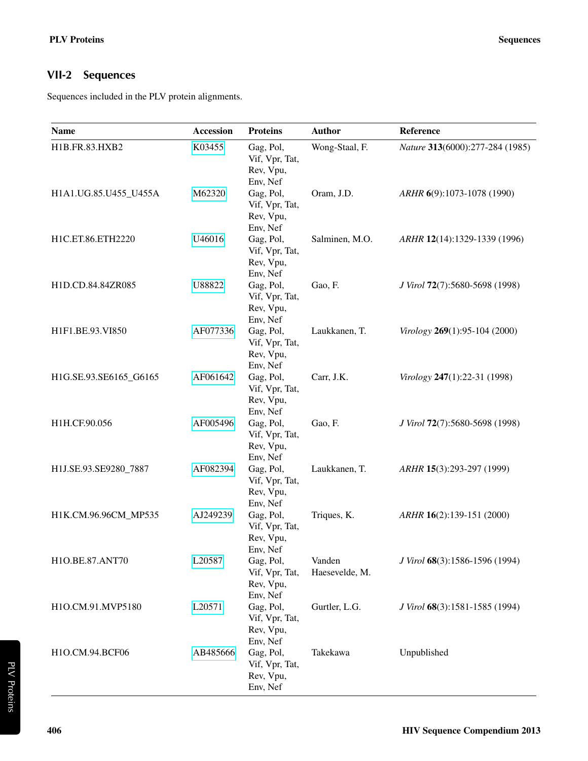### <span id="page-1-0"></span>VII-2 Sequences

Sequences included in the PLV protein alignments.

| Name                   | <b>Accession</b> | <b>Proteins</b>                                                  | <b>Author</b>            | Reference                       |
|------------------------|------------------|------------------------------------------------------------------|--------------------------|---------------------------------|
| H1B.FR.83.HXB2         | K03455           | Gag, Pol,<br>Vif, Vpr, Tat,<br>Rev, Vpu,                         | Wong-Staal, F.           | Nature 313(6000):277-284 (1985) |
| H1A1.UG.85.U455_U455A  | M62320           | Env, Nef<br>Gag, Pol,<br>Vif, Vpr, Tat,<br>Rev, Vpu,             | Oram, J.D.               | ARHR 6(9):1073-1078 (1990)      |
| H1C.ET.86.ETH2220      | U46016           | Env, Nef<br>Gag, Pol,<br>Vif, Vpr, Tat,<br>Rev, Vpu,             | Salminen, M.O.           | ARHR 12(14):1329-1339 (1996)    |
| H1D.CD.84.84ZR085      | U88822           | Env, Nef<br>Gag, Pol,<br>Vif, Vpr, Tat,<br>Rev, Vpu,             | Gao, F.                  | J Virol 72(7):5680-5698 (1998)  |
| H1F1.BE.93.VI850       | AF077336         | Env, Nef<br>Gag, Pol,<br>Vif, Vpr, Tat,<br>Rev, Vpu,             | Laukkanen, T.            | Virology 269(1):95-104 (2000)   |
| H1G.SE.93.SE6165_G6165 | AF061642         | Env, Nef<br>Gag, Pol,<br>Vif, Vpr, Tat,<br>Rev, Vpu,             | Carr, J.K.               | Virology 247(1):22-31 (1998)    |
| H1H.CF.90.056          | AF005496         | Env, Nef<br>Gag, Pol,<br>Vif, Vpr, Tat,<br>Rev, Vpu,             | Gao, F.                  | J Virol 72(7):5680-5698 (1998)  |
| H1J.SE.93.SE9280_7887  | AF082394         | Env, Nef<br>Gag, Pol,<br>Vif, Vpr, Tat,<br>Rev, Vpu,             | Laukkanen, T.            | ARHR 15(3):293-297 (1999)       |
| H1K.CM.96.96CM_MP535   | AJ249239         | Env, Nef<br>Gag, Pol,<br>Vif, Vpr, Tat,<br>Rev, Vpu,             | Triques, K.              | ARHR 16(2):139-151 (2000)       |
| H1O.BE.87.ANT70        | L20587           | Env, Nef<br>Gag, Pol,<br>Vif, Vpr, Tat,<br>Rev, Vpu,             | Vanden<br>Haesevelde, M. | J Virol 68(3):1586-1596 (1994)  |
| H1O.CM.91.MVP5180      | L20571           | Env, Nef<br>Gag, Pol,<br>Vif, Vpr, Tat,<br>Rev, Vpu,             | Gurtler, L.G.            | J Virol 68(3):1581-1585 (1994)  |
| H1O.CM.94.BCF06        | AB485666         | Env, Nef<br>Gag, Pol,<br>Vif, Vpr, Tat,<br>Rev, Vpu,<br>Env, Nef | Takekawa                 | Unpublished                     |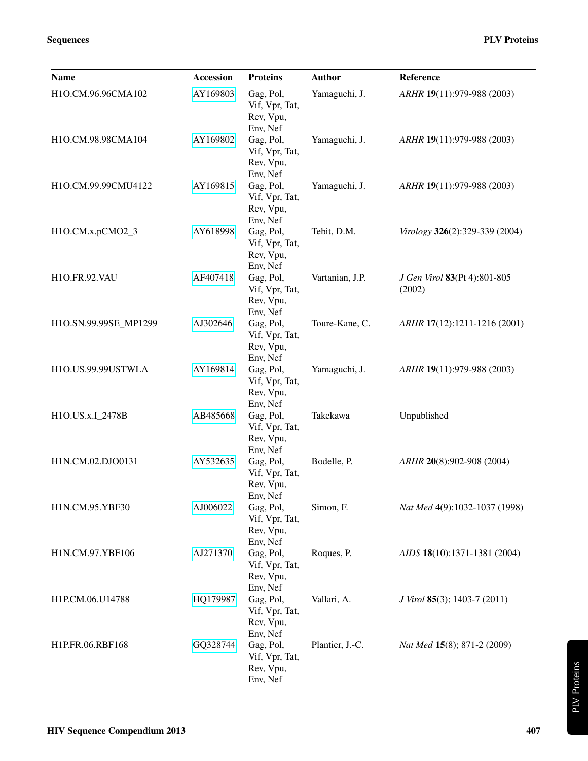| <b>Name</b>           | <b>Accession</b> | <b>Proteins</b>                                                  | <b>Author</b>   | Reference                                   |
|-----------------------|------------------|------------------------------------------------------------------|-----------------|---------------------------------------------|
| H1O.CM.96.96CMA102    | AY169803         | Gag, Pol,<br>Vif, Vpr, Tat,<br>Rev, Vpu,                         | Yamaguchi, J.   | ARHR 19(11):979-988 (2003)                  |
| H1O.CM.98.98CMA104    | AY169802         | Env, Nef<br>Gag, Pol,<br>Vif, Vpr, Tat,<br>Rev, Vpu,             | Yamaguchi, J.   | ARHR 19(11):979-988 (2003)                  |
| H1O.CM.99.99CMU4122   | AY169815         | Env, Nef<br>Gag, Pol,<br>Vif, Vpr, Tat,<br>Rev, Vpu,             | Yamaguchi, J.   | ARHR 19(11):979-988 (2003)                  |
| H1O.CM.x.pCMO2_3      | AY618998         | Env, Nef<br>Gag, Pol,<br>Vif, Vpr, Tat,<br>Rev, Vpu,             | Tebit, D.M.     | Virology 326(2):329-339 (2004)              |
| H1O.FR.92.VAU         | AF407418         | Env, Nef<br>Gag, Pol,<br>Vif, Vpr, Tat,<br>Rev, Vpu,             | Vartanian, J.P. | J Gen Virol 83(Pt 4):801-805<br>(2002)      |
| H1O.SN.99.99SE_MP1299 | AJ302646         | Env, Nef<br>Gag, Pol,<br>Vif, Vpr, Tat,<br>Rev, Vpu,             | Toure-Kane, C.  | ARHR 17(12):1211-1216 (2001)                |
| H1O.US.99.99USTWLA    | AY169814         | Env, Nef<br>Gag, Pol,<br>Vif, Vpr, Tat,<br>Rev, Vpu,             | Yamaguchi, J.   | ARHR 19(11):979-988 (2003)                  |
| H1O.US.x.I_2478B      | AB485668         | Env, Nef<br>Gag, Pol,<br>Vif, Vpr, Tat,<br>Rev, Vpu,             | Takekawa        | Unpublished                                 |
| H1N.CM.02.DJO0131     | AY532635         | Env, Nef<br>Gag, Pol,<br>Vif, Vpr, Tat,<br>Rev, Vpu,             | Bodelle, P.     | ARHR 20(8):902-908 (2004)                   |
| H1N.CM.95.YBF30       | AJ006022         | Env, Nef<br>Gag, Pol,<br>Vif, Vpr, Tat,<br>Rev, Vpu,             | Simon, F.       | Nat Med 4(9):1032-1037 (1998)               |
| H1N.CM.97.YBF106      | AJ271370         | Env, Nef<br>Gag, Pol,<br>Vif, Vpr, Tat,<br>Rev, Vpu,             | Roques, P.      | AIDS 18(10):1371-1381 (2004)                |
| H1P.CM.06.U14788      | HQ179987         | Env, Nef<br>Gag, Pol,<br>Vif, Vpr, Tat,<br>Rev, Vpu,             | Vallari, A.     | <i>J Virol</i> <b>85</b> (3); 1403-7 (2011) |
| H1P.FR.06.RBF168      | GQ328744         | Env, Nef<br>Gag, Pol,<br>Vif, Vpr, Tat,<br>Rev, Vpu,<br>Env, Nef | Plantier, J.-C. | Nat Med 15(8); 871-2 (2009)                 |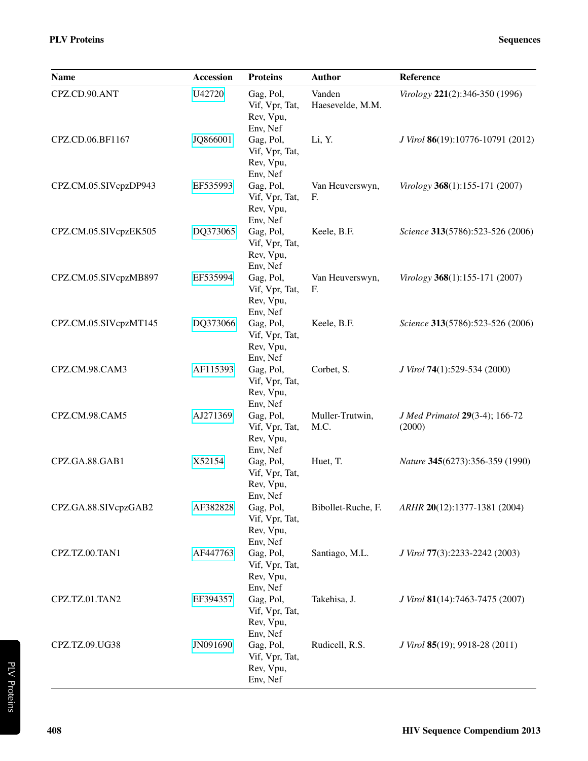| Name                  | <b>Accession</b> | <b>Proteins</b>                                      | <b>Author</b>              | Reference                                       |
|-----------------------|------------------|------------------------------------------------------|----------------------------|-------------------------------------------------|
| CPZ.CD.90.ANT         | U42720           | Gag, Pol,<br>Vif, Vpr, Tat,<br>Rev, Vpu,<br>Env, Nef | Vanden<br>Haesevelde, M.M. | Virology 221(2):346-350 (1996)                  |
| CPZ.CD.06.BF1167      | JQ866001         | Gag, Pol,<br>Vif, Vpr, Tat,<br>Rev, Vpu,<br>Env, Nef | Li, Y.                     | J Virol 86(19):10776-10791 (2012)               |
| CPZ.CM.05.SIVcpzDP943 | EF535993         | Gag, Pol,<br>Vif, Vpr, Tat,<br>Rev, Vpu,<br>Env, Nef | Van Heuverswyn,<br>F.      | Virology 368(1):155-171 (2007)                  |
| CPZ.CM.05.SIVcpzEK505 | DQ373065         | Gag, Pol,<br>Vif, Vpr, Tat,<br>Rev, Vpu,<br>Env, Nef | Keele, B.F.                | Science 313(5786):523-526 (2006)                |
| CPZ.CM.05.SIVcpzMB897 | EF535994         | Gag, Pol,<br>Vif, Vpr, Tat,<br>Rev, Vpu,<br>Env, Nef | Van Heuverswyn,<br>F.      | Virology 368(1):155-171 (2007)                  |
| CPZ.CM.05.SIVcpzMT145 | DQ373066         | Gag, Pol,<br>Vif, Vpr, Tat,<br>Rev, Vpu,<br>Env, Nef | Keele, B.F.                | Science 313(5786):523-526 (2006)                |
| CPZ.CM.98.CAM3        | AF115393         | Gag, Pol,<br>Vif, Vpr, Tat,<br>Rev, Vpu,<br>Env, Nef | Corbet, S.                 | J Virol 74(1):529-534 (2000)                    |
| CPZ.CM.98.CAM5        | AJ271369         | Gag, Pol,<br>Vif, Vpr, Tat,<br>Rev, Vpu,<br>Env, Nef | Muller-Trutwin,<br>M.C.    | <i>J Med Primatol</i> 29(3-4); 166-72<br>(2000) |
| CPZ.GA.88.GAB1        | X52154           | Gag, Pol,<br>Vif, Vpr, Tat,<br>Rev, Vpu,<br>Env, Nef | Huet, T.                   | Nature 345(6273):356-359 (1990)                 |
| CPZ.GA.88.SIVcpzGAB2  | AF382828         | Gag, Pol,<br>Vif, Vpr, Tat,<br>Rev, Vpu,<br>Env, Nef | Bibollet-Ruche, F.         | ARHR 20(12):1377-1381 (2004)                    |
| CPZ.TZ.00.TAN1        | AF447763         | Gag, Pol,<br>Vif, Vpr, Tat,<br>Rev, Vpu,<br>Env, Nef | Santiago, M.L.             | J Virol 77(3):2233-2242 (2003)                  |
| CPZ.TZ.01.TAN2        | EF394357         | Gag, Pol,<br>Vif, Vpr, Tat,<br>Rev, Vpu,<br>Env, Nef | Takehisa, J.               | J Virol 81(14):7463-7475 (2007)                 |
| CPZ.TZ.09.UG38        | JN091690         | Gag, Pol,<br>Vif, Vpr, Tat,<br>Rev, Vpu,<br>Env, Nef | Rudicell, R.S.             | J Virol 85(19); 9918-28 (2011)                  |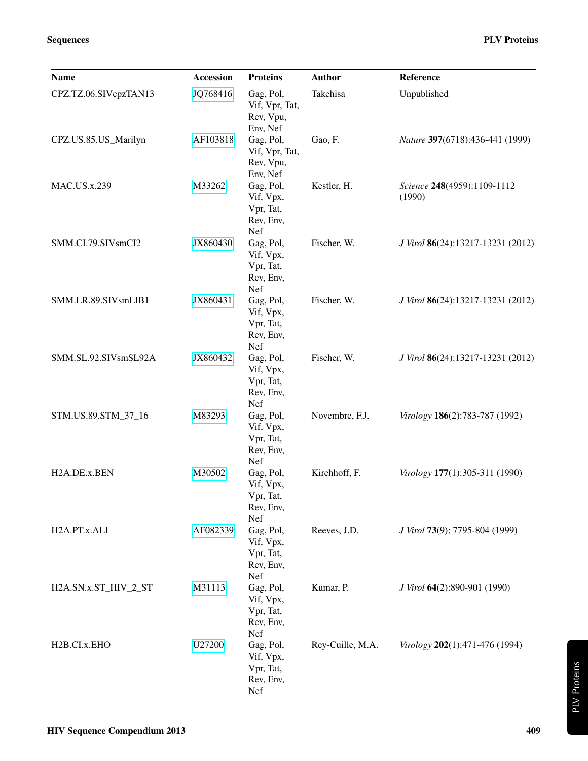| <b>Name</b>               | Accession | <b>Proteins</b>                                         | <b>Author</b>    | Reference                             |
|---------------------------|-----------|---------------------------------------------------------|------------------|---------------------------------------|
| CPZ.TZ.06.SIVcpzTAN13     | JQ768416  | Gag, Pol,<br>Vif, Vpr, Tat,<br>Rev, Vpu,<br>Env, Nef    | Takehisa         | Unpublished                           |
| CPZ.US.85.US_Marilyn      | AF103818  | Gag, Pol,<br>Vif, Vpr, Tat,<br>Rev, Vpu,<br>Env, Nef    | Gao, F.          | Nature 397(6718):436-441 (1999)       |
| <b>MAC.US.x.239</b>       | M33262    | Gag, Pol,<br>Vif, Vpx,<br>Vpr, Tat,<br>Rev, Env,<br>Nef | Kestler, H.      | Science 248(4959):1109-1112<br>(1990) |
| SMM.CI.79.SIVsmCI2        | JX860430  | Gag, Pol,<br>Vif, Vpx,<br>Vpr, Tat,<br>Rev, Env,<br>Nef | Fischer, W.      | J Virol 86(24):13217-13231 (2012)     |
| SMM.LR.89.SIVsmLIB1       | JX860431  | Gag, Pol,<br>Vif, Vpx,<br>Vpr, Tat,<br>Rev, Env,<br>Nef | Fischer, W.      | J Virol 86(24):13217-13231 (2012)     |
| SMM.SL.92.SIVsmSL92A      | JX860432  | Gag, Pol,<br>Vif, Vpx,<br>Vpr, Tat,<br>Rev, Env,<br>Nef | Fischer, W.      | J Virol 86(24):13217-13231 (2012)     |
| STM.US.89.STM_37_16       | M83293    | Gag, Pol,<br>Vif, Vpx,<br>Vpr, Tat,<br>Rev, Env,<br>Nef | Novembre, F.J.   | Virology 186(2):783-787 (1992)        |
| H2A.DE.x.BEN              | M30502    | Gag, Pol,<br>Vif, Vpx,<br>Vpr, Tat,<br>Rev, Env,<br>Nef | Kirchhoff, F.    | Virology 177(1):305-311 (1990)        |
| H2A.PT.x.ALI              | AF082339  | Gag, Pol,<br>Vif, Vpx,<br>Vpr, Tat,<br>Rev, Env,<br>Nef | Reeves, J.D.     | J Virol 73(9); 7795-804 (1999)        |
| H2A.SN.x.ST_HIV_2_ST      | M31113    | Gag, Pol,<br>Vif, Vpx,<br>Vpr, Tat,<br>Rev, Env,<br>Nef | Kumar, P.        | J Virol 64(2):890-901 (1990)          |
| H <sub>2</sub> B.CI.x.EHO | U27200    | Gag, Pol,<br>Vif, Vpx,<br>Vpr, Tat,<br>Rev, Env,<br>Nef | Rey-Cuille, M.A. | Virology 202(1):471-476 (1994)        |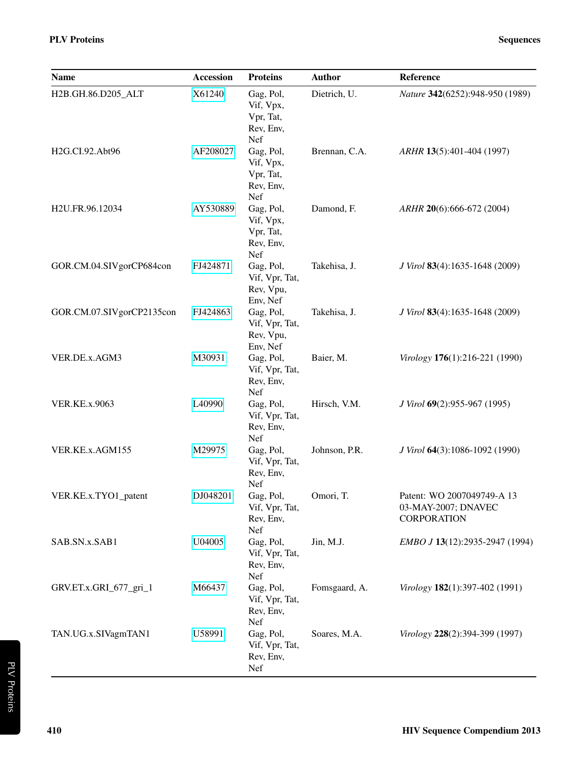| Name                      | <b>Accession</b> | <b>Proteins</b>                                         | <b>Author</b> | Reference                                                               |
|---------------------------|------------------|---------------------------------------------------------|---------------|-------------------------------------------------------------------------|
| H2B.GH.86.D205_ALT        | X61240           | Gag, Pol,<br>Vif, Vpx,<br>Vpr, Tat,<br>Rev, Env,<br>Nef | Dietrich, U.  | Nature 342(6252):948-950 (1989)                                         |
| H2G.CI.92.Abt96           | AF208027         | Gag, Pol,<br>Vif, Vpx,<br>Vpr, Tat,<br>Rev, Env,<br>Nef | Brennan, C.A. | ARHR 13(5):401-404 (1997)                                               |
| H2U.FR.96.12034           | AY530889         | Gag, Pol,<br>Vif, Vpx,<br>Vpr, Tat,<br>Rev, Env,<br>Nef | Damond, F.    | $ARHR$ 20(6):666-672 (2004)                                             |
| GOR.CM.04.SIVgorCP684con  | FJ424871         | Gag, Pol,<br>Vif, Vpr, Tat,<br>Rev, Vpu,<br>Env, Nef    | Takehisa, J.  | J Virol 83(4):1635-1648 (2009)                                          |
| GOR.CM.07.SIVgorCP2135con | FJ424863         | Gag, Pol,<br>Vif, Vpr, Tat,<br>Rev, Vpu,<br>Env, Nef    | Takehisa, J.  | J Virol 83(4):1635-1648 (2009)                                          |
| VER.DE.x.AGM3             | M30931           | Gag, Pol,<br>Vif, Vpr, Tat,<br>Rev, Env,<br>Nef         | Baier, M.     | Virology 176(1):216-221 (1990)                                          |
| <b>VER.KE.x.9063</b>      | L40990           | Gag, Pol,<br>Vif, Vpr, Tat,<br>Rev, Env,<br>Nef         | Hirsch, V.M.  | <i>J Virol</i> <b>69</b> (2):955-967 (1995)                             |
| VER.KE.x.AGM155           | M29975           | Gag, Pol,<br>Vif, Vpr, Tat,<br>Rev, Env,<br>Nef         | Johnson, P.R. | J Virol 64(3):1086-1092 (1990)                                          |
| VER.KE.x.TYO1_patent      | DJ048201         | Gag, Pol,<br>Vif, Vpr, Tat,<br>Rev, Env,<br>Nef         | Omori, T.     | Patent: WO 2007049749-A 13<br>03-MAY-2007; DNAVEC<br><b>CORPORATION</b> |
| SAB.SN.x.SAB1             | U04005           | Gag, Pol,<br>Vif, Vpr, Tat,<br>Rev, Env,<br>Nef         | Jin, M.J.     | EMBO J 13(12):2935-2947 (1994)                                          |
| GRV.ET.x.GRI_677_gri_1    | M66437           | Gag, Pol,<br>Vif, Vpr, Tat,<br>Rev, Env,<br>Nef         | Fomsgaard, A. | Virology 182(1):397-402 (1991)                                          |
| TAN.UG.x.SIVagmTAN1       | U58991           | Gag, Pol,<br>Vif, Vpr, Tat,<br>Rev, Env,<br>Nef         | Soares, M.A.  | Virology 228(2):394-399 (1997)                                          |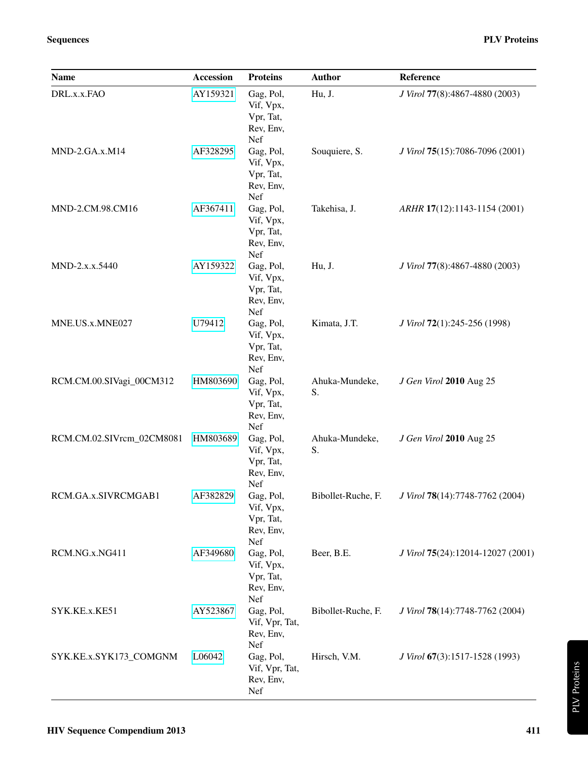| <b>Name</b>               | <b>Accession</b> | <b>Proteins</b>                                         | <b>Author</b>        | Reference                         |
|---------------------------|------------------|---------------------------------------------------------|----------------------|-----------------------------------|
| DRL.x.x.FAO               | AY159321         | Gag, Pol,<br>Vif, Vpx,<br>Vpr, Tat,<br>Rev, Env,<br>Nef | Hu, J.               | J Virol 77(8):4867-4880 (2003)    |
| MND-2.GA.x.M14            | AF328295         | Gag, Pol,<br>Vif, Vpx,<br>Vpr, Tat,<br>Rev, Env,<br>Nef | Souquiere, S.        | J Virol 75(15):7086-7096 (2001)   |
| MND-2.CM.98.CM16          | AF367411         | Gag, Pol,<br>Vif, Vpx,<br>Vpr, Tat,<br>Rev, Env,<br>Nef | Takehisa, J.         | ARHR 17(12):1143-1154 (2001)      |
| MND-2.x.x.5440            | AY159322         | Gag, Pol,<br>Vif, Vpx,<br>Vpr, Tat,<br>Rev, Env,<br>Nef | Hu, J.               | J Virol 77(8):4867-4880 (2003)    |
| MNE.US.x.MNE027           | U79412           | Gag, Pol,<br>Vif, Vpx,<br>Vpr, Tat,<br>Rev, Env,<br>Nef | Kimata, J.T.         | J Virol 72(1):245-256 (1998)      |
| RCM.CM.00.SIVagi_00CM312  | HM803690         | Gag, Pol,<br>Vif, Vpx,<br>Vpr, Tat,<br>Rev, Env,<br>Nef | Ahuka-Mundeke,<br>S. | J Gen Virol 2010 Aug 25           |
| RCM.CM.02.SIVrcm_02CM8081 | HM803689         | Gag, Pol,<br>Vif, Vpx,<br>Vpr, Tat,<br>Rev, Env,<br>Nef | Ahuka-Mundeke,<br>S. | J Gen Virol 2010 Aug 25           |
| RCM.GA.x.SIVRCMGAB1       | AF382829         | Gag, Pol,<br>Vif, Vpx,<br>Vpr, Tat,<br>Rev, Env,<br>Nef | Bibollet-Ruche, F.   | J Virol 78(14):7748-7762 (2004)   |
| RCM.NG.x.NG411            | AF349680         | Gag, Pol,<br>Vif, Vpx,<br>Vpr, Tat,<br>Rev, Env,<br>Nef | Beer, B.E.           | J Virol 75(24):12014-12027 (2001) |
| SYK.KE.x.KE51             | AY523867         | Gag, Pol,<br>Vif, Vpr, Tat,<br>Rev, Env,<br>Nef         | Bibollet-Ruche, F.   | J Virol 78(14):7748-7762 (2004)   |
| SYK.KE.x.SYK173_COMGNM    | L06042           | Gag, Pol,<br>Vif, Vpr, Tat,<br>Rev, Env,<br>Nef         | Hirsch, V.M.         | J Virol 67(3):1517-1528 (1993)    |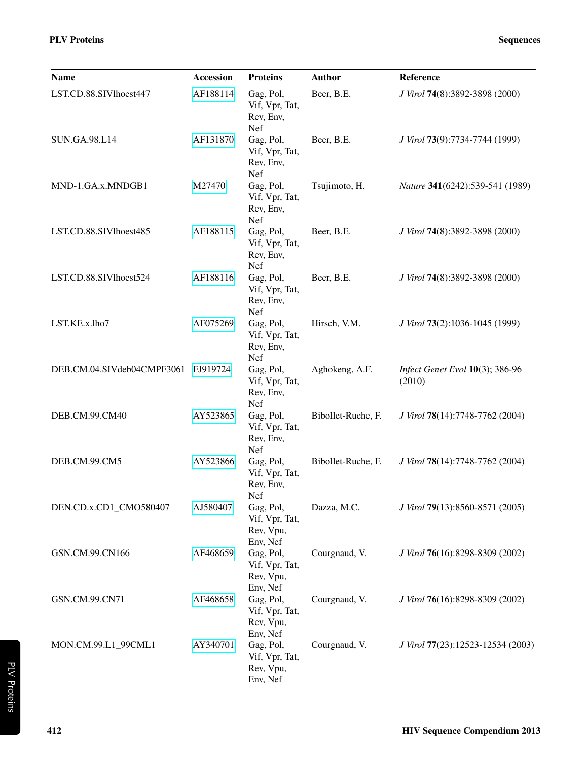| Name                                | <b>Accession</b> | <b>Proteins</b>                                      | <b>Author</b>      | Reference                                 |
|-------------------------------------|------------------|------------------------------------------------------|--------------------|-------------------------------------------|
| LST.CD.88.SIVlhoest447              | AF188114         | Gag, Pol,<br>Vif, Vpr, Tat,<br>Rev, Env,<br>Nef      | Beer, B.E.         | J Virol 74(8):3892-3898 (2000)            |
| <b>SUN.GA.98.L14</b>                | AF131870         | Gag, Pol,<br>Vif, Vpr, Tat,<br>Rev, Env,<br>Nef      | Beer, B.E.         | J Virol 73(9):7734-7744 (1999)            |
| MND-1.GA.x.MNDGB1                   | M27470           | Gag, Pol,<br>Vif, Vpr, Tat,<br>Rev, Env,<br>Nef      | Tsujimoto, H.      | Nature 341(6242):539-541 (1989)           |
| LST.CD.88.SIVlhoest485              | AF188115         | Gag, Pol,<br>Vif, Vpr, Tat,<br>Rev, Env,<br>Nef      | Beer, B.E.         | J Virol 74(8):3892-3898 (2000)            |
| LST.CD.88.SIVlhoest524              | AF188116         | Gag, Pol,<br>Vif, Vpr, Tat,<br>Rev, Env,<br>Nef      | Beer, B.E.         | J Virol 74(8):3892-3898 (2000)            |
| LST.KE.x.lho7                       | AF075269         | Gag, Pol,<br>Vif, Vpr, Tat,<br>Rev, Env,<br>Nef      | Hirsch, V.M.       | J Virol 73(2):1036-1045 (1999)            |
| DEB.CM.04.SIVdeb04CMPF3061 FJ919724 |                  | Gag, Pol,<br>Vif, Vpr, Tat,<br>Rev, Env,<br>Nef      | Aghokeng, A.F.     | Infect Genet Evol 10(3); 386-96<br>(2010) |
| DEB.CM.99.CM40                      | AY523865         | Gag, Pol,<br>Vif, Vpr, Tat,<br>Rev, Env,<br>Nef      | Bibollet-Ruche, F. | J Virol 78(14):7748-7762 (2004)           |
| DEB.CM.99.CM5                       | AY523866         | Gag, Pol,<br>Vif, Vpr, Tat,<br>Rev, Env,<br>Nef      | Bibollet-Ruche, F. | J Virol 78(14):7748-7762 (2004)           |
| DEN.CD.x.CD1_CMO580407              | AJ580407         | Gag, Pol,<br>Vif, Vpr, Tat,<br>Rev, Vpu,<br>Env, Nef | Dazza, M.C.        | J Virol 79(13):8560-8571 (2005)           |
| GSN.CM.99.CN166                     | AF468659         | Gag, Pol,<br>Vif, Vpr, Tat,<br>Rev, Vpu,<br>Env, Nef | Courgnaud, V.      | J Virol 76(16):8298-8309 (2002)           |
| GSN.CM.99.CN71                      | AF468658         | Gag, Pol,<br>Vif, Vpr, Tat,<br>Rev, Vpu,<br>Env, Nef | Courgnaud, V.      | J Virol 76(16):8298-8309 (2002)           |
| MON.CM.99.L1_99CML1                 | AY340701         | Gag, Pol,<br>Vif, Vpr, Tat,<br>Rev, Vpu,<br>Env, Nef | Courgnaud, V.      | J Virol 77(23):12523-12534 (2003)         |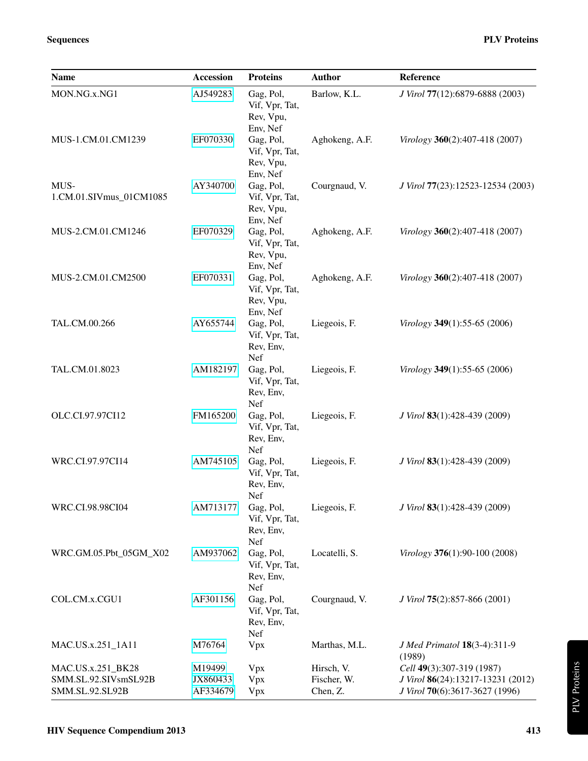| <b>Name</b>                                                  | <b>Accession</b>               | <b>Proteins</b>                                      | <b>Author</b>                         | Reference                                                                                        |
|--------------------------------------------------------------|--------------------------------|------------------------------------------------------|---------------------------------------|--------------------------------------------------------------------------------------------------|
| MON.NG.x.NG1                                                 | AJ549283                       | Gag, Pol,<br>Vif, Vpr, Tat,<br>Rev, Vpu,<br>Env, Nef | Barlow, K.L.                          | J Virol 77(12):6879-6888 (2003)                                                                  |
| MUS-1.CM.01.CM1239                                           | EF070330                       | Gag, Pol,<br>Vif, Vpr, Tat,<br>Rev, Vpu,<br>Env, Nef | Aghokeng, A.F.                        | Virology 360(2):407-418 (2007)                                                                   |
| MUS-<br>1.CM.01.SIVmus_01CM1085                              | AY340700                       | Gag, Pol,<br>Vif, Vpr, Tat,<br>Rev, Vpu,<br>Env, Nef | Courgnaud, V.                         | J Virol 77(23):12523-12534 (2003)                                                                |
| MUS-2.CM.01.CM1246                                           | EF070329                       | Gag, Pol,<br>Vif, Vpr, Tat,<br>Rev, Vpu,<br>Env, Nef | Aghokeng, A.F.                        | Virology 360(2):407-418 (2007)                                                                   |
| MUS-2.CM.01.CM2500                                           | EF070331                       | Gag, Pol,<br>Vif, Vpr, Tat,<br>Rev, Vpu,<br>Env, Nef | Aghokeng, A.F.                        | Virology 360(2):407-418 (2007)                                                                   |
| TAL.CM.00.266                                                | AY655744                       | Gag, Pol,<br>Vif, Vpr, Tat,<br>Rev, Env,<br>Nef      | Liegeois, F.                          | Virology 349(1):55-65 (2006)                                                                     |
| TAL.CM.01.8023                                               | AM182197                       | Gag, Pol,<br>Vif, Vpr, Tat,<br>Rev, Env,<br>Nef      | Liegeois, F.                          | Virology 349(1):55-65 (2006)                                                                     |
| OLC.CI.97.97CI12                                             | FM165200                       | Gag, Pol,<br>Vif, Vpr, Tat,<br>Rev, Env,<br>Nef      | Liegeois, F.                          | J Virol 83(1):428-439 (2009)                                                                     |
| WRC.CI.97.97CI14                                             | AM745105                       | Gag, Pol,<br>Vif, Vpr, Tat,<br>Rev, Env,<br>Nef      | Liegeois, F.                          | J Virol 83(1):428-439 (2009)                                                                     |
| WRC.CI.98.98CI04                                             | AM713177                       | Gag, Pol,<br>Vif, Vpr, Tat,<br>Rev, Env,<br>Nef      | Liegeois, F.                          | J Virol 83(1):428-439 (2009)                                                                     |
| WRC.GM.05.Pbt_05GM_X02                                       | AM937062                       | Gag, Pol,<br>Vif, Vpr, Tat,<br>Rev, Env,<br>Nef      | Locatelli, S.                         | Virology 376(1):90-100 (2008)                                                                    |
| COL.CM.x.CGU1                                                | AF301156                       | Gag, Pol,<br>Vif, Vpr, Tat,<br>Rev, Env,<br>Nef      | Courgnaud, V.                         | J Virol 75(2):857-866 (2001)                                                                     |
| MAC.US.x.251_1A11                                            | M76764                         | Vpx                                                  | Marthas, M.L.                         | J Med Primatol 18(3-4):311-9<br>(1989)                                                           |
| MAC.US.x.251_BK28<br>SMM.SL.92.SIVsmSL92B<br>SMM.SL.92.SL92B | M19499<br>JX860433<br>AF334679 | Vpx<br>Vpx<br>Vpx                                    | Hirsch, V.<br>Fischer, W.<br>Chen, Z. | Cell 49(3):307-319 (1987)<br>J Virol 86(24):13217-13231 (2012)<br>J Virol 70(6):3617-3627 (1996) |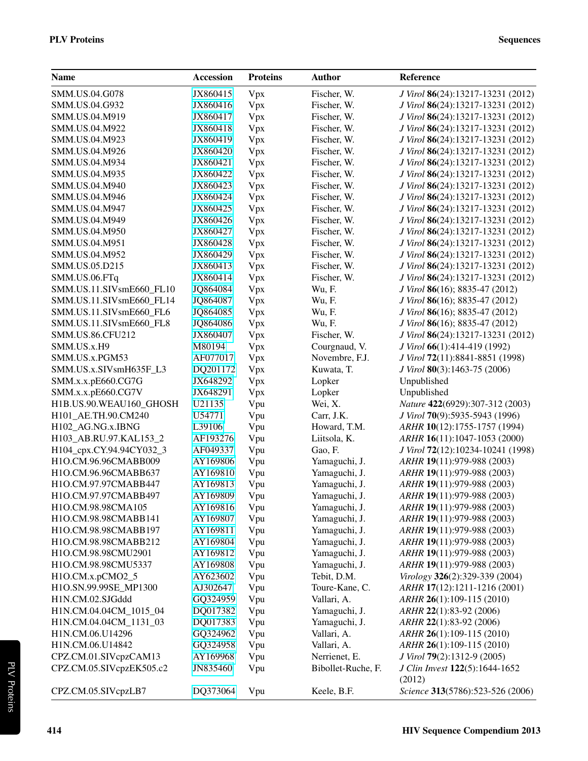| <b>Name</b>              | <b>Accession</b> | <b>Proteins</b> | <b>Author</b>      | Reference                         |
|--------------------------|------------------|-----------------|--------------------|-----------------------------------|
| SMM.US.04.G078           | JX860415         | Vpx             | Fischer, W.        | J Virol 86(24):13217-13231 (2012) |
| SMM.US.04.G932           | JX860416         | Vpx             | Fischer, W.        | J Virol 86(24):13217-13231 (2012) |
| SMM.US.04.M919           | JX860417         | Vpx             | Fischer, W.        | J Virol 86(24):13217-13231 (2012) |
| SMM.US.04.M922           | JX860418         | Vpx             | Fischer, W.        | J Virol 86(24):13217-13231 (2012) |
| SMM.US.04.M923           | JX860419         | Vpx             | Fischer, W.        | J Virol 86(24):13217-13231 (2012) |
| SMM.US.04.M926           | JX860420         | Vpx             | Fischer, W.        | J Virol 86(24):13217-13231 (2012) |
| SMM.US.04.M934           | JX860421         | Vpx             | Fischer, W.        | J Virol 86(24):13217-13231 (2012) |
| SMM.US.04.M935           | JX860422         | Vpx             | Fischer, W.        | J Virol 86(24):13217-13231 (2012) |
| SMM.US.04.M940           | JX860423         | Vpx             | Fischer, W.        | J Virol 86(24):13217-13231 (2012) |
| SMM.US.04.M946           | JX860424         | Vpx             | Fischer, W.        | J Virol 86(24):13217-13231 (2012) |
| SMM.US.04.M947           | JX860425         | Vpx             | Fischer, W.        | J Virol 86(24):13217-13231 (2012) |
| SMM.US.04.M949           | JX860426         | Vpx             | Fischer, W.        | J Virol 86(24):13217-13231 (2012) |
| SMM.US.04.M950           | JX860427         | Vpx             | Fischer, W.        | J Virol 86(24):13217-13231 (2012) |
| SMM.US.04.M951           | JX860428         | Vpx             | Fischer, W.        | J Virol 86(24):13217-13231 (2012) |
| SMM.US.04.M952           | JX860429         | Vpx             | Fischer, W.        | J Virol 86(24):13217-13231 (2012) |
| SMM.US.05.D215           | JX860413         | Vpx             | Fischer, W.        | J Virol 86(24):13217-13231 (2012) |
| SMM.US.06.FTq            | JX860414         | Vpx             | Fischer, W.        | J Virol 86(24):13217-13231 (2012) |
| SMM.US.11.SIVsmE660_FL10 | JQ864084         | Vpx             | Wu, F.             | J Virol 86(16); 8835-47 (2012)    |
| SMM.US.11.SIVsmE660_FL14 | JQ864087         | Vpx             | Wu, F.             | J Virol 86(16); 8835-47 (2012)    |
| SMM.US.11.SIVsmE660_FL6  | JQ864085         | Vpx             | Wu, F.             | J Virol 86(16); 8835-47 (2012)    |
| SMM.US.11.SIVsmE660_FL8  | JQ864086         | Vpx             | Wu, F.             | J Virol 86(16); 8835-47 (2012)    |
| SMM.US.86.CFU212         | JX860407         | Vpx             | Fischer, W.        | J Virol 86(24):13217-13231 (2012) |
| SMM.US.x.H9              | M80194           | Vpx             | Courgnaud, V.      | J Virol 66(1):414-419 (1992)      |
| SMM.US.x.PGM53           | AF077017         | Vpx             | Novembre, F.J.     | J Virol 72(11):8841-8851 (1998)   |
| SMM.US.x.SIVsmH635F_L3   | DQ201172         | Vpx             | Kuwata, T.         | J Virol 80(3):1463-75 (2006)      |
| SMM.x.x.pE660.CG7G       | JX648292         | Vpx             | Lopker             | Unpublished                       |
| SMM.x.x.pE660.CG7V       | JX648291         | Vpx             | Lopker             | Unpublished                       |
| H1B.US.90.WEAU160_GHOSH  | U21135           | Vpu             | Wei, X.            | Nature 422(6929):307-312 (2003)   |
| H101_AE.TH.90.CM240      | U54771           | Vpu             | Carr, J.K.         | J Virol 70(9):5935-5943 (1996)    |
| H102_AG.NG.x.IBNG        | L39106           | Vpu             | Howard, T.M.       | ARHR 10(12):1755-1757 (1994)      |
| H103_AB.RU.97.KAL153_2   | AF193276         | Vpu             | Liitsola, K.       | ARHR 16(11):1047-1053 (2000)      |
| H104_cpx.CY.94.94CY032_3 | AF049337         | Vpu             | Gao, F.            | J Virol 72(12):10234-10241 (1998) |
| H1O.CM.96.96CMABB009     | AY169806         | Vpu             | Yamaguchi, J.      | ARHR 19(11):979-988 (2003)        |
| H1O.CM.96.96CMABB637     | AY169810         | Vpu             | Yamaguchi, J.      | ARHR 19(11):979-988 (2003)        |
| H1O.CM.97.97CMABB447     | AY169813         | Vpu             | Yamaguchi, J.      | ARHR 19(11):979-988 (2003)        |
| H1O.CM.97.97CMABB497     | AY169809         | Vpu             | Yamaguchi, J.      | ARHR 19(11):979-988 (2003)        |
| H1O.CM.98.98CMA105       | AY169816         | Vpu             | Yamaguchi, J.      | ARHR 19(11):979-988 (2003)        |
| H1O.CM.98.98CMABB141     | AY169807         | Vpu             | Yamaguchi, J.      | ARHR 19(11):979-988 (2003)        |
| H1O.CM.98.98CMABB197     | AY169811         | Vpu             | Yamaguchi, J.      | ARHR 19(11):979-988 (2003)        |
| H1O.CM.98.98CMABB212     | AY169804         | Vpu             | Yamaguchi, J.      | ARHR 19(11):979-988 (2003)        |
| H1O.CM.98.98CMU2901      | AY169812         | Vpu             | Yamaguchi, J.      | ARHR 19(11):979-988 (2003)        |
| H1O.CM.98.98CMU5337      | AY169808         | Vpu             | Yamaguchi, J.      | ARHR 19(11):979-988 (2003)        |
| H1O.CM.x.pCMO2_5         | AY623602         | Vpu             | Tebit, D.M.        | Virology 326(2):329-339 (2004)    |
| H1O.SN.99.99SE_MP1300    | AJ302647         | Vpu             | Toure-Kane, C.     | ARHR 17(12):1211-1216 (2001)      |
| H1N.CM.02.SJGddd         | GQ324959         | Vpu             | Vallari, A.        | ARHR 26(1):109-115 (2010)         |
| H1N.CM.04.04CM_1015_04   | DQ017382         | Vpu             | Yamaguchi, J.      | ARHR 22(1):83-92 (2006)           |
| H1N.CM.04.04CM_1131_03   | DQ017383         | Vpu             | Yamaguchi, J.      | ARHR 22(1):83-92 (2006)           |
| H1N.CM.06.U14296         | GQ324962         | Vpu             | Vallari, A.        | $ARHR$ 26(1):109-115 (2010)       |
| H1N.CM.06.U14842         | GQ324958         | Vpu             | Vallari, A.        | ARHR 26(1):109-115 (2010)         |
| CPZ.CM.01.SIVcpzCAM13    | AY169968         | Vpu             | Nerrienet, E.      | J Virol 79(2):1312-9 (2005)       |
| CPZ.CM.05.SIVcpzEK505.c2 | JN835460         | Vpu             | Bibollet-Ruche, F. | J Clin Invest 122(5):1644-1652    |
|                          |                  |                 |                    | (2012)                            |
| CPZ.CM.05.SIVcpzLB7      | DQ373064         | Vpu             | Keele, B.F.        | Science 313(5786):523-526 (2006)  |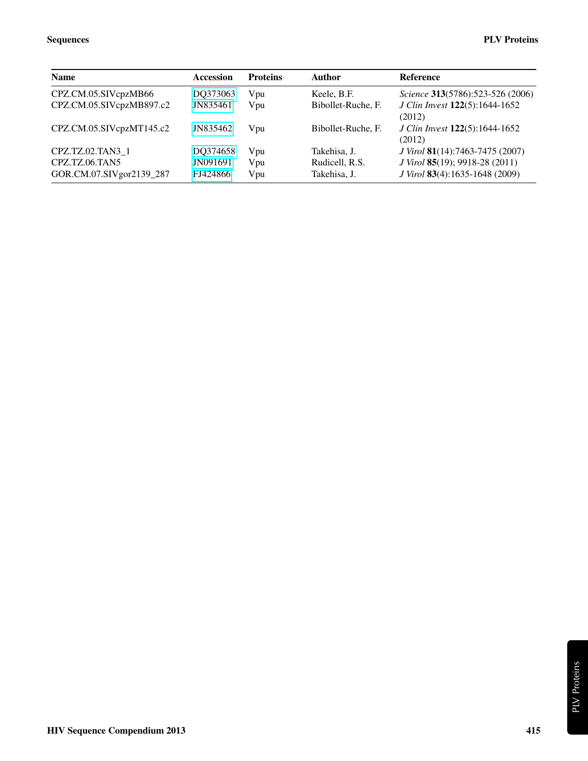| <b>Name</b>                                | <b>Accession</b>     | <b>Proteins</b> | Author                         | <b>Reference</b>                                                 |
|--------------------------------------------|----------------------|-----------------|--------------------------------|------------------------------------------------------------------|
| CPZ.CM.05.SIVcpzMB66                       | DO373063             | Vpu             | Keele, B.F.                    | Science 313(5786):523-526 (2006)                                 |
| CPZ.CM.05.SIVcpzMB897.c2                   | JN835461             | Vpu             | Bibollet-Ruche, F.             | J Clin Invest 122(5):1644-1652<br>(2012)                         |
| CPZ.CM.05.SIVcpzMT145.c2                   | JN835462             | Vpu             | Bibollet-Ruche, F.             | <i>J Clin Invest</i> 122(5):1644-1652<br>(2012)                  |
| CPZ.TZ.02.TAN3 1                           | DO374658             | Vpu             | Takehisa, J.                   | J Virol 81(14):7463-7475 (2007)                                  |
| CPZ.TZ.06.TAN5<br>GOR.CM.07.SIVgor2139_287 | JN091691<br>FJ424866 | Vpu<br>Vpu      | Rudicell, R.S.<br>Takehisa, J. | J Virol 85(19); 9918-28 (2011)<br>J Virol 83(4):1635-1648 (2009) |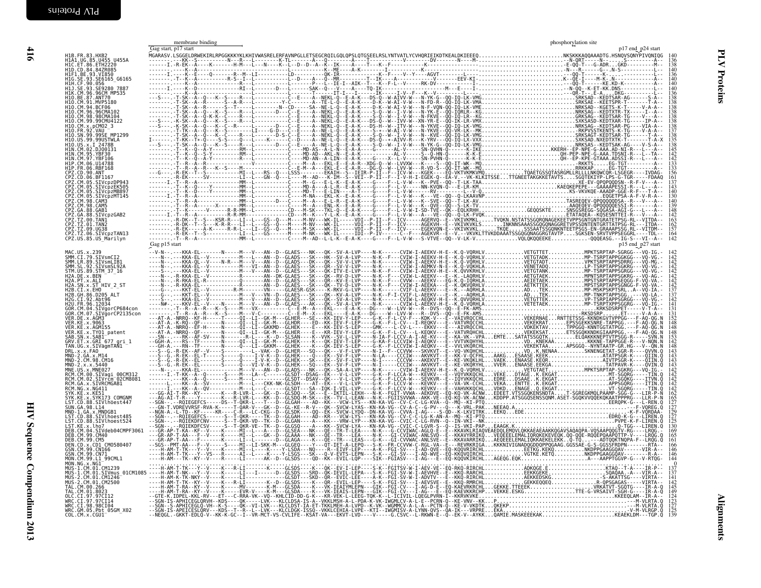<span id="page-11-1"></span><span id="page-11-0"></span>

|                                                                                                                                                                                                                 | membrane binding<br>Gag start, p17 start | phosphorylation site<br>p17 end p24 start |
|-----------------------------------------------------------------------------------------------------------------------------------------------------------------------------------------------------------------|------------------------------------------|-------------------------------------------|
| H1B.FR.83.HXB2<br>H1A1.UG.85.U455_U455A                                                                                                                                                                         |                                          |                                           |
| HIC.ET.86.ETH2220<br>HID.CD.84.842R085<br>HIF1.BE.93.VI850<br>HIG.SE.93.SE6165_G6165<br>H1H.CF.90.056                                                                                                           |                                          |                                           |
| H1J.SE.93.SE9280 7887<br>H1K.CM.96.96CM_MP535<br>H10.BE.87.ANT70                                                                                                                                                |                                          |                                           |
| H10.CM.91.MVP5180<br>H10.CM.94.BCF06<br>H10.CM.96.96CMA102                                                                                                                                                      |                                          |                                           |
| H10.CM.98.98CMA104<br>H10.CM.99.99CMU4122                                                                                                                                                                       |                                          |                                           |
| H10.CM.39.99CM<br>H10.CM.x.pCM02_3<br>H10.FR.92.VAU<br>H10.SN.99.99SE_MP1299<br>H10.US.99.99USTWLA<br>H10.US.x.1.2478B                                                                                          |                                          |                                           |
| H1N.CM.02.DJ00131<br>H1N.CM.95.YBF30                                                                                                                                                                            |                                          |                                           |
| H1N.CM.97.YBF106<br>H1P.CM.06.U14788<br>CPZ.CD.90.ANT                                                                                                                                                           |                                          |                                           |
| CP2. CD. 90. ANI<br>CP2. CD. 06. BF1167<br>CP2. CM. 05. SIVCp2DP943<br>CP2. CM. 05. SIVCp2MB897<br>CP2. CM. 05. SIVCp2MB897<br>CP2. CM. 98. CAM5<br>CP2. CM. 98. CAM5<br>CP2. CM. 98. CAM5<br>CP2. CM. 98. CAM5 |                                          |                                           |
|                                                                                                                                                                                                                 |                                          |                                           |
| CPZ.GA.88.SIVcpzGAB2<br>CPZ.TZ.00.TAN1                                                                                                                                                                          |                                          |                                           |
| CPZ.TZ.01.TAN2<br>CPZ.TZ.09.UG38                                                                                                                                                                                |                                          |                                           |
| CPZ.TZ.06.SIVcpzTAN13<br>CPZ.US.85.US_Marilyn                                                                                                                                                                   | Gag p15 start                            | 142<br>p15 end p27 start                  |
| MAC.US.x.239<br>SMM.CI.79.SIVsmCI2<br>SMM.LR.89.SIVsmLIB1                                                                                                                                                       |                                          |                                           |
| SMM. SL. 92. SIVSMSL92A<br>STM. US. 89. STM_37_16<br>H2A.DE.x.BEN                                                                                                                                               |                                          |                                           |
| H2A.PT.x.ALI<br>H2A.FN.x.ALI<br>H2A.SN.x.ST_HIV_2_ST<br>H2B.GH.86.D205_ALT                                                                                                                                      |                                          |                                           |
| H2G.CI.92.Abt96<br>H2U.FR.96.12034                                                                                                                                                                              |                                          |                                           |
| GOR.CM.04.SIVgorCP684con<br>GOR.CM.04.SIVgorCP2135con                                                                                                                                                           |                                          |                                           |
| VER.DE.x.AGM3<br>VER.KE.x.9063<br>VER.KE.x.AGM155<br>VER.KE.x.AGM155<br>VER.KE.x.TY01_patent<br>SAB.SN.x.SAB1                                                                                                   |                                          |                                           |
| GRV.ET.x.GRI 677 gri_1<br>TAN.UG.x.SIVagmTAN1                                                                                                                                                                   |                                          |                                           |
| PRL. x. x. FAO<br>MND-2. GA. x. M14<br>MND-2. CM. 98. CM16<br>MND-2. x. x. 5440<br>MNE. US. x. MNE027.                                                                                                          |                                          |                                           |
| RCM.CM.00.SIVagi 00CM312<br>RCM.CM.02.SIVrcm=02CM8081<br>RCM.GA.x.SIVRCMGAB1<br>RCM.NG.x.NG411                                                                                                                  |                                          |                                           |
| SYK.KE.x.KE51                                                                                                                                                                                                   |                                          |                                           |
| SYK.KE.x.SYK173 COMGNM<br>LST.CD.88.SIVlhoest447<br>SUN. GA. 98. L14<br>MND-1.GA.x.MNDGB1                                                                                                                       |                                          |                                           |
| LST.CD.88.SIVLhoest485<br>LST.KE.x.lho7                                                                                                                                                                         |                                          |                                           |
| DEB.CM.04.SIVdeb04CMPF3061<br>DEB.CM.99.CM40<br>DEB. CM. 99. CM5<br>DEN.CD.x.CD1 CM0580407                                                                                                                      |                                          |                                           |
| GSN.CM.99.CN166<br>GSN.CM.99.CN71<br>MON.CM.99.L1 99CML1                                                                                                                                                        |                                          |                                           |
| MON.NG.x.NG1                                                                                                                                                                                                    |                                          |                                           |
|                                                                                                                                                                                                                 |                                          |                                           |
|                                                                                                                                                                                                                 |                                          |                                           |
|                                                                                                                                                                                                                 |                                          |                                           |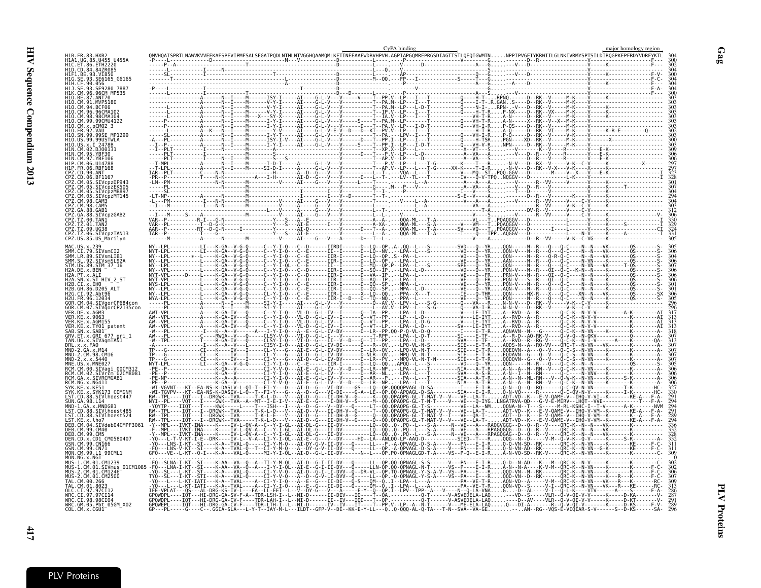|                                           |                                                    |                                                                                             |                                                               | CyPA binding                                                                                                                                                                                 |                                          |                                                                             | major homology regior |
|-------------------------------------------|----------------------------------------------------|---------------------------------------------------------------------------------------------|---------------------------------------------------------------|----------------------------------------------------------------------------------------------------------------------------------------------------------------------------------------------|------------------------------------------|-----------------------------------------------------------------------------|-----------------------|
| H1B.FR.83.HXB2                            | H1A1.UG.85.U455 U4554                              |                                                                                             |                                                               |                                                                                                                                                                                              |                                          |                                                                             |                       |
| H1C. ET. 86. ETH2220<br>H1D.CD.84.84ZR085 |                                                    |                                                                                             |                                                               |                                                                                                                                                                                              |                                          |                                                                             |                       |
| H1F1.BE.93.VI850                          | HĪG.SĒ.93.SE6165_G6165                             |                                                                                             |                                                               |                                                                                                                                                                                              |                                          |                                                                             |                       |
| H1H.CF.90.056<br>H1J.SE                   | 93. SE9280                                         |                                                                                             |                                                               |                                                                                                                                                                                              |                                          |                                                                             |                       |
|                                           | H1K.CM.96.96CM MP535                               |                                                                                             |                                                               |                                                                                                                                                                                              |                                          |                                                                             |                       |
| H1O.CM.91.MVP5180                         | ANT70                                              |                                                                                             |                                                               |                                                                                                                                                                                              |                                          |                                                                             |                       |
| H10.CM.96.96CMA102                        |                                                    |                                                                                             |                                                               |                                                                                                                                                                                              |                                          |                                                                             |                       |
| H1N CM 99 99CMH4122                       | 98CMA104                                           |                                                                                             |                                                               |                                                                                                                                                                                              |                                          |                                                                             |                       |
|                                           |                                                    |                                                                                             |                                                               |                                                                                                                                                                                              |                                          |                                                                             |                       |
|                                           |                                                    |                                                                                             |                                                               |                                                                                                                                                                                              |                                          |                                                                             |                       |
|                                           | 99USTWLA                                           |                                                                                             |                                                               |                                                                                                                                                                                              |                                          |                                                                             |                       |
| H1N.CM.02.DJ00131                         |                                                    |                                                                                             |                                                               |                                                                                                                                                                                              |                                          |                                                                             |                       |
| H1N.CM.97                                 | YRF106                                             |                                                                                             |                                                               |                                                                                                                                                                                              |                                          |                                                                             |                       |
|                                           | 06.RBF168                                          |                                                                                             |                                                               |                                                                                                                                                                                              |                                          |                                                                             |                       |
|                                           | BE1167                                             |                                                                                             |                                                               |                                                                                                                                                                                              |                                          |                                                                             |                       |
|                                           | SIVcpzDP943<br>SIVcpzEK505                         |                                                                                             |                                                               |                                                                                                                                                                                              |                                          |                                                                             |                       |
|                                           | SIVcpzMB897<br>SIVcpzMT145                         |                                                                                             |                                                               |                                                                                                                                                                                              |                                          |                                                                             |                       |
| Z.CM.98.CAM5                              |                                                    |                                                                                             |                                                               |                                                                                                                                                                                              |                                          |                                                                             |                       |
|                                           |                                                    |                                                                                             |                                                               |                                                                                                                                                                                              |                                          |                                                                             |                       |
| 'Z.GA                                     | SIVcnzGAB2                                         |                                                                                             |                                                               |                                                                                                                                                                                              |                                          |                                                                             |                       |
| CPZ.TZ.09.UG38                            | 01. TAN2                                           |                                                                                             |                                                               |                                                                                                                                                                                              |                                          |                                                                             |                       |
|                                           | CPZ.TZ.06.SIVcpzTAN13<br>CPZ.US.85.US Marilyn      |                                                                                             |                                                               |                                                                                                                                                                                              |                                          |                                                                             |                       |
| MAC.US                                    |                                                    |                                                                                             |                                                               |                                                                                                                                                                                              |                                          |                                                                             |                       |
| SMM.CI.79.SIVsmCI                         |                                                    |                                                                                             |                                                               |                                                                                                                                                                                              |                                          |                                                                             |                       |
| SMM.LR.89.SIVsmLIB1<br>SMM                | SIVsmSL92A                                         | - - - - - - - - - - - - - - K - GA - - V<br>- - - - - - - - - - L - - - - K - GA - - V      |                                                               |                                                                                                                                                                                              |                                          |                                                                             |                       |
| STM.US.89.STM 37 16                       |                                                    |                                                                                             |                                                               |                                                                                                                                                                                              |                                          |                                                                             |                       |
| H2A.PT.x.ALI                              | SN.x.ST HIV 2 S                                    |                                                                                             |                                                               |                                                                                                                                                                                              |                                          |                                                                             |                       |
| H2B.CI.x.EHO                              |                                                    |                                                                                             |                                                               |                                                                                                                                                                                              |                                          |                                                                             |                       |
| I2G.CI.92.Abt96                           |                                                    |                                                                                             |                                                               |                                                                                                                                                                                              |                                          |                                                                             |                       |
| H2U. FR. 96. 12034                        | GOR.CM.04.SIVgorCP684con                           |                                                                                             |                                                               |                                                                                                                                                                                              |                                          |                                                                             |                       |
| /ER.DE.x.AGM3                             | SIVgorCP2135con                                    |                                                                                             |                                                               |                                                                                                                                                                                              |                                          |                                                                             |                       |
| VER.KE.x.9063                             |                                                    |                                                                                             |                                                               |                                                                                                                                                                                              |                                          |                                                                             |                       |
| VER.KE.x.AGM155                           | KE.x.TY01_patent                                   |                                                                                             |                                                               |                                                                                                                                                                                              |                                          |                                                                             |                       |
| SAB.SN.x.SAB1                             | GRV.ET.x.GRI 677 gri 1                             |                                                                                             |                                                               |                                                                                                                                                                                              |                                          |                                                                             |                       |
| .x.x.FAO                                  | TAN.UG.x.SIVāgmTAN1                                |                                                                                             |                                                               |                                                                                                                                                                                              |                                          |                                                                             |                       |
| MND-2.GA.x.M14<br>MND ·                   | 2.CM.98.CM16                                       |                                                                                             |                                                               |                                                                                                                                                                                              |                                          |                                                                             |                       |
| MND-2.x.x.5440                            |                                                    |                                                                                             |                                                               |                                                                                                                                                                                              |                                          | .QQDQVN--G---Q--V---Q-C-S--N-VN----K-------                                 |                       |
|                                           |                                                    |                                                                                             |                                                               |                                                                                                                                                                                              |                                          |                                                                             |                       |
|                                           | iIVrčm <sup>−</sup> 02CM8081<br>CM.GA.x.SIVRCMGAB1 |                                                                                             |                                                               |                                                                                                                                                                                              |                                          | A - N - - N - - N L - RN - - - V - - Q - W - K - - N - VN - - - - K - - - - |                       |
| YK.KE.x.KE51                              |                                                    |                                                                                             |                                                               |                                                                                                                                                                                              |                                          |                                                                             |                       |
|                                           | SYK173 COMGNM<br>LST.CD.88.SIVlhōest447            |                                                                                             |                                                               |                                                                                                                                                                                              |                                          |                                                                             |                       |
| SUN.GA.98.L14                             |                                                    |                                                                                             |                                                               |                                                                                                                                                                                              | N-T----V---VE---Q-IYGLNGATRVA-QD---G-V-E |                                                                             |                       |
| MND-1.GA.x.MNDGB1                         | SIVlhoest485                                       |                                                                                             | $-$ - AI - D - - V - - - II - DH - V - - G - - - - - T - - QQ | .-->---IIQT---T----KWK-----L----T---ISH---I---A--D--G---V--DV---Q----LT--QQ.QPAQPG-GL-T-S----------VE--LA--NM.                                                                               |                                          |                                                                             |                       |
|                                           | ST.CD.88.SIVlhoest524                              |                                                                                             |                                                               | RW--TPL----IQT---I--DRGWK--TVA-----T-K-L-E---V---AI-D--G---II-DH-A--G-----Q--QQ.QPAQPG-GL-T-NAT-V--I---VE--QA-T-ADT--D--K---E-V-QAME-V--IHQ                                                  |                                          |                                                                             |                       |
| DEB.CM.99.CM40                            | SIVdeb04CMPF3063                                   |                                                                                             |                                                               | īðtī.bRGWKtVAt.K.L.bvAī-bGīī-bH.VGd.-Q0.QpxQbc.GL.t.WAT-VVVE.LY.1X.T.VDT.VDKELV-QAME-VTHQ.V-VM--K<br>---IVKT-INA---K---IV-L-QV-A--C--Y-I-GL--AI-DL-G---II-DV-------LO--QQQ-.                 |                                          |                                                                             |                       |
| DEB.CM.99.CM5                             | CD1 CM0580407                                      |                                                                                             |                                                               |                                                                                                                                                                                              |                                          |                                                                             |                       |
| SSN.CM.99.CN166                           |                                                    |                                                                                             |                                                               |                                                                                                                                                                                              |                                          |                                                                             |                       |
| MON.CM.99.L1 99CML1                       |                                                    |                                                                                             |                                                               |                                                                                                                                                                                              |                                          |                                                                             |                       |
| MUS-1.CM.01.CM1239                        |                                                    |                                                                                             |                                                               |                                                                                                                                                                                              |                                          |                                                                             |                       |
| MUS-2.CM.01.CM1246                        | 1.CM.01.SIVmus 01CM1085                            |                                                                                             |                                                               | -AA--VA--Q--A---I-Y-I-QL--AI-Ē--G-Ī-ĪĪ-ĒV--Q-----QL---ILN-QP.QQ-QPNAGL-N-T------VS--P----Ē-Ī-R<br>-A---VAL-Q-----CI-Y-V-Q---AI-D--G-I-LI-DVV--Q--DR-VL--QP.TQ-QPNAGL-Y-S-A-V--VS--PA---E---R |                                          | - A - - - - K - V - M - - QRC -<br>QQD-VN--N--RK------                      |                       |
|                                           | CM.01.CM2500                                       |                                                                                             |                                                               | -DVV--Q-----LL--QP.-Q-QPNAGL-Y-S-A----VS-                                                                                                                                                    |                                          |                                                                             |                       |
|                                           |                                                    |                                                                                             |                                                               |                                                                                                                                                                                              |                                          |                                                                             |                       |
|                                           |                                                    | 0- OH ----IQT---HI-DRG-GA-SV-F-A--TDR-LSH-I--L--NI-D------II-DIV---IQ----T--QA.----------Q- |                                                               |                                                                                                                                                                                              |                                          | ------V-ASVEDELA-LAQ---VD--S-----VLR--Q-V-QI-V-V-----                       |                       |
| WRC.CI.98.98CI04                          | WRC.GM.05.Pbt 05GM X02                             |                                                                                             |                                                               |                                                                                                                                                                                              |                                          |                                                                             |                       |
| COL.CM.x.CGU1                             |                                                    |                                                                                             |                                                               |                                                                                                                                                                                              |                                          |                                                                             |                       |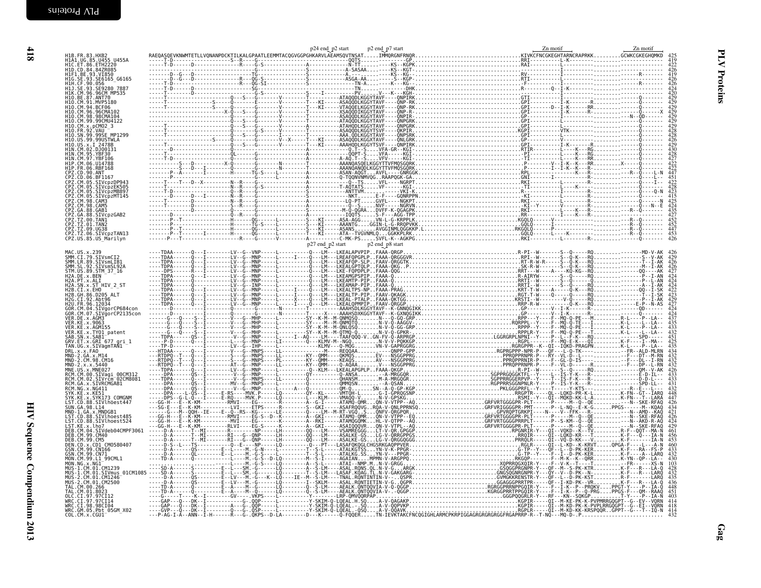| H1B. FR. 83. HXB2<br>H1A1.UG.85.U455 U455A                                                                                                                                                                                                                      |  |  |  |                                                                                                                                                                                           |
|-----------------------------------------------------------------------------------------------------------------------------------------------------------------------------------------------------------------------------------------------------------------|--|--|--|-------------------------------------------------------------------------------------------------------------------------------------------------------------------------------------------|
| HIC.ET.86.ETH2220                                                                                                                                                                                                                                               |  |  |  | $\frac{422}{426}$                                                                                                                                                                         |
| HIF1.BE.93.VI850<br>H1G.SE.93.SE6165_G6165                                                                                                                                                                                                                      |  |  |  |                                                                                                                                                                                           |
|                                                                                                                                                                                                                                                                 |  |  |  |                                                                                                                                                                                           |
| H1H.CF.90.056<br>H1J.SE.93.SE9280_7887<br>H1K.CM.96.96CM_MP535                                                                                                                                                                                                  |  |  |  |                                                                                                                                                                                           |
| H10.BE.87.ANT70<br>H10.CM.91.MVP5180<br>H10.CM.94.BCF06                                                                                                                                                                                                         |  |  |  | $\frac{420}{429}$<br>429                                                                                                                                                                  |
|                                                                                                                                                                                                                                                                 |  |  |  |                                                                                                                                                                                           |
| H10.CM.96.96CMA102<br>H10. CM. 98.98CMA104                                                                                                                                                                                                                      |  |  |  | 429                                                                                                                                                                                       |
| H10.CM.99.99CMU4122<br>H10.CM.x.pCM02_3<br>H10.CM.x.pCM02_3<br>H10.FR.92.VAU -<br>H10.SN.99.99SE_MP1299                                                                                                                                                         |  |  |  | $\frac{429}{429}$<br>$\frac{429}{428}$                                                                                                                                                    |
|                                                                                                                                                                                                                                                                 |  |  |  |                                                                                                                                                                                           |
|                                                                                                                                                                                                                                                                 |  |  |  |                                                                                                                                                                                           |
| H10.US.99.99USTWLA<br>H10.US.x.1_2478B<br>H1N.CM.02.DJ00131                                                                                                                                                                                                     |  |  |  |                                                                                                                                                                                           |
| HIN.CM.95.YBF30<br>HIN.CM.97.YBF106                                                                                                                                                                                                                             |  |  |  | $^{429}_{430}$<br>$^{428}_{427}$                                                                                                                                                          |
| HIP.CM.06.U14788                                                                                                                                                                                                                                                |  |  |  | $422$<br>$422$<br>$447$                                                                                                                                                                   |
|                                                                                                                                                                                                                                                                 |  |  |  |                                                                                                                                                                                           |
|                                                                                                                                                                                                                                                                 |  |  |  | $\frac{451}{422}$                                                                                                                                                                         |
|                                                                                                                                                                                                                                                                 |  |  |  |                                                                                                                                                                                           |
| HIP. CR. 06. UI4788<br>CPZ. CO. 90. ANT<br>CPZ. CO. 06. BF1167<br>CPZ. CO. 06. BF1167<br>CPZ. CR. 05. SIVCP2EK505<br>CPZ. CR. 05. SIVCP2EK505<br>CPZ. CR. 03. SIVCP2PM<br>CPZ. CA. 88. CAMB<br>CPZ. CA. 88. CAMB<br>CPZ. CA. 88. CAMB<br>CPZ. CA. 88. CAMB<br>C |  |  |  |                                                                                                                                                                                           |
|                                                                                                                                                                                                                                                                 |  |  |  |                                                                                                                                                                                           |
|                                                                                                                                                                                                                                                                 |  |  |  | $415$<br>$425$<br>$424$<br>$435$<br>$427$                                                                                                                                                 |
| CPZ.TZ.00.TAN1                                                                                                                                                                                                                                                  |  |  |  | $\frac{452}{452}$                                                                                                                                                                         |
| CPZ.TZ.01.TAN2<br>CPZ.TZ.09.UG38                                                                                                                                                                                                                                |  |  |  |                                                                                                                                                                                           |
| ČPŽ.TŽ.06.ŠIVčpzTAN13<br>CPZ.US.85.US_Marilyn                                                                                                                                                                                                                   |  |  |  | $\frac{447}{453}$<br>426                                                                                                                                                                  |
|                                                                                                                                                                                                                                                                 |  |  |  |                                                                                                                                                                                           |
|                                                                                                                                                                                                                                                                 |  |  |  |                                                                                                                                                                                           |
|                                                                                                                                                                                                                                                                 |  |  |  | $\frac{459}{426}$                                                                                                                                                                         |
|                                                                                                                                                                                                                                                                 |  |  |  | 426<br>427                                                                                                                                                                                |
|                                                                                                                                                                                                                                                                 |  |  |  |                                                                                                                                                                                           |
|                                                                                                                                                                                                                                                                 |  |  |  | 424<br>424<br>424<br>422<br>423<br>429<br>427                                                                                                                                             |
|                                                                                                                                                                                                                                                                 |  |  |  |                                                                                                                                                                                           |
|                                                                                                                                                                                                                                                                 |  |  |  |                                                                                                                                                                                           |
|                                                                                                                                                                                                                                                                 |  |  |  |                                                                                                                                                                                           |
|                                                                                                                                                                                                                                                                 |  |  |  | $424$<br>$424$<br>$437$<br>$435$<br>$433$                                                                                                                                                 |
|                                                                                                                                                                                                                                                                 |  |  |  |                                                                                                                                                                                           |
|                                                                                                                                                                                                                                                                 |  |  |  |                                                                                                                                                                                           |
|                                                                                                                                                                                                                                                                 |  |  |  |                                                                                                                                                                                           |
|                                                                                                                                                                                                                                                                 |  |  |  | $425\n434\n434\n432\n432\n433\n433\n433\n433\n433\n433\n433\n433\n433\n433\n433\n433\n433\n433\n433\n433\n433\n433\n433\n433\n433\n433\n433\n433\n433\n433\n433\n433\n433\n433\n433\n433$ |
|                                                                                                                                                                                                                                                                 |  |  |  |                                                                                                                                                                                           |
|                                                                                                                                                                                                                                                                 |  |  |  |                                                                                                                                                                                           |
|                                                                                                                                                                                                                                                                 |  |  |  |                                                                                                                                                                                           |
|                                                                                                                                                                                                                                                                 |  |  |  |                                                                                                                                                                                           |
|                                                                                                                                                                                                                                                                 |  |  |  |                                                                                                                                                                                           |
|                                                                                                                                                                                                                                                                 |  |  |  | $\frac{448}{447}$<br>$426$                                                                                                                                                                |
|                                                                                                                                                                                                                                                                 |  |  |  |                                                                                                                                                                                           |
|                                                                                                                                                                                                                                                                 |  |  |  |                                                                                                                                                                                           |
|                                                                                                                                                                                                                                                                 |  |  |  |                                                                                                                                                                                           |
|                                                                                                                                                                                                                                                                 |  |  |  | $421$<br>$426$<br>$424$<br>$461$<br>$456$<br>$453$                                                                                                                                        |
|                                                                                                                                                                                                                                                                 |  |  |  |                                                                                                                                                                                           |
|                                                                                                                                                                                                                                                                 |  |  |  |                                                                                                                                                                                           |
|                                                                                                                                                                                                                                                                 |  |  |  | $\frac{460}{433}$<br>$432$                                                                                                                                                                |
|                                                                                                                                                                                                                                                                 |  |  |  | 430<br>$\frac{103}{2}$                                                                                                                                                                    |
|                                                                                                                                                                                                                                                                 |  |  |  |                                                                                                                                                                                           |
|                                                                                                                                                                                                                                                                 |  |  |  |                                                                                                                                                                                           |
|                                                                                                                                                                                                                                                                 |  |  |  | 448                                                                                                                                                                                       |
|                                                                                                                                                                                                                                                                 |  |  |  |                                                                                                                                                                                           |
|                                                                                                                                                                                                                                                                 |  |  |  |                                                                                                                                                                                           |
|                                                                                                                                                                                                                                                                 |  |  |  |                                                                                                                                                                                           |
|                                                                                                                                                                                                                                                                 |  |  |  |                                                                                                                                                                                           |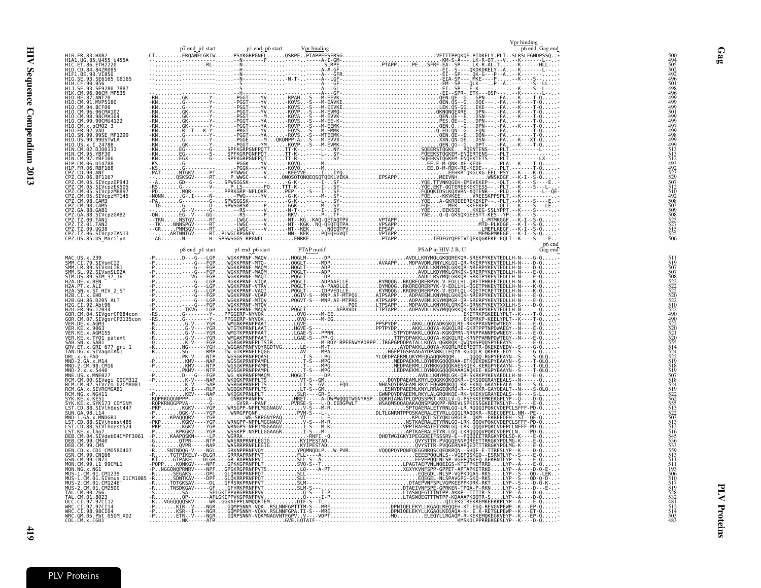|                                                                                                                                                                                                                                                                 |  |  | Vpr binding |  |
|-----------------------------------------------------------------------------------------------------------------------------------------------------------------------------------------------------------------------------------------------------------------|--|--|-------------|--|
|                                                                                                                                                                                                                                                                 |  |  |             |  |
| H1B.FR.83.HXB2<br>H1A1.UG.85.U455 U455A<br>H1C.ET.86.ETH2220                                                                                                                                                                                                    |  |  |             |  |
| H1D.CD.84.84ZR085<br>HIF1.0.04.042.042.05<br>HIF1.BE.93.VI850<br>HIH.CF.90.056<br>HIH.CF.90.056                                                                                                                                                                 |  |  |             |  |
|                                                                                                                                                                                                                                                                 |  |  |             |  |
| H10.BE.87.ANT70                                                                                                                                                                                                                                                 |  |  |             |  |
| H1O.CM.91.MVP5180<br>H10.CM.94.BCF06                                                                                                                                                                                                                            |  |  |             |  |
| H10.CM.96.96CMA102                                                                                                                                                                                                                                              |  |  |             |  |
| H10.CM.98.98CM4104<br>H10.CM.98.98CM4104<br>H10.CM.99.99CMU4122<br>H10.CM.x.pCM02_3                                                                                                                                                                             |  |  |             |  |
| H10.SN.99.99SE MP1299<br>H10.US.99.99USTWLA                                                                                                                                                                                                                     |  |  |             |  |
| H10. US. 99. 99. 99051 WL<br>H10. US. x. 1 2478B<br>H1N. CM. 95. YBF30<br>H1N. CM. 97. YBF106<br>H1P. CM. 06. U14788<br>H1P. FR. 06. RBF168<br>H1P. FR. 06. RBF168                                                                                              |  |  |             |  |
|                                                                                                                                                                                                                                                                 |  |  |             |  |
|                                                                                                                                                                                                                                                                 |  |  |             |  |
|                                                                                                                                                                                                                                                                 |  |  |             |  |
|                                                                                                                                                                                                                                                                 |  |  |             |  |
| CPZ.CM.05.SIVCpzEK505<br>CPZ.CM.05.SIVCpzEK505<br>CPZ.CM.05.SIVCpzMB897<br>CPZ.CM.98.CAM3<br>CPZ.CM.98.CAM5                                                                                                                                                     |  |  |             |  |
|                                                                                                                                                                                                                                                                 |  |  |             |  |
| CPZ.GA.88.GAB1<br>CPZ.GA.88.SIVcpzGAB2                                                                                                                                                                                                                          |  |  |             |  |
| СР2.09.30.31VCP20AB2<br>CPZ.TZ.00.TAN1<br>CPZ.TZ.01.TAN2<br>CPZ.TZ.06.GIVcpzTAN13<br>CPZ.US.85.US_Marilyn                                                                                                                                                       |  |  |             |  |
|                                                                                                                                                                                                                                                                 |  |  |             |  |
|                                                                                                                                                                                                                                                                 |  |  |             |  |
|                                                                                                                                                                                                                                                                 |  |  |             |  |
|                                                                                                                                                                                                                                                                 |  |  |             |  |
| MAC.US.x.239<br>SMM.CI.79.SIVsmCI2<br>SMM.LR.89.SIVsmLIB1<br>SMM.SL.92.SIVsmSL92A<br>SIM.US.89.SIM_37_16                                                                                                                                                        |  |  |             |  |
| H2A.DE.x.BEN<br>H2A.PT.x.ALI<br>H2A.SN.x.ST HIV 2 ST                                                                                                                                                                                                            |  |  |             |  |
| H2B.CI.X.5H0<br>H2B.CI.X.EHO<br>H2B.GH.86.D205 ALT<br>H2G.CI.92.Abt96<br>H2U.FR.96.12034                                                                                                                                                                        |  |  |             |  |
|                                                                                                                                                                                                                                                                 |  |  |             |  |
|                                                                                                                                                                                                                                                                 |  |  |             |  |
| VER.DE.x.AGM3                                                                                                                                                                                                                                                   |  |  |             |  |
|                                                                                                                                                                                                                                                                 |  |  |             |  |
| VER.UE.X.AGW3<br>VER.KE.x.AGM155<br>VER.KE.x.AGM155<br>SAB.SN.x.SAB1<br>GRV.ET.x.GRI 677 gri_1<br>GRV.ET.x.GRI 677 gri_1<br>DDU.V.x.SAQ                                                                                                                         |  |  |             |  |
|                                                                                                                                                                                                                                                                 |  |  |             |  |
|                                                                                                                                                                                                                                                                 |  |  |             |  |
|                                                                                                                                                                                                                                                                 |  |  |             |  |
|                                                                                                                                                                                                                                                                 |  |  |             |  |
|                                                                                                                                                                                                                                                                 |  |  |             |  |
| TAN. UG. x. SIVagmTAÑ1 -<br>TAN. UG. x. SIVagmTAÑ1 -<br>MND-2. CA. x. 5440<br>MND-2. CM. 98. CM16<br>MND-2. x. x. 5440<br>MNE. US. x. MNE027<br>RCM. CM. 02. SIVCEMT-02CM8081<br>RCM. CM. x. NG411<br>SYK. KE. x. SYK173. COMGNM<br>SYK. KE. x. SYK173. C       |  |  |             |  |
|                                                                                                                                                                                                                                                                 |  |  |             |  |
|                                                                                                                                                                                                                                                                 |  |  |             |  |
|                                                                                                                                                                                                                                                                 |  |  |             |  |
|                                                                                                                                                                                                                                                                 |  |  |             |  |
| LST. CD. 88. SIVINDest447<br>SUN. GA. 98. LI4<br>NND-1. GA. x. MNDGB1<br>LST. CD. 88. SIVINDest485<br>LST. CD. 88. SIVINDest485<br>LST. KE. x. 1. ho7<br>DEB. CM. 99. CM40<br>DEB. CM. 99. CM40<br>GSN. CM. 99. CNT<br>GSN. CM. 99. CNT1<br>MON. NG. x. NG1<br> |  |  |             |  |
| MON.NG.x.NGI                                                                                                                                                                                                                                                    |  |  |             |  |
|                                                                                                                                                                                                                                                                 |  |  |             |  |
|                                                                                                                                                                                                                                                                 |  |  |             |  |
|                                                                                                                                                                                                                                                                 |  |  |             |  |
| MON. NG. x. NGI<br>MUS - 1. CM. 01. CM1239<br>MUS - 2. CM. 01. CM1239<br>MUS - 2. CM. 01. CM1246<br>MUS - 2. CM. 01. CM1246<br>TAL. CM. 00. 266<br>TAL. CM. 00. 266<br>DCC. CT. 97. 97CT12<br>MRC. CT. 97. 97CT12<br>MRC. CM. 05. PDT. 14<br>MRC. CM. 05. PD    |  |  |             |  |
|                                                                                                                                                                                                                                                                 |  |  |             |  |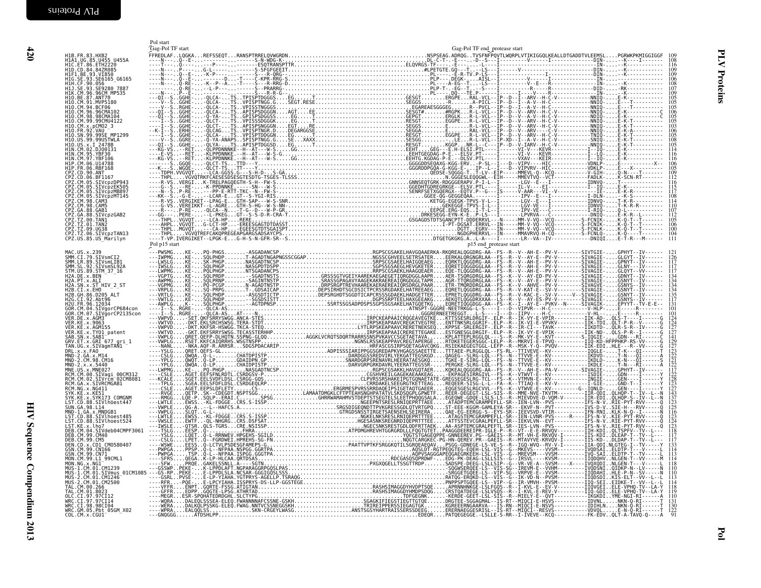<span id="page-15-0"></span>

| H1B.FR.83.HXB2<br>H1A1.UG.85.U455_U455A                                                                                                                                                                                                                                                   | Gag-Pol TF start |  | Gag-Pol TF end_protease start |  | 108                             |
|-------------------------------------------------------------------------------------------------------------------------------------------------------------------------------------------------------------------------------------------------------------------------------------------|------------------|--|-------------------------------|--|---------------------------------|
| H1C.ET.86.ETH2220<br>H1D.CD.84.842R085<br>H1F1.BE.93.VI850<br>H1G.SE.93.SE6165<br>H1H.CF.90.056<br>H1H.CF.90.056                                                                                                                                                                          |                  |  |                               |  | 116<br>109                      |
|                                                                                                                                                                                                                                                                                           |                  |  |                               |  | 106<br>107                      |
| H11. SE. 93. SE9280 7887<br>H1K. CM. 96. 96CM MP535<br>H1O. BE. 87. ANT70<br>H1O. CM. 91. MVP5180                                                                                                                                                                                         |                  |  |                               |  | 109<br>$\frac{105}{105}$        |
| H10. CM. 94. BCF06<br>H10. CM. 96. 96CMA102<br>H10. CM. 98. 98CMA104<br>H10. CM. 99. 99CMU4122                                                                                                                                                                                            |                  |  |                               |  | $\frac{106}{105}$               |
| H10.CM.x.pCM02_3<br>H10.FR.92.VAU -<br>H10.FR.92.VAU -<br>H10.SN.99.99SE_MP1299                                                                                                                                                                                                           |                  |  |                               |  | 106                             |
| HĪŌ.ŪS.99.99USTWLA                                                                                                                                                                                                                                                                        |                  |  |                               |  | 105                             |
| H10.US.x.1 2478B<br>H1N.CM.02.DJ00131<br>H1N.CM.95.YBF30<br>H1N.CM.97.YBF106                                                                                                                                                                                                              |                  |  |                               |  | 114<br>116                      |
|                                                                                                                                                                                                                                                                                           |                  |  |                               |  | 109                             |
|                                                                                                                                                                                                                                                                                           |                  |  |                               |  | 116                             |
|                                                                                                                                                                                                                                                                                           |                  |  |                               |  | $\frac{115}{117}$<br>108<br>114 |
| HIN. CM. 96: UJ44788<br>HIP. CM. 06: UJ44788<br>CPZ. CD. 06: BF1167<br>CPZ. CD. 06: BF1167<br>CPZ. CM. 05: STUCp2DP943<br>CPZ. CM. 05: STUCp2DP943<br>CPZ. CM. 05: STUCp2M6497<br>CPZ. CM. 06: STUCp2M6497<br>CPZ. CM. 08: SAMS<br>CPZ. CM. 08:<br>CPZ.GA.88.SIVCpzGAB2<br>CPZ.TZ.00.TAN1 |                  |  |                               |  | 110<br>107                      |
| CPZ.TZ.00.1AN2<br>CPZ.TZ.01.TAN2<br>CPZ.TZ.09.UG38<br>CPZ.TZ.06.SIVCPZTAN13                                                                                                                                                                                                               |                  |  |                               |  | 105<br>106<br>100               |
| CPZ.US.85.US Marilyn                                                                                                                                                                                                                                                                      | Pol p15 start    |  |                               |  | 104                             |
|                                                                                                                                                                                                                                                                                           |                  |  | p15 end_protease start        |  |                                 |
|                                                                                                                                                                                                                                                                                           |                  |  |                               |  |                                 |
|                                                                                                                                                                                                                                                                                           |                  |  |                               |  |                                 |
|                                                                                                                                                                                                                                                                                           |                  |  |                               |  |                                 |
|                                                                                                                                                                                                                                                                                           |                  |  |                               |  |                                 |
|                                                                                                                                                                                                                                                                                           |                  |  |                               |  |                                 |
|                                                                                                                                                                                                                                                                                           |                  |  |                               |  |                                 |
|                                                                                                                                                                                                                                                                                           |                  |  |                               |  |                                 |
|                                                                                                                                                                                                                                                                                           |                  |  |                               |  |                                 |
|                                                                                                                                                                                                                                                                                           |                  |  |                               |  |                                 |
|                                                                                                                                                                                                                                                                                           |                  |  |                               |  |                                 |
|                                                                                                                                                                                                                                                                                           |                  |  |                               |  |                                 |
|                                                                                                                                                                                                                                                                                           |                  |  |                               |  |                                 |
|                                                                                                                                                                                                                                                                                           |                  |  |                               |  |                                 |
|                                                                                                                                                                                                                                                                                           |                  |  |                               |  |                                 |
|                                                                                                                                                                                                                                                                                           |                  |  |                               |  |                                 |
|                                                                                                                                                                                                                                                                                           |                  |  |                               |  |                                 |
|                                                                                                                                                                                                                                                                                           |                  |  |                               |  |                                 |
|                                                                                                                                                                                                                                                                                           |                  |  |                               |  |                                 |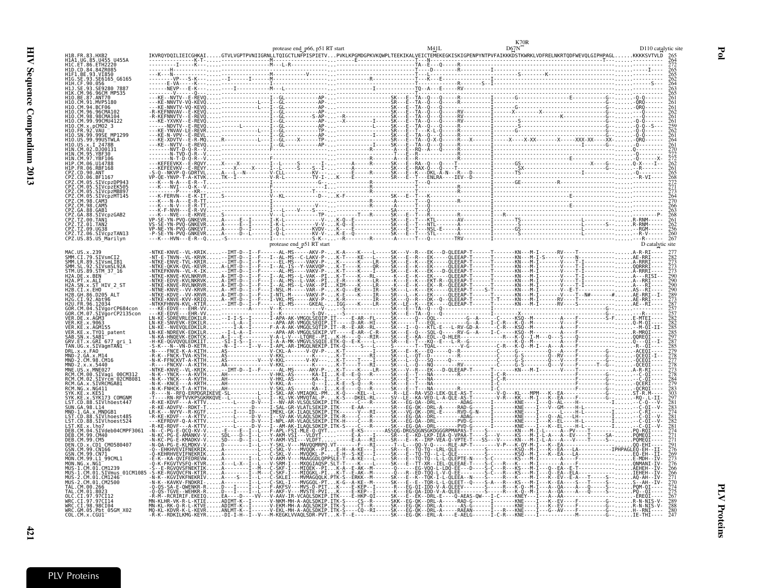|                          |                                                                                                                                                          |                                 | protease end p66, p51 RT start                          |  |  |                                   | D110 catalytic site      |
|--------------------------|----------------------------------------------------------------------------------------------------------------------------------------------------------|---------------------------------|---------------------------------------------------------|--|--|-----------------------------------|--------------------------|
|                          | H1B.FR.83.HXB2<br>H1A1.UG.85.U455 U455A<br>H1C.ET.86.ETH2220<br>H1D.CD.84.842R085<br>H1F1.BE.93.VT850<br>H1G.SE.93.SE6165 G616!<br>H1H.CE.93.956050 7007 |                                 |                                                         |  |  |                                   |                          |
|                          | SE6165 G6165<br>HIJ.SE.93.SE9280 7887<br>96CM MP535                                                                                                      |                                 |                                                         |  |  |                                   |                          |
|                          | MVP5180<br>BCF06                                                                                                                                         |                                 |                                                         |  |  |                                   |                          |
| H10.CM.96.<br>H10.CM.98. | .96CMA102<br>98CMA104<br>.CM.99.99CMU4122                                                                                                                |                                 |                                                         |  |  |                                   |                          |
|                          |                                                                                                                                                          |                                 |                                                         |  |  |                                   |                          |
|                          |                                                                                                                                                          |                                 |                                                         |  |  |                                   |                          |
| H1P.FR.06.               | 1114788<br>RBF168.<br>. CD . 90 . ANT                                                                                                                    |                                 |                                                         |  |  |                                   |                          |
|                          | PZ.CM.05.SIVcpzDP943<br>PZ.CM.05.SIVcpzEK505                                                                                                             |                                 |                                                         |  |  |                                   |                          |
| PZ.CM.98.                | PZ.CM.05.SIVcpzMB897<br>PZ.CM.05.SIVcpzMT145<br>CPZ.CM.98.CAM5                                                                                           |                                 |                                                         |  |  |                                   |                          |
|                          | 88.GAB1<br>ČPZ.GA.88.SIVCpzGAB2<br>CPZ.TZ.00.TAN1<br>CPZ.TZ.01.TAN2                                                                                      |                                 |                                                         |  |  |                                   |                          |
|                          | CPZ.TZ.09.UG38<br>CPZ.TZ.09.UG38<br>CPZ.TZ.06.SIVcpzTAN13<br>CPZ.US.85.US_Marilyn                                                                        |                                 |                                                         |  |  |                                   |                          |
|                          |                                                                                                                                                          |                                 | protease end_p51 RT start<br>----AL-MS-----AKV-P-K-A--- |  |  | ---RV----T-------------A-R-RI---- | D catalytic site         |
|                          | MAC.US.x.239<br>SMM.CI.79.SIVsmCI2<br>SMM.LR.89.SIVsmLIB1<br>SMM.SL.92.SIVsmSL92A<br>STM.US.89.SIM_37_16                                                 |                                 |                                                         |  |  |                                   |                          |
|                          | H2A.DE.x.BEN<br>H2A.PT.x.ALI<br>H2A.SN.x.ST HIV_2_ST<br>H2B.CI.x.EHO                                                                                     |                                 |                                                         |  |  |                                   | $\frac{5}{90}$           |
|                          | H2B.GH.86.D205 ALT<br>H2G.CI.92.Abt96                                                                                                                    |                                 |                                                         |  |  |                                   |                          |
|                          | H2Ŭ.FR.96.12034<br>GOR.CM.04.SIVgo<br>SIVgorCP684con<br>SIVğorCP2135con<br>.DE.x.AGM3                                                                    |                                 |                                                         |  |  |                                   |                          |
| ver<br>Ver               | .KE.x.9063<br>.KE.x.AGM155<br>.KE.x.TY01 patent                                                                                                          |                                 |                                                         |  |  |                                   |                          |
|                          | SAB.SN.x.SAB1 <sup>--</sup><br>GRV.ET.x.GRI 677 gri 1<br>TAN.UG.x.SIVagmTAN1<br>DRL.x.x.FAO                                                              |                                 |                                                         |  |  |                                   |                          |
|                          | MND-2.GA.x.M14<br>MND-2.CM.98.CM16<br>2. x. x. 5440                                                                                                      |                                 |                                                         |  |  |                                   |                          |
|                          | MNP-2.4.4.944<br>MNE.US.x.MNE027<br>RCM.CM.00.SIVagi_00CM312<br>RCM.CM.02.SIVrcm <sup>-</sup> 02CM8081<br>RCM.GA.x.SIVRCMGAB1                            |                                 |                                                         |  |  |                                   |                          |
|                          | .GA.x.SIVRCMGAB1<br>$NG \times NG411$<br>.KE.x.SYK173 COMGNM                                                                                             |                                 |                                                         |  |  |                                   |                          |
|                          | .CD.88.SIVlhoest447<br>SUN.GA.98.L14<br>MND-1.GA.x.MNDGB1                                                                                                |                                 |                                                         |  |  |                                   |                          |
|                          | CD.88.SIVlhoest485<br>ST.CD.88.SIVlhoest524<br>CM.04.SIVdeb04CMPF306                                                                                     |                                 |                                                         |  |  |                                   |                          |
|                          | CM.99.CM40<br>DEB.CM.99.CM5<br>DEB.CM.99.CM5<br>DEN.CD.x.CD1_CM0580407<br>GSN.CM.99.CN166<br>GSN.CM.99.CN71                                              |                                 |                                                         |  |  |                                   |                          |
|                          | MON.CM.99.Ll_99CML1<br>MON.NG.x.NG1                                                                                                                      |                                 |                                                         |  |  |                                   |                          |
|                          | MUS-1.CM.01.CM1239<br>.CM.01.SIVmus 01CM1085<br>.CM1246                                                                                                  |                                 |                                                         |  |  |                                   |                          |
|                          | 2.CM.01.CM2500<br>CM 00 266<br>TAL.CM.01.8023                                                                                                            | - T - - L - - - F - AKF         | .A--------I--L---C-SKL-I---MVGGQL-PTK<br><b>AKFS</b>    |  |  |                                   |                          |
|                          | CT.97.97CT14<br>WRC.CI.98.98CI04<br>WRC.GM.05.Pbt_05GM_X02<br>COL.CM.x.CGU1                                                                              | <b>ADTMT</b><br>$\ldots$ ADIMT- | -V-EKM-MH-A-AOLSDKIP.ITK-S---                           |  |  |                                   | 275<br>267<br>289<br>288 |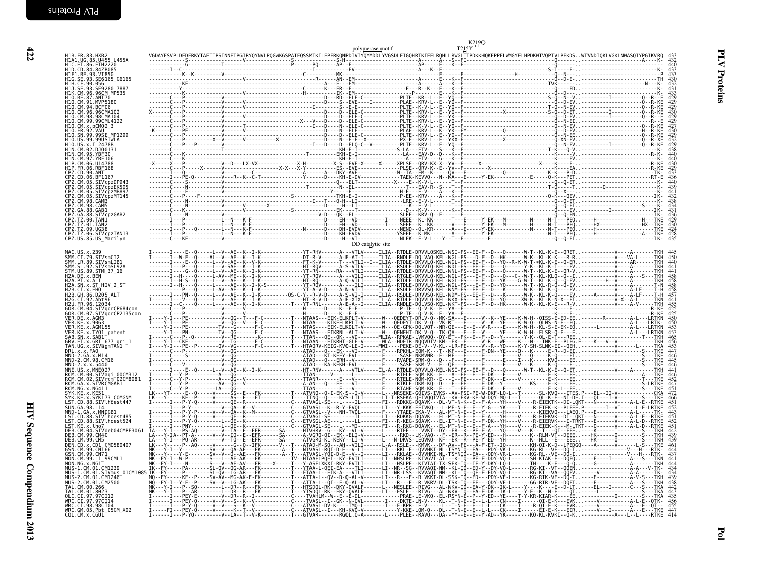| H1B.FR.83.HXB2<br>H1A1.UG.85.U455_U455A<br>HIC.ET.86.ETH2220<br>HID.CD.84.84ZR085                                                                                                                                                                         |  |                   |  | 433<br>432<br>440                                    |
|-----------------------------------------------------------------------------------------------------------------------------------------------------------------------------------------------------------------------------------------------------------|--|-------------------|--|------------------------------------------------------|
| H1F1.BE.93.VI850<br>H1F1.BE.93.VI850<br>H1G.SE.93.SE6165_G6165<br>H1H.CF.90.056                                                                                                                                                                           |  |                   |  | $\frac{433}{433}$                                    |
| HIH.CP.90.096<br>HIJ.SE.93.SE9280_7887<br>HIK.CM.96.96CM_MP535<br>HIO.BE.87.ANT70                                                                                                                                                                         |  |                   |  |                                                      |
| H10.CM.91.MVP5180                                                                                                                                                                                                                                         |  |                   |  | 429                                                  |
| H10. CM. 94. BCF06<br>H10. CM. 94. BCF06<br>H10. CM. 96. 96CMA102<br>H10. CM. 99. 99CMU4122                                                                                                                                                               |  |                   |  |                                                      |
| H10.CM.x.pCM02_3<br>H10.CM.x.pCM02_3                                                                                                                                                                                                                      |  |                   |  |                                                      |
| H10.5N.39.99SE MP1299<br>H10.US.99.99USTWLA<br>H10.US.x.I 2478B<br>H1N.CM.02.DJ00131                                                                                                                                                                      |  |                   |  | 429<br>430<br>429<br>427<br>430<br>432<br>432<br>429 |
|                                                                                                                                                                                                                                                           |  |                   |  |                                                      |
|                                                                                                                                                                                                                                                           |  |                   |  | $440$<br>$430$<br>$429$<br>$433$                     |
| HIN. CM. 82. DJ00131<br>HIN. CM. 95. YBF196<br>HIP. CM. 66. UI4788<br>HIP. CM. 66. UI4788<br>CPZ. CM. 66. UI4788<br>CPZ. CM. 66. SITVCP2PP43<br>CPZ. CM. 69. SITVCP2PP43<br>CPZ. CM. 69. SITVCP2PR6997<br>CPZ. CM. 69. SITVCP2PR6997<br>CPZ. CM. 69. SITV |  |                   |  |                                                      |
|                                                                                                                                                                                                                                                           |  |                   |  | $\frac{440}{2}$<br>439                               |
|                                                                                                                                                                                                                                                           |  |                   |  |                                                      |
| CPZ.CM.98.CAM5<br>CPZ.GA.88.GAB1                                                                                                                                                                                                                          |  |                   |  |                                                      |
| CPZ.GA.88.SIVcpzGAB2<br>CPZ.TZ.00.TAN1<br>CPZ.TZ.01.TAN2                                                                                                                                                                                                  |  |                   |  |                                                      |
| CPZ.TZ.09.UG38<br>CPZ.TZ.06.SIVCpzTAN13<br>CPZ.US.85.US Marilyn                                                                                                                                                                                           |  |                   |  | $424$<br>$428$<br>$435$                              |
| MAC. US. x. 239                                                                                                                                                                                                                                           |  | DD catalytic site |  |                                                      |
| MAC. 03. X.239<br>SMM. LR. 89. SIVsmCI2<br>SMM. LR. 89. SIVsmLIB1<br>STM. US. 89. STM 37_16<br>H2A. DE. x. BEN<br>H2A. DE. x. BEN                                                                                                                         |  |                   |  | 440                                                  |
|                                                                                                                                                                                                                                                           |  |                   |  | $\frac{441}{441}$                                    |
|                                                                                                                                                                                                                                                           |  |                   |  |                                                      |
| H2A. PT. x. ALT<br>H2A. PT. x. ALT<br>H2A. SN. x. ST_HIV_2_ST<br>H2B. CH. 86. D205_ALT<br>H2B. CH. 86. D205_ALT<br>H2G. CI. 92. Abt96                                                                                                                     |  |                   |  |                                                      |
|                                                                                                                                                                                                                                                           |  |                   |  | $455$<br>$425$<br>$425$<br>$450$<br>$450$            |
| H2U.FR.96.12034<br>GOR.CM.04.SIVgorCP684con<br>GOR.CM.04.SIVgorCP684con<br>VER.DE.x.AGM3<br>VER.KE.x.9063                                                                                                                                                 |  |                   |  |                                                      |
| VER.KE.X.3003<br>VER.KE.X.AGM155<br>SAB.SN.X.SAB1<br>GRV.ET.X.GRI<br>GRV.ET.X.GRI<br>TAN.JG.X.SIVagmTAN1<br>TAN.JG.X.SIVagmTAN1<br>TAN.JG.X.SIVagmTAN1                                                                                                    |  |                   |  |                                                      |
|                                                                                                                                                                                                                                                           |  |                   |  |                                                      |
| DRL.x.x.FA0<br>MND-2.GA.x.M14<br>MND-2.CM.98.CM16                                                                                                                                                                                                         |  |                   |  | $\frac{446}{445}$                                    |
| MND-2.x.x.5440<br>MNE.US.x.MNE027<br>RCM.CM.00.SIVagi_00CM312                                                                                                                                                                                             |  |                   |  | $\frac{446}{441}$<br>$\frac{446}{446}$               |
| RCM.CM.02.SIVrcm <sup>-02</sup> CM8081<br>RCM.GA.x.SIVRCMGAB1                                                                                                                                                                                             |  |                   |  | $452$<br>$447$<br>$451$<br>$472$                     |
| RCM.NG.x.NG411<br>SYK.KE.x.KE51<br>SYK.KE.x.SYK173 COMGNM<br>LST.CD.88.SIVlhoest447                                                                                                                                                                       |  |                   |  | $46\overline{6}$                                     |
|                                                                                                                                                                                                                                                           |  |                   |  | $451$<br>$452$<br>$443$<br>$451$<br>$452$            |
| LSJ. (GA. 98. L14<br>SUN. GA. 98. L14<br>LST. CD. 88. SIVlhoest485<br>LST. CD. 88. SIVlhoest485<br>LST. KE. X. lho7<br>DEB. CM. 04. SIV/deb04CMPF3061<br>DEB. CM. 04. SIV/deb04CMPF3061                                                                   |  |                   |  |                                                      |
|                                                                                                                                                                                                                                                           |  |                   |  | $\frac{442}{439}$                                    |
| DEB. CM. 04. STVdeb04CMPF3061 IA-1<br>DEB. CM. 99. CM40<br>DEN. CD. x. CD1 CM0580407<br>DEN. CD. x. CD1 CM0580407<br>GSN. CM. 99. CN1 CM0580407<br>GSN. CM. 99. CN71<br>MON. CM. 99. L1 99CML1<br>MUS-1. CM. 01. CM1239<br>MUS-1. CM. 01. CM1240<br>MUS-2 |  |                   |  | $\frac{461}{444}$                                    |
|                                                                                                                                                                                                                                                           |  |                   |  |                                                      |
|                                                                                                                                                                                                                                                           |  |                   |  | $\frac{444}{434}$                                    |
|                                                                                                                                                                                                                                                           |  |                   |  |                                                      |
| TAL.CM.01.8023<br>OLC.CI.97.97CI12<br>WRC.CI.97.97CI14                                                                                                                                                                                                    |  |                   |  | $438$<br>$442$<br>$443$<br>$435$                     |
| WRC.CI.98.98CI04                                                                                                                                                                                                                                          |  |                   |  | $\frac{456}{455}$                                    |
| WRC.GM.05.Pbt_05GM_X02<br>COL.CM.x.CGU1                                                                                                                                                                                                                   |  |                   |  | 447<br>414                                           |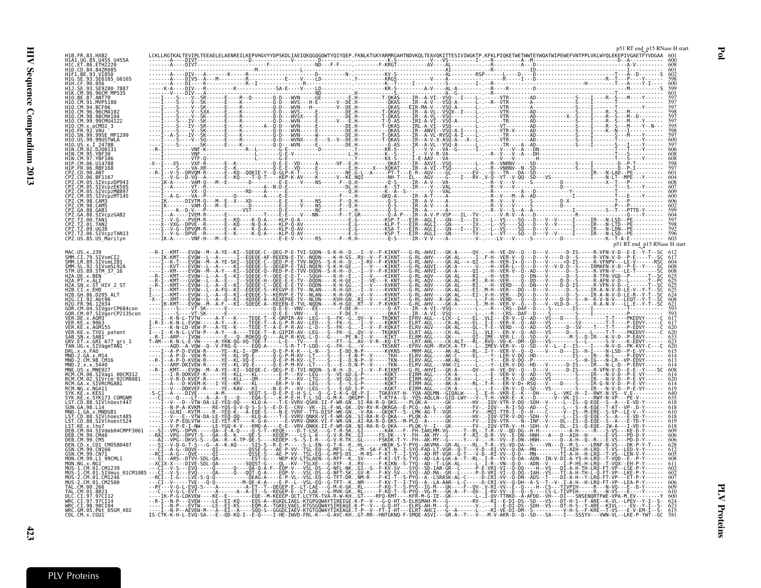| SE6165 G6165                                       |                                                                    |                                                                                                                                                                                                                                     |               |                                                                |                                                                                                                                                                              |                                                                                                                                                                                                                                                                                                                                                                                                                                                                                                                                                                                               |  |
|----------------------------------------------------|--------------------------------------------------------------------|-------------------------------------------------------------------------------------------------------------------------------------------------------------------------------------------------------------------------------------|---------------|----------------------------------------------------------------|------------------------------------------------------------------------------------------------------------------------------------------------------------------------------|-----------------------------------------------------------------------------------------------------------------------------------------------------------------------------------------------------------------------------------------------------------------------------------------------------------------------------------------------------------------------------------------------------------------------------------------------------------------------------------------------------------------------------------------------------------------------------------------------|--|
| 280 7887<br>96CM MP535                             |                                                                    |                                                                                                                                                                                                                                     |               |                                                                |                                                                                                                                                                              |                                                                                                                                                                                                                                                                                                                                                                                                                                                                                                                                                                                               |  |
| ANT70                                              |                                                                    |                                                                                                                                                                                                                                     |               |                                                                |                                                                                                                                                                              |                                                                                                                                                                                                                                                                                                                                                                                                                                                                                                                                                                                               |  |
|                                                    |                                                                    |                                                                                                                                                                                                                                     |               |                                                                |                                                                                                                                                                              |                                                                                                                                                                                                                                                                                                                                                                                                                                                                                                                                                                                               |  |
|                                                    |                                                                    |                                                                                                                                                                                                                                     |               |                                                                |                                                                                                                                                                              |                                                                                                                                                                                                                                                                                                                                                                                                                                                                                                                                                                                               |  |
|                                                    |                                                                    |                                                                                                                                                                                                                                     |               |                                                                |                                                                                                                                                                              |                                                                                                                                                                                                                                                                                                                                                                                                                                                                                                                                                                                               |  |
|                                                    |                                                                    |                                                                                                                                                                                                                                     |               |                                                                |                                                                                                                                                                              |                                                                                                                                                                                                                                                                                                                                                                                                                                                                                                                                                                                               |  |
|                                                    |                                                                    |                                                                                                                                                                                                                                     |               |                                                                |                                                                                                                                                                              |                                                                                                                                                                                                                                                                                                                                                                                                                                                                                                                                                                                               |  |
|                                                    |                                                                    |                                                                                                                                                                                                                                     |               |                                                                |                                                                                                                                                                              |                                                                                                                                                                                                                                                                                                                                                                                                                                                                                                                                                                                               |  |
|                                                    |                                                                    |                                                                                                                                                                                                                                     |               |                                                                |                                                                                                                                                                              |                                                                                                                                                                                                                                                                                                                                                                                                                                                                                                                                                                                               |  |
| SIVcpzMB897<br>SIVcpzMT145                         |                                                                    |                                                                                                                                                                                                                                     |               |                                                                |                                                                                                                                                                              |                                                                                                                                                                                                                                                                                                                                                                                                                                                                                                                                                                                               |  |
| 98.CAM5                                            |                                                                    |                                                                                                                                                                                                                                     |               |                                                                |                                                                                                                                                                              |                                                                                                                                                                                                                                                                                                                                                                                                                                                                                                                                                                                               |  |
| SIVcpzGAB2                                         |                                                                    |                                                                                                                                                                                                                                     |               |                                                                |                                                                                                                                                                              |                                                                                                                                                                                                                                                                                                                                                                                                                                                                                                                                                                                               |  |
| Z.TZ.01.TAN2                                       |                                                                    |                                                                                                                                                                                                                                     |               |                                                                |                                                                                                                                                                              |                                                                                                                                                                                                                                                                                                                                                                                                                                                                                                                                                                                               |  |
| CPZ.US.85.US Marilyn                               |                                                                    |                                                                                                                                                                                                                                     |               |                                                                |                                                                                                                                                                              |                                                                                                                                                                                                                                                                                                                                                                                                                                                                                                                                                                                               |  |
|                                                    |                                                                    |                                                                                                                                                                                                                                     |               |                                                                |                                                                                                                                                                              | p51 RT end p15 RNase H star                                                                                                                                                                                                                                                                                                                                                                                                                                                                                                                                                                   |  |
| .89.SIVsmLIB1<br>SIVsmSL92A                        |                                                                    |                                                                                                                                                                                                                                     |               |                                                                |                                                                                                                                                                              |                                                                                                                                                                                                                                                                                                                                                                                                                                                                                                                                                                                               |  |
| US.89.STM 37 16                                    |                                                                    |                                                                                                                                                                                                                                     |               |                                                                |                                                                                                                                                                              |                                                                                                                                                                                                                                                                                                                                                                                                                                                                                                                                                                                               |  |
| .x.ST HIV 2 ST                                     |                                                                    |                                                                                                                                                                                                                                     |               |                                                                |                                                                                                                                                                              |                                                                                                                                                                                                                                                                                                                                                                                                                                                                                                                                                                                               |  |
|                                                    |                                                                    |                                                                                                                                                                                                                                     |               |                                                                |                                                                                                                                                                              |                                                                                                                                                                                                                                                                                                                                                                                                                                                                                                                                                                                               |  |
| SIVgorCP684cor<br>/ğorCP2135con                    |                                                                    |                                                                                                                                                                                                                                     |               |                                                                |                                                                                                                                                                              |                                                                                                                                                                                                                                                                                                                                                                                                                                                                                                                                                                                               |  |
|                                                    |                                                                    |                                                                                                                                                                                                                                     |               |                                                                |                                                                                                                                                                              |                                                                                                                                                                                                                                                                                                                                                                                                                                                                                                                                                                                               |  |
| E.x.AGM155<br>.x.TY01 patent                       |                                                                    |                                                                                                                                                                                                                                     |               |                                                                |                                                                                                                                                                              |                                                                                                                                                                                                                                                                                                                                                                                                                                                                                                                                                                                               |  |
| .x.GRI 677 gri 1<br>.SIVāgmTAÑ1                    |                                                                    |                                                                                                                                                                                                                                     |               |                                                                |                                                                                                                                                                              |                                                                                                                                                                                                                                                                                                                                                                                                                                                                                                                                                                                               |  |
|                                                    |                                                                    |                                                                                                                                                                                                                                     |               |                                                                |                                                                                                                                                                              | $\begin{smallmatrix} \textbf{1.1} \end{smallmatrix}\ \begin{smallmatrix} \textbf{1.1} \end{smallmatrix}\ \begin{smallmatrix} \textbf{1.1} \end{smallmatrix}\ \begin{smallmatrix} \textbf{1.1} \end{smallmatrix}\ \begin{smallmatrix} \textbf{1.1} \end{smallmatrix}\ \begin{smallmatrix} \textbf{1.1} \end{smallmatrix}\ \begin{smallmatrix} \textbf{1.1} \end{smallmatrix}\ \begin{smallmatrix} \textbf{1.1} \end{smallmatrix}\ \begin{smallmatrix} \textbf{1.1} \end{smallmatrix}\ \begin{smallmatrix} \textbf{1.1} \end{smallmatrix}\ \begin{smallmatrix} \textbf{1.1} \end{smallmatrix}\$ |  |
|                                                    |                                                                    |                                                                                                                                                                                                                                     |               |                                                                |                                                                                                                                                                              |                                                                                                                                                                                                                                                                                                                                                                                                                                                                                                                                                                                               |  |
| CM.00.SIVaqi 00CM312<br>/rčm <sup>-</sup> 02CM8081 |                                                                    |                                                                                                                                                                                                                                     |               |                                                                |                                                                                                                                                                              |                                                                                                                                                                                                                                                                                                                                                                                                                                                                                                                                                                                               |  |
|                                                    |                                                                    |                                                                                                                                                                                                                                     |               |                                                                |                                                                                                                                                                              |                                                                                                                                                                                                                                                                                                                                                                                                                                                                                                                                                                                               |  |
| <b>COMGNN</b>                                      |                                                                    |                                                                                                                                                                                                                                     |               |                                                                |                                                                                                                                                                              |                                                                                                                                                                                                                                                                                                                                                                                                                                                                                                                                                                                               |  |
| GA.x.MNDGB1<br>SIVlhoest485                        |                                                                    |                                                                                                                                                                                                                                     |               |                                                                |                                                                                                                                                                              |                                                                                                                                                                                                                                                                                                                                                                                                                                                                                                                                                                                               |  |
| <b>STVdeb04CMPF30</b>                              |                                                                    | :E-'VTW-DA-LE-YEQ-QQ--'-KLQ-A----T-E-VVRV-ONKK-VI-F-WR-GNI.'SI-RA-R-Q'<br>EQLVTM----LE-YEQ-RT----K-Q-A------E-VVRV-ONKK-VI-F-WR-GNAI-RA-R-Q'<br>E-I-NW----LE-YEQ-K-V---KMQ-A----E-E--VRV-ONKK-II-F-WR-GNNI-RA-R-Q-<br>-DPVK-----QA- |               |                                                                |                                                                                                                                                                              |                                                                                                                                                                                                                                                                                                                                                                                                                                                                                                                                                                                               |  |
| . 99. CM5                                          |                                                                    |                                                                                                                                                                                                                                     |               |                                                                | .MY--G-----F--RI-.Q-R--VV--E-DN--HNH---A---D--AIH--H--<br>.MY--G-----Y---V-.-F---R--VV--E-DN--HNH------D--A-H--Q--<br>.MA--GR-AL----RL-.T-R--VS-VD-DA--S----VN---D--M-S----L |                                                                                                                                                                                                                                                                                                                                                                                                                                                                                                                                                                                               |  |
| 99.CN166                                           |                                                                    |                                                                                                                                                                                                                                     |               |                                                                |                                                                                                                                                                              |                                                                                                                                                                                                                                                                                                                                                                                                                                                                                                                                                                                               |  |
| .99.L1 99CML                                       | :S - -DTVV - SDL - 0A - - - - - - - - - -                          |                                                                                                                                                                                                                                     |               |                                                                |                                                                                                                                                                              | $-DA - ADN - IN - V$                                                                                                                                                                                                                                                                                                                                                                                                                                                                                                                                                                          |  |
| SIVmus                                             |                                                                    |                                                                                                                                                                                                                                     |               | - T - LGK - AL - - - - - - L<br>- IAR - GR - - L - - - - - - P |                                                                                                                                                                              |                                                                                                                                                                                                                                                                                                                                                                                                                                                                                                                                                                                               |  |
| CM.01.CM1246<br>CM2500                             | - - LVE - S - Q - Q - - - - - - - - - - - - OEAG - A -             |                                                                                                                                                                                                                                     | G-TFT-DRNM-R- |                                                                |                                                                                                                                                                              |                                                                                                                                                                                                                                                                                                                                                                                                                                                                                                                                                                                               |  |
| 970113                                             |                                                                    |                                                                                                                                                                                                                                     |               |                                                                |                                                                                                                                                                              |                                                                                                                                                                                                                                                                                                                                                                                                                                                                                                                                                                                               |  |
| CI.98.98CI04                                       |                                                                    | --EVTW----LE--EI-KS----EQM-A--TGKELVAEL-KTGSGQWAYSIREAGE.                                                                                                                                                                           |               |                                                                |                                                                                                                                                                              |                                                                                                                                                                                                                                                                                                                                                                                                                                                                                                                                                                                               |  |
| WRC.GM.05.Pbt_05GM_X02<br>COL.CM.x.CGU1            | -P--AEVEW-M---A--EI--A----SQQ-S-<br>K-H-L-EVO-SA---E--OD-KO-I--E-O |                                                                                                                                                                                                                                     |               |                                                                |                                                                                                                                                                              |                                                                                                                                                                                                                                                                                                                                                                                                                                                                                                                                                                                               |  |

p51 RT end <sup>p</sup><sup>15</sup> RNase <sup>H</sup> start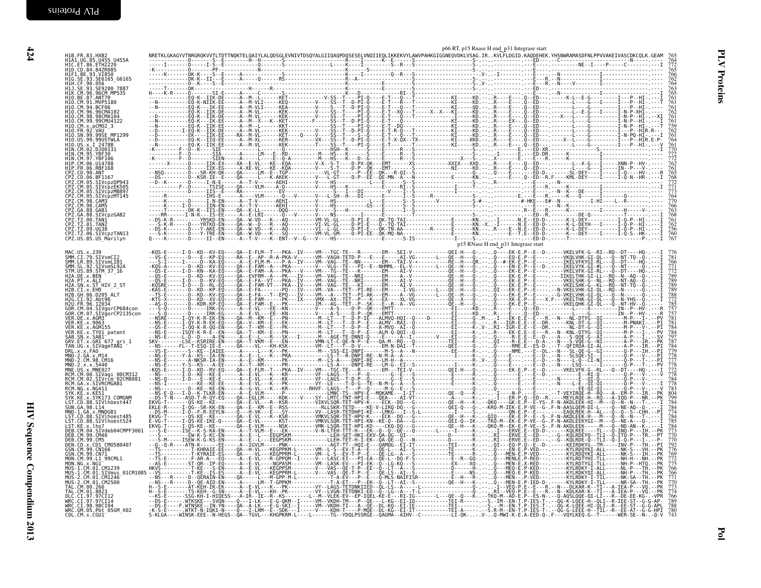| H1B. FR. 83. HXB2<br>H1A1. UG. 85. U455 U455A<br>H1C. ET. 86. ETH2220<br>H1D.CD.84.84ZR085<br>H1F1.BE.93.VI850<br>HIG.SE.93.SE6165_G6165<br>H1H.CF.90.056<br>H1J.SE.93.SE9280_7887<br>HIK.CM.96.96CM MP535<br>H10.BE.87.ANT70<br>H10.CM.91.MVP5180<br>H10.CM.94.BCF06<br>H10.CM.96.96CMA102<br>H10.CM.98.98CMA104<br>H10.CM.99.99CMU4122<br>H10.CM.x.pcM02_3<br>H10.FR.92.VAU<br>H10.FR.92.VAU<br>H10.SN.99.99USTWLA<br>H10.US.x.1_2478B,<br>HIN.CM.02.DJ00131<br>HIN. CM. 95. YBF30<br>HIN. CM. 97. YBF106<br>HIP. CM. 06. U14788<br>HIP. FR. 06. RBF168 |  | METROLOGY INTERNATIONAL OSCIL PROTECTIVE CONTRADO CONTRADO CONTRADO CONTRADO CONTRADO CONTRADO CONTRADO CONTRADO CONTRADO CONTRADO CONTRADO CONTRADO CONTRADO CONTRADO CONTRADO CONTRADO CONTRADO CONTRADO CONTRADO CONTRADO |                                     | $\frac{764}{763}$                                           |
|-----------------------------------------------------------------------------------------------------------------------------------------------------------------------------------------------------------------------------------------------------------------------------------------------------------------------------------------------------------------------------------------------------------------------------------------------------------------------------------------------------------------------------------------------------------|--|------------------------------------------------------------------------------------------------------------------------------------------------------------------------------------------------------------------------------|-------------------------------------|-------------------------------------------------------------|
|                                                                                                                                                                                                                                                                                                                                                                                                                                                                                                                                                           |  |                                                                                                                                                                                                                              |                                     |                                                             |
|                                                                                                                                                                                                                                                                                                                                                                                                                                                                                                                                                           |  |                                                                                                                                                                                                                              |                                     |                                                             |
|                                                                                                                                                                                                                                                                                                                                                                                                                                                                                                                                                           |  |                                                                                                                                                                                                                              |                                     |                                                             |
|                                                                                                                                                                                                                                                                                                                                                                                                                                                                                                                                                           |  |                                                                                                                                                                                                                              |                                     |                                                             |
|                                                                                                                                                                                                                                                                                                                                                                                                                                                                                                                                                           |  |                                                                                                                                                                                                                              |                                     | $\frac{761}{762}$                                           |
|                                                                                                                                                                                                                                                                                                                                                                                                                                                                                                                                                           |  |                                                                                                                                                                                                                              |                                     | 761                                                         |
|                                                                                                                                                                                                                                                                                                                                                                                                                                                                                                                                                           |  |                                                                                                                                                                                                                              |                                     | 762<br>$\frac{761}{764}$                                    |
|                                                                                                                                                                                                                                                                                                                                                                                                                                                                                                                                                           |  |                                                                                                                                                                                                                              |                                     |                                                             |
|                                                                                                                                                                                                                                                                                                                                                                                                                                                                                                                                                           |  |                                                                                                                                                                                                                              |                                     | $761$<br>$770$<br>$772$<br>$772$<br>$762$                   |
| CPZ.CD.90.ANT                                                                                                                                                                                                                                                                                                                                                                                                                                                                                                                                             |  |                                                                                                                                                                                                                              |                                     | 761                                                         |
| CPZ.CD.90.AN1<br>CPZ.CD.06.BT1167<br>CPZ.CM.05.SIVcpzDP943<br>CPZ.CM.05.SIVcpzEK505<br>CPZ.CM.05.SIVcpzMB897<br>CPZ.CM.05.SIVcpzMT145<br>CPZ.CM.98.CAM3                                                                                                                                                                                                                                                                                                                                                                                                   |  |                                                                                                                                                                                                                              |                                     | 768<br>772<br>771<br>773                                    |
|                                                                                                                                                                                                                                                                                                                                                                                                                                                                                                                                                           |  |                                                                                                                                                                                                                              |                                     | 764                                                         |
| CPZ.CM.98.CAM5<br>CPZ.GA.88.GAB1                                                                                                                                                                                                                                                                                                                                                                                                                                                                                                                          |  |                                                                                                                                                                                                                              |                                     |                                                             |
| CPZ.GA.88.SIVCpzGAB2<br>CPZ.TZ.00.TAN1<br>CPZ.TZ.01.TAN2                                                                                                                                                                                                                                                                                                                                                                                                                                                                                                  |  |                                                                                                                                                                                                                              |                                     | 761                                                         |
| CPZ.TZ.09.UG38<br>CPZ.TZ.06.SIVcpzTAN13                                                                                                                                                                                                                                                                                                                                                                                                                                                                                                                   |  |                                                                                                                                                                                                                              |                                     | 760                                                         |
| CPZ.US.85.US_Marilyn                                                                                                                                                                                                                                                                                                                                                                                                                                                                                                                                      |  |                                                                                                                                                                                                                              | p15 RNase H end_p31 Integrase start |                                                             |
| MAC.US.x.239<br>SMM.CI.79.SIVsmCI2<br>SMM.LR.89.SIVsmLIB1                                                                                                                                                                                                                                                                                                                                                                                                                                                                                                 |  |                                                                                                                                                                                                                              |                                     |                                                             |
| SMM. SL. 92. SIVSmSL92A<br>STM. US. 89. STM_37_16                                                                                                                                                                                                                                                                                                                                                                                                                                                                                                         |  |                                                                                                                                                                                                                              |                                     | $\frac{771}{772}$                                           |
| H2A.DE.X.BEN<br>H2A.PT.X.ALI                                                                                                                                                                                                                                                                                                                                                                                                                                                                                                                              |  |                                                                                                                                                                                                                              |                                     | 789<br>789                                                  |
| H2A.SN.x.ST HIV 2 ST<br>H2B.CI.x.EHO<br>H2B. GH. 86. D205 ALT                                                                                                                                                                                                                                                                                                                                                                                                                                                                                             |  |                                                                                                                                                                                                                              |                                     | 789                                                         |
| H2G.CI.92.Abt96<br>H2U.FR.96.12034<br>GOR.CM.04.SIVgorCP684con                                                                                                                                                                                                                                                                                                                                                                                                                                                                                            |  |                                                                                                                                                                                                                              |                                     | 788<br>772<br>785<br>757<br>757<br>757<br>781               |
| GOR.CM.07.SIVgorCP2135con<br>VER.DE.x.AGM3                                                                                                                                                                                                                                                                                                                                                                                                                                                                                                                |  |                                                                                                                                                                                                                              |                                     |                                                             |
| VER.KE.x.9063<br>VER.KE.x.AGM155<br>VER.KE.x.TY01_patent                                                                                                                                                                                                                                                                                                                                                                                                                                                                                                  |  |                                                                                                                                                                                                                              |                                     |                                                             |
| SAB. SN. x. SAB1<br>GRV.ET.x.GRI 677 gri_1<br>TAN.UG.x.SIVagmTAN1                                                                                                                                                                                                                                                                                                                                                                                                                                                                                         |  |                                                                                                                                                                                                                              |                                     |                                                             |
| DRL.x.x.FA0<br>MND-2.GA.x.M14<br>MND-2.CM.98.CM16                                                                                                                                                                                                                                                                                                                                                                                                                                                                                                         |  |                                                                                                                                                                                                                              |                                     | $\frac{787}{784}$<br>$\frac{784}{779}$<br>$\frac{778}{772}$ |
| MND-2.x.x.5440                                                                                                                                                                                                                                                                                                                                                                                                                                                                                                                                            |  |                                                                                                                                                                                                                              |                                     |                                                             |
| MNE.US.x.MNE027<br>RCM.CM.00.SIVagi_00CM312<br>RCM.CM.02.SIVrcm <sup>-0</sup> 02CM8081<br>RCM.GA.x.SIVRCMGAB1                                                                                                                                                                                                                                                                                                                                                                                                                                             |  |                                                                                                                                                                                                                              |                                     | $\frac{778}{772}$                                           |
| RCM.NG.x.NG411<br>SYK.KE.x.KE51                                                                                                                                                                                                                                                                                                                                                                                                                                                                                                                           |  |                                                                                                                                                                                                                              |                                     | $\frac{784}{778}$                                           |
| SYK.KE.x.SYK173_COMGNM<br>LST.CD.88.SIVlhoest447<br>SUN.GA.98.L14                                                                                                                                                                                                                                                                                                                                                                                                                                                                                         |  |                                                                                                                                                                                                                              |                                     | $\frac{804}{799}$                                           |
| MND-1.GA.x.MNDGB1<br>LST.CD.88.SIVlhoest485                                                                                                                                                                                                                                                                                                                                                                                                                                                                                                               |  |                                                                                                                                                                                                                              |                                     | $\frac{784}{784}$<br>$\frac{784}{774}$<br>784               |
| LST.CD.88.SIVlhoest524                                                                                                                                                                                                                                                                                                                                                                                                                                                                                                                                    |  |                                                                                                                                                                                                                              |                                     |                                                             |
| LST.KE.X.Lho7<br>DEB.CM.04.SIVdeb04CMPF3061<br>DEB.CM.99.CM40<br>DEB. CM. 99. CM5                                                                                                                                                                                                                                                                                                                                                                                                                                                                         |  |                                                                                                                                                                                                                              |                                     | 784<br>773<br>770<br>770                                    |
| DEN.CD.x.CD1 CM0580407<br>GSN.CM.99.CN166                                                                                                                                                                                                                                                                                                                                                                                                                                                                                                                 |  |                                                                                                                                                                                                                              |                                     | 792                                                         |
| GSN.CM.99.CN71                                                                                                                                                                                                                                                                                                                                                                                                                                                                                                                                            |  |                                                                                                                                                                                                                              |                                     |                                                             |
| USW.CH: 39. LN/1<br>MON.CH: 99. L1/99CML1<br>MON.NG.x.NG1<br>MUS-1.CM.01.CM1239<br>MUS-1.CM.01.SIVmus_01CM1085                                                                                                                                                                                                                                                                                                                                                                                                                                            |  |                                                                                                                                                                                                                              |                                     | 766                                                         |
| MUS-2.CM.01.CM1246<br>MUS-2.CM.01.CM1246<br>MUS-2.CM.01.CM2500<br>TAL.CM.00.266<br>TAL.CM.01.8023<br>QLC.CI.97.97CI12                                                                                                                                                                                                                                                                                                                                                                                                                                     |  |                                                                                                                                                                                                                              |                                     | 766<br>771<br>771<br>773<br>773                             |
|                                                                                                                                                                                                                                                                                                                                                                                                                                                                                                                                                           |  |                                                                                                                                                                                                                              |                                     | 766                                                         |
| WRC.CI.97.97CI14<br>WRC.CI.98.98CI04<br>WRC.GM.05.Pbt_05GM_X02<br>COL.CM.x.CGU1                                                                                                                                                                                                                                                                                                                                                                                                                                                                           |  |                                                                                                                                                                                                                              |                                     | 780                                                         |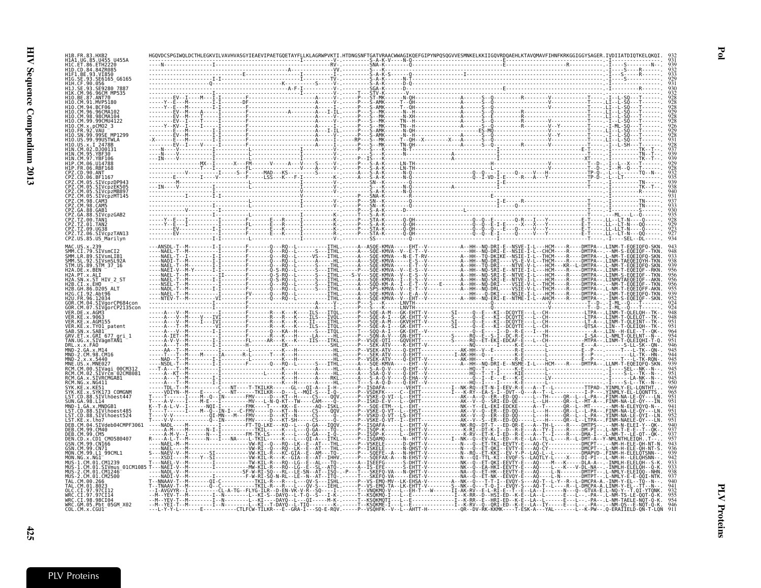|                | SE6165 G6165<br>056                                                                   |                                                                                                                                                                                                                                                                                                                                |                                  |
|----------------|---------------------------------------------------------------------------------------|--------------------------------------------------------------------------------------------------------------------------------------------------------------------------------------------------------------------------------------------------------------------------------------------------------------------------------|----------------------------------|
|                | 96CM MP535                                                                            |                                                                                                                                                                                                                                                                                                                                |                                  |
|                | ANT70<br>MVP5180                                                                      |                                                                                                                                                                                                                                                                                                                                |                                  |
|                | <b>RCF06</b><br>96CMA103                                                              |                                                                                                                                                                                                                                                                                                                                |                                  |
|                | 98CMA104<br>CM.99<br>.99CMU4122                                                       |                                                                                                                                                                                                                                                                                                                                |                                  |
|                | pCM02 3                                                                               |                                                                                                                                                                                                                                                                                                                                |                                  |
|                | .99USTWLA                                                                             |                                                                                                                                                                                                                                                                                                                                |                                  |
|                |                                                                                       |                                                                                                                                                                                                                                                                                                                                |                                  |
|                | DJ00131                                                                               |                                                                                                                                                                                                                                                                                                                                |                                  |
|                |                                                                                       |                                                                                                                                                                                                                                                                                                                                |                                  |
|                |                                                                                       |                                                                                                                                                                                                                                                                                                                                |                                  |
|                | SIVcpzDP943                                                                           |                                                                                                                                                                                                                                                                                                                                |                                  |
|                | SIVcpzEK505<br>SIVcpzMB897                                                            |                                                                                                                                                                                                                                                                                                                                |                                  |
|                | SIVcpzMT145<br>98. CAM3                                                               |                                                                                                                                                                                                                                                                                                                                |                                  |
|                | PZ.CM.98.CAM5<br>PZ.GA.88.GAB1                                                        |                                                                                                                                                                                                                                                                                                                                |                                  |
|                | SIVcpzGAB2                                                                            | . <del>î</del> <del>î</del>                                                                                                                                                                                                                                                                                                    |                                  |
|                | <b>00 TAN1</b><br>PZ.TZ.01.TAN2                                                       |                                                                                                                                                                                                                                                                                                                                |                                  |
|                | PZ.TZ.09.UG38:<br>CPZ.TZ.06.SIVcpzTAN13                                               |                                                                                                                                                                                                                                                                                                                                |                                  |
|                | CPZ.US.85.US Marilyn                                                                  |                                                                                                                                                                                                                                                                                                                                |                                  |
|                | AC 115 x 239<br>M.CI.79.SIVsmCI2                                                      |                                                                                                                                                                                                                                                                                                                                |                                  |
|                | SMM.LR.89.SIVsmLIB1<br>SMM.SL.92.SIVsmSL92A                                           |                                                                                                                                                                                                                                                                                                                                |                                  |
|                | STM. ŪS. 89. <u>ST</u> M_37_16<br>12A.DE.X.BEN                                        |                                                                                                                                                                                                                                                                                                                                | L - NM -<br>E0EI0F0-SKN<br>I TNM |
|                | 12A.PT.x.ALT<br>SN.x.ST HIV 2 ST                                                      |                                                                                                                                                                                                                                                                                                                                | I TNM<br>.LINM\                  |
|                | CI.X.EHO<br>86.D205 ALT                                                               |                                                                                                                                                                                                                                                                                                                                | - NM -<br>$\cdot$ . L - NM -     |
|                | CI.92.Abt96<br>. 12034                                                                | KMVA-                                                                                                                                                                                                                                                                                                                          | ∙INM-T<br>EIOFO-TKN<br>. TNM -   |
|                | .CM.04.SIVgorCP684con                                                                 |                                                                                                                                                                                                                                                                                                                                | - T - MI                         |
|                | SIVgorCP2135con<br>DE.x.AGM3                                                          |                                                                                                                                                                                                                                                                                                                                |                                  |
|                | KE.x.9063<br><b>KE.x.AGM155</b>                                                       | M---GK-EHTT-V---------SI------0--E---KI--DCQYTE---L<br>I---GK-EHTT-V--------SI------Q--E---KI--DCQYTE---L<br>M---GKVEHTT-V--------SI-----Q--E---KI--DCQYTE---L<br>M---GKVEHTT-V--------SI-----Q--E---KI--DCQYTE---L                                                                                                            |                                  |
|                | .KE.x.TY01_patent<br>.SN.x.SAB1                                                       | -A-I---GK-EHTT----------ŠĪ----<br>-A-I---GK-EHT--V--------------<br>. T - - - - - - - - F - - - - - - - Q - - - KA - - H - - - - - - - S -                                                                                                                                                                                     | .LIN--H                          |
|                | ET.x.GRI 677 gri 1<br>.UG.x.SIVagmTAN1                                                |                                                                                                                                                                                                                                                                                                                                |                                  |
|                | x.x.FA0.<br>-2.GA.x.M14                                                               | 그는 그렇게 그렇게 그렇게 없는 것 같아.                                                                                                                                                                                                                                                                                                        |                                  |
| MND .<br>MND - | 2.CM.98.CM16<br>$-2. x. x. 5440$                                                      | --M-----ĪA------R-Ĺ------T---K---H<br>------I-I---------L----------K---H<br>------I-I--------F-------Q---RQ--L                                                                                                                                                                                                                 |                                  |
|                | US.x.MNE027<br>00CM312<br>CM.00.SIVagi                                                | . S ITHL A SOE - KMVA                                                                                                                                                                                                                                                                                                          |                                  |
|                | SIVrčm <sup>-</sup> 02CM8081<br>. CM.02                                               | HL . - - - - - A - - - SSA - 0 - V - - - -                                                                                                                                                                                                                                                                                     |                                  |
|                | GA.x.SIVRCMGAB1<br>RCM.NG.x.NG411                                                     | - Q - D - - - - Q                                                                                                                                                                                                                                                                                                              |                                  |
|                | .KE.x.KE51<br>KE.x.SYK173 COMGNM                                                      | -C---NT----T-TKILKR------GL---OI-A---<br>-C---NT------TKILKR---D---L--MQI-S---<br>-IN--------FMV---L-D---KT--H-----CS--<br>-I------------------L-N-Q-KT--TW----CAM--<br>-EA-S-I--DVT--Q---A--T--L----------I-P----YINMLY-<br>-Q--ER--ED-QQ-----L--TH-----QR--L--L-PA--.FINM-N/<br>$I - 0 - - - - - - P - - VSDKFK - - - - - C$ |                                  |
|                | SIVlhoest447<br>GA.98.L14                                                             | -N-Q-KT--TW----CAM----Q- ------P--ISKD<br>-QË------L--LH-----QR--L--MT-A-                                                                                                                                                                                                                                                      |                                  |
|                | GA.x.MNDGB1<br>SIVlhoest485.                                                          | . - - - - AQ - - ISKI<br>- - - - - QR - - L - -MT - -<br>-H-----QR--L--L-PA                                                                                                                                                                                                                                                    | FTNM-                            |
|                | D.88.SIVlhoest524:                                                                    | $-$ - FMV - - - -<br>$FMV - - - - D - - - KT - SH - - -$                                                                                                                                                                                                                                                                       |                                  |
|                | SIVdeb04CMPF306<br>$\overline{C}$ M40                                                 |                                                                                                                                                                                                                                                                                                                                |                                  |
|                | CM5<br>CD.x.CD1 CM0580407                                                             |                                                                                                                                                                                                                                                                                                                                |                                  |
|                | 99.CN166<br>CM.99.CN71                                                                | OKI--EVTY-E---                                                                                                                                                                                                                                                                                                                 |                                  |
|                | CM.99.L1 99CML1<br>NG 1                                                               | N--RÓ--ET-KKI--EV-Y-P-<br>DMAPVD-                                                                                                                                                                                                                                                                                              |                                  |
|                | CM.01.CM1239                                                                          | - DL A - A                                                                                                                                                                                                                                                                                                                     |                                  |
|                | : CM.01.STVmus_01CM1085 1<br>. CM.01.CM1246 -<br>. CM.01.CM2500 -<br>. CM.01.CM2500 - | .---K---V-DL-NA<br>-N-------DMTPT-<br>- ET-HK - - EEVTY - E - -                                                                                                                                                                                                                                                                |                                  |
|                |                                                                                       |                                                                                                                                                                                                                                                                                                                                |                                  |
|                | CI.97.97CI12                                                                          | - ĒHTT - V - - - - - - - - S - - NK - - 0 - - - -<br>- ЕН - Т - - - W - - - - - - - I I - АK - RV - - Е<br>- CL-A-TG--FLYG-ILR--D-EN-VK-V-R--SQ----I-. -<br>- -GTVA - E                                                                                                                                                        | T.OI-YTONK                       |
|                | 97.97CT14<br>.CI.98.98CI04                                                            | -------L--KI-S-<br>-DAYQ--L-T-Q--S-<br>-T--M--------I--N--------L--KI---<br>-DAYQ--L---QI----<br>- RR - - E - - HRI - ED - - K - E -                                                                                                                                                                                           | -PA--.L-NM-TAELE-NQT-Q-K-        |
|                | WRC.GM.05.Pbt 05GM X02<br>COL.CM.x.CGU1                                               | .T--M--------I--N--------L--KI--T-DAYQ--L-TIQ--------K-.-----T--KSQKME<br>- RV - - Q - - QRI - ED - - K<br>- PA - - .<br>- LA - - IY - - - - - E - - - L - -<br>--- CTLFCW-TILKR---E--GRA-I---SQ-E-RQV.-----P--VSQHFK<br>- L - - K - PW -                                                                                      | .Q-ERAÍIELD<br>- 0N - T - LON    |
|                |                                                                                       |                                                                                                                                                                                                                                                                                                                                |                                  |

PLV Proteins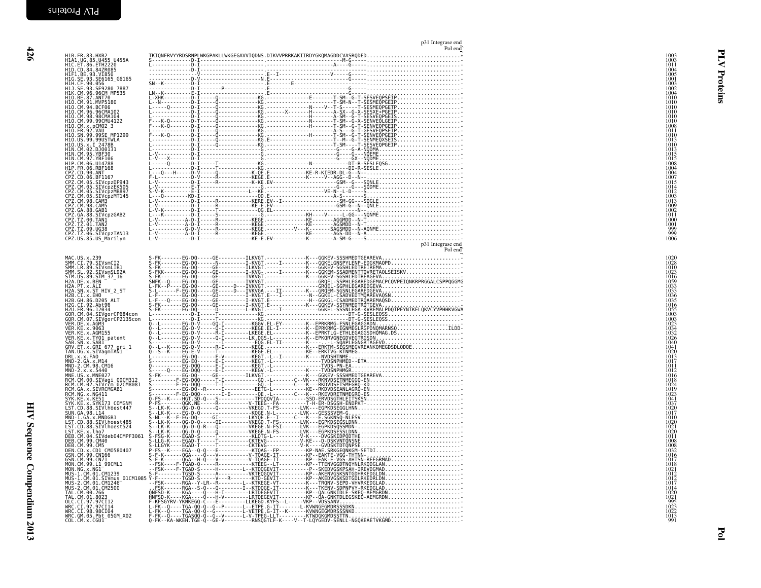| HIB.FR. 83 .HXRS2<br>HIG.E. 36 .HTM229<br>HIG.E. 36 .HTM222<br>HIG. SE. 93 .SE616<br>HIG. SE. 93 .SE616<br>HIG. SE. 93 .SE616<br>HIG. SE. 93 .SE616<br>HIG. SE. 93 .SE628<br>HIG. SE. 93 .SE628<br>HIG. SE. 93 .SE628<br>HIG. SE. 93 .SE628<br>HIG. |  |
|-----------------------------------------------------------------------------------------------------------------------------------------------------------------------------------------------------------------------------------------------------|--|
|                                                                                                                                                                                                                                                     |  |
|                                                                                                                                                                                                                                                     |  |
|                                                                                                                                                                                                                                                     |  |
|                                                                                                                                                                                                                                                     |  |
|                                                                                                                                                                                                                                                     |  |
|                                                                                                                                                                                                                                                     |  |
|                                                                                                                                                                                                                                                     |  |
|                                                                                                                                                                                                                                                     |  |
|                                                                                                                                                                                                                                                     |  |
| NAC. US. * 2331<br>SHW: CR. 393. SITUSTICI21<br>SHW: CR. 393. SITUSTICI21<br>SHW: CR. 393. SITUSTICI21<br>SHW: CR. 393. SITUSTICI21<br>SHW: CR. 393. SITUSTICI21<br>H2A. DE. 30. SITUSTICI21<br>H2A. DE. 30. SEN = 37. 16<br>H2A. DE. 30. SEN       |  |
|                                                                                                                                                                                                                                                     |  |
|                                                                                                                                                                                                                                                     |  |
|                                                                                                                                                                                                                                                     |  |
|                                                                                                                                                                                                                                                     |  |
|                                                                                                                                                                                                                                                     |  |
|                                                                                                                                                                                                                                                     |  |
|                                                                                                                                                                                                                                                     |  |
|                                                                                                                                                                                                                                                     |  |
|                                                                                                                                                                                                                                                     |  |
|                                                                                                                                                                                                                                                     |  |
|                                                                                                                                                                                                                                                     |  |
|                                                                                                                                                                                                                                                     |  |
|                                                                                                                                                                                                                                                     |  |
|                                                                                                                                                                                                                                                     |  |
|                                                                                                                                                                                                                                                     |  |
|                                                                                                                                                                                                                                                     |  |

| H1B.FR.83.HXB2<br>H1A1.UG.85.U455_U455A                                                                                                                                                                                                                                                                                                                                                                                                 |  |                                                                                                                                                                                                                                                                                                                                                                                                                                       |  |
|-----------------------------------------------------------------------------------------------------------------------------------------------------------------------------------------------------------------------------------------------------------------------------------------------------------------------------------------------------------------------------------------------------------------------------------------|--|---------------------------------------------------------------------------------------------------------------------------------------------------------------------------------------------------------------------------------------------------------------------------------------------------------------------------------------------------------------------------------------------------------------------------------------|--|
| H1C.ET.86.ETH2220<br>HID.CD.84.84ZR085                                                                                                                                                                                                                                                                                                                                                                                                  |  | $S = \mathbb{E}\left[\begin{matrix} \mathbf{0} & \mathbf{0} & \mathbf{0} & \mathbf{0} & \mathbf{0} & \mathbf{0} & \mathbf{0} & \mathbf{0} & \mathbf{0} & \mathbf{0} & \mathbf{0} & \mathbf{0} & \mathbf{0} & \mathbf{0} & \mathbf{0} & \mathbf{0} & \mathbf{0} & \mathbf{0} & \mathbf{0} & \mathbf{0} & \mathbf{0} & \mathbf{0} & \mathbf{0} & \mathbf{0} & \mathbf{0} & \mathbf{0} & \mathbf{0} & \mathbf{0} & \mathbf{0} & \mathbf$ |  |
| HIP: \D. 04: 04: 04: 05<br>HIF1. BE.93. VI850<br>HIG. SE.93. SE6165_G6165<br>HIJ. SE.93. SE9280_7887<br>HIK. CM. 96. 96CM, MP535                                                                                                                                                                                                                                                                                                        |  |                                                                                                                                                                                                                                                                                                                                                                                                                                       |  |
|                                                                                                                                                                                                                                                                                                                                                                                                                                         |  |                                                                                                                                                                                                                                                                                                                                                                                                                                       |  |
|                                                                                                                                                                                                                                                                                                                                                                                                                                         |  |                                                                                                                                                                                                                                                                                                                                                                                                                                       |  |
| H10. BE. 87. ANT70<br>H10. BE. 87. ANT70<br>H10. CM. 94. BCF06<br>H10. CM. 96. 96CMA102                                                                                                                                                                                                                                                                                                                                                 |  |                                                                                                                                                                                                                                                                                                                                                                                                                                       |  |
|                                                                                                                                                                                                                                                                                                                                                                                                                                         |  |                                                                                                                                                                                                                                                                                                                                                                                                                                       |  |
| H10.CM.98.98CMA104                                                                                                                                                                                                                                                                                                                                                                                                                      |  |                                                                                                                                                                                                                                                                                                                                                                                                                                       |  |
| H10.CM.99.99CMU4122                                                                                                                                                                                                                                                                                                                                                                                                                     |  |                                                                                                                                                                                                                                                                                                                                                                                                                                       |  |
| H10.CM.x.pCM02_3<br>H10.FR.92.VAU_                                                                                                                                                                                                                                                                                                                                                                                                      |  |                                                                                                                                                                                                                                                                                                                                                                                                                                       |  |
| H10.SN.99.99SE MP1299<br>H10.US.99.99USTWLA                                                                                                                                                                                                                                                                                                                                                                                             |  |                                                                                                                                                                                                                                                                                                                                                                                                                                       |  |
|                                                                                                                                                                                                                                                                                                                                                                                                                                         |  |                                                                                                                                                                                                                                                                                                                                                                                                                                       |  |
|                                                                                                                                                                                                                                                                                                                                                                                                                                         |  |                                                                                                                                                                                                                                                                                                                                                                                                                                       |  |
| H10.US.99.999151WLA<br>H10.US.x.1 2478B<br>H1N.CM.95.YBF30<br>H1N.CM.95.YBF30<br>H1P.CM.95.YBF30<br>H1P.CM.06.U14788<br>H1P.CM.06.U14788<br>CPZ.CD.00.ANT<br>CPZ.CD.00.ANT<br>CPZ.CM.05.SIVCpzDP943<br>CPZ.CM.05.SIVCpzDP943<br>CPZ.CM.05.SIVCpzDP943<br>CPZ.CM.05                                                                                                                                                                      |  |                                                                                                                                                                                                                                                                                                                                                                                                                                       |  |
|                                                                                                                                                                                                                                                                                                                                                                                                                                         |  |                                                                                                                                                                                                                                                                                                                                                                                                                                       |  |
|                                                                                                                                                                                                                                                                                                                                                                                                                                         |  |                                                                                                                                                                                                                                                                                                                                                                                                                                       |  |
|                                                                                                                                                                                                                                                                                                                                                                                                                                         |  |                                                                                                                                                                                                                                                                                                                                                                                                                                       |  |
| ČPZ.ČM.05.SIVcpzMB897                                                                                                                                                                                                                                                                                                                                                                                                                   |  |                                                                                                                                                                                                                                                                                                                                                                                                                                       |  |
| :PZ.CM.05.SIVcpzMT145                                                                                                                                                                                                                                                                                                                                                                                                                   |  |                                                                                                                                                                                                                                                                                                                                                                                                                                       |  |
| CPZ.CM.98.CAM3<br>CPZ.CM.98.CAM3<br>CPZ.CM.98.CAM5                                                                                                                                                                                                                                                                                                                                                                                      |  |                                                                                                                                                                                                                                                                                                                                                                                                                                       |  |
| ČPŽ.GA.88.GABI<br>CPZ.GA.88.SIVcpzGAB2                                                                                                                                                                                                                                                                                                                                                                                                  |  |                                                                                                                                                                                                                                                                                                                                                                                                                                       |  |
| CPZ.TZ.00.TANI<br>CPZ.TZ.00.TANI                                                                                                                                                                                                                                                                                                                                                                                                        |  |                                                                                                                                                                                                                                                                                                                                                                                                                                       |  |
| ČPŽ.TŽ.09.UG38<br>CPZ.TZ.06.SIVcpzTAN13                                                                                                                                                                                                                                                                                                                                                                                                 |  |                                                                                                                                                                                                                                                                                                                                                                                                                                       |  |
| CPZ.US.85.US Marilyn                                                                                                                                                                                                                                                                                                                                                                                                                    |  |                                                                                                                                                                                                                                                                                                                                                                                                                                       |  |
|                                                                                                                                                                                                                                                                                                                                                                                                                                         |  |                                                                                                                                                                                                                                                                                                                                                                                                                                       |  |
|                                                                                                                                                                                                                                                                                                                                                                                                                                         |  |                                                                                                                                                                                                                                                                                                                                                                                                                                       |  |
|                                                                                                                                                                                                                                                                                                                                                                                                                                         |  |                                                                                                                                                                                                                                                                                                                                                                                                                                       |  |
|                                                                                                                                                                                                                                                                                                                                                                                                                                         |  |                                                                                                                                                                                                                                                                                                                                                                                                                                       |  |
|                                                                                                                                                                                                                                                                                                                                                                                                                                         |  |                                                                                                                                                                                                                                                                                                                                                                                                                                       |  |
|                                                                                                                                                                                                                                                                                                                                                                                                                                         |  |                                                                                                                                                                                                                                                                                                                                                                                                                                       |  |
|                                                                                                                                                                                                                                                                                                                                                                                                                                         |  |                                                                                                                                                                                                                                                                                                                                                                                                                                       |  |
|                                                                                                                                                                                                                                                                                                                                                                                                                                         |  |                                                                                                                                                                                                                                                                                                                                                                                                                                       |  |
|                                                                                                                                                                                                                                                                                                                                                                                                                                         |  |                                                                                                                                                                                                                                                                                                                                                                                                                                       |  |
|                                                                                                                                                                                                                                                                                                                                                                                                                                         |  |                                                                                                                                                                                                                                                                                                                                                                                                                                       |  |
|                                                                                                                                                                                                                                                                                                                                                                                                                                         |  |                                                                                                                                                                                                                                                                                                                                                                                                                                       |  |
|                                                                                                                                                                                                                                                                                                                                                                                                                                         |  |                                                                                                                                                                                                                                                                                                                                                                                                                                       |  |
|                                                                                                                                                                                                                                                                                                                                                                                                                                         |  |                                                                                                                                                                                                                                                                                                                                                                                                                                       |  |
|                                                                                                                                                                                                                                                                                                                                                                                                                                         |  |                                                                                                                                                                                                                                                                                                                                                                                                                                       |  |
|                                                                                                                                                                                                                                                                                                                                                                                                                                         |  |                                                                                                                                                                                                                                                                                                                                                                                                                                       |  |
|                                                                                                                                                                                                                                                                                                                                                                                                                                         |  |                                                                                                                                                                                                                                                                                                                                                                                                                                       |  |
|                                                                                                                                                                                                                                                                                                                                                                                                                                         |  |                                                                                                                                                                                                                                                                                                                                                                                                                                       |  |
|                                                                                                                                                                                                                                                                                                                                                                                                                                         |  |                                                                                                                                                                                                                                                                                                                                                                                                                                       |  |
|                                                                                                                                                                                                                                                                                                                                                                                                                                         |  |                                                                                                                                                                                                                                                                                                                                                                                                                                       |  |
|                                                                                                                                                                                                                                                                                                                                                                                                                                         |  |                                                                                                                                                                                                                                                                                                                                                                                                                                       |  |
|                                                                                                                                                                                                                                                                                                                                                                                                                                         |  |                                                                                                                                                                                                                                                                                                                                                                                                                                       |  |
|                                                                                                                                                                                                                                                                                                                                                                                                                                         |  |                                                                                                                                                                                                                                                                                                                                                                                                                                       |  |
|                                                                                                                                                                                                                                                                                                                                                                                                                                         |  |                                                                                                                                                                                                                                                                                                                                                                                                                                       |  |
|                                                                                                                                                                                                                                                                                                                                                                                                                                         |  |                                                                                                                                                                                                                                                                                                                                                                                                                                       |  |
|                                                                                                                                                                                                                                                                                                                                                                                                                                         |  |                                                                                                                                                                                                                                                                                                                                                                                                                                       |  |
|                                                                                                                                                                                                                                                                                                                                                                                                                                         |  |                                                                                                                                                                                                                                                                                                                                                                                                                                       |  |
|                                                                                                                                                                                                                                                                                                                                                                                                                                         |  |                                                                                                                                                                                                                                                                                                                                                                                                                                       |  |
|                                                                                                                                                                                                                                                                                                                                                                                                                                         |  |                                                                                                                                                                                                                                                                                                                                                                                                                                       |  |
|                                                                                                                                                                                                                                                                                                                                                                                                                                         |  |                                                                                                                                                                                                                                                                                                                                                                                                                                       |  |
|                                                                                                                                                                                                                                                                                                                                                                                                                                         |  |                                                                                                                                                                                                                                                                                                                                                                                                                                       |  |
|                                                                                                                                                                                                                                                                                                                                                                                                                                         |  |                                                                                                                                                                                                                                                                                                                                                                                                                                       |  |
|                                                                                                                                                                                                                                                                                                                                                                                                                                         |  |                                                                                                                                                                                                                                                                                                                                                                                                                                       |  |
|                                                                                                                                                                                                                                                                                                                                                                                                                                         |  |                                                                                                                                                                                                                                                                                                                                                                                                                                       |  |
|                                                                                                                                                                                                                                                                                                                                                                                                                                         |  |                                                                                                                                                                                                                                                                                                                                                                                                                                       |  |
|                                                                                                                                                                                                                                                                                                                                                                                                                                         |  |                                                                                                                                                                                                                                                                                                                                                                                                                                       |  |
|                                                                                                                                                                                                                                                                                                                                                                                                                                         |  |                                                                                                                                                                                                                                                                                                                                                                                                                                       |  |
| $\begin{array}{cccccccccccccccc} \mathbf{G} & \mathbf{G} & \mathbf{G} & \mathbf{G} & \mathbf{G} & \mathbf{G} & \mathbf{G} & \mathbf{G} & \mathbf{G} & \mathbf{G} & \mathbf{G} & \mathbf{G} & \mathbf{G} & \mathbf{G} & \mathbf{G} & \mathbf{G} & \mathbf{G} & \mathbf{G} & \mathbf{G} & \mathbf{G} & \mathbf{G} & \mathbf{G} & \mathbf{G} & \mathbf{G} & \mathbf{G} & \mathbf{G} & \mathbf{G} & \mathbf{G} & \mathbf{G} & \mathbf{G} &$ |  |                                                                                                                                                                                                                                                                                                                                                                                                                                       |  |

p31 Integrase end<br>Pol and

**Pol**<br>1988年10月20日(1988年)1988年)<br>1988年10月20日(1988年)1988年)1988年)<br>1988年10月20日(1988年)1988年)1988年)1988年)<br>1988年)1988年)1988年)1988年)1988年)1988年)1988年)1988年)1988年)1988年)1988年)1988年)1988年)1988年)1988年)1988年)1988年)1088年)108<br>1988年)1088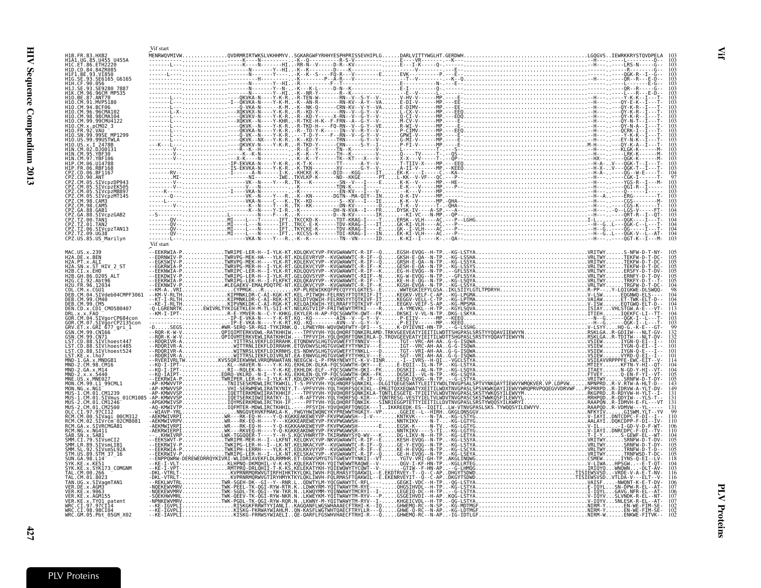<span id="page-22-0"></span>

|                                                           |                                                                 | Vif start |                                                                                |  |  |  |  |  |
|-----------------------------------------------------------|-----------------------------------------------------------------|-----------|--------------------------------------------------------------------------------|--|--|--|--|--|
|                                                           | H1A1.UG.85.U455 U455A                                           |           |                                                                                |  |  |  |  |  |
| HIC.ET.86.ETH2220<br>H1D.CD.84.84ZR085                    |                                                                 |           |                                                                                |  |  |  |  |  |
| H1F1.BE.93.VI850                                          | HIG.SE.93.SE6165_G6165<br>H1H.CF.90.056                         |           |                                                                                |  |  |  |  |  |
|                                                           | 11J.SE.93.SĒ9280 7887                                           |           |                                                                                |  |  |  |  |  |
| H10.BE.87.ANT70                                           | I1K.CM.96.96CM MP535                                            |           |                                                                                |  |  |  |  |  |
| H10.CM.91.MVP5180                                         |                                                                 |           |                                                                                |  |  |  |  |  |
| H10.CM.96.96CMA102                                        |                                                                 |           |                                                                                |  |  |  |  |  |
|                                                           | H10.CM.99.99CMU4122                                             |           |                                                                                |  |  |  |  |  |
|                                                           | 10.SN.99.99SE MP1299                                            |           |                                                                                |  |  |  |  |  |
|                                                           | 10.US.99.99USTWLA<br>2478B                                      |           |                                                                                |  |  |  |  |  |
| H1N.CM.02.DJ00131<br>H1N CM 95 YRE30                      |                                                                 |           |                                                                                |  |  |  |  |  |
| H1N.CM.97.YBF106                                          |                                                                 |           |                                                                                |  |  |  |  |  |
|                                                           |                                                                 |           |                                                                                |  |  |  |  |  |
| PZ.CD.06.BF1167<br>ב.co.90.ANT<br>22.CM.05.STV            |                                                                 |           |                                                                                |  |  |  |  |  |
|                                                           | CM.05.SIVcpzDP943<br>Z.CM.05.SIVcpzEK505                        |           |                                                                                |  |  |  |  |  |
| Z.CM.05.                                                  | CM.05.SIVcpzMB897<br>SIVcpzMT145                                |           |                                                                                |  |  |  |  |  |
| PZ.CM.98.CAM3<br>PZ.CM.98.CAM5                            |                                                                 |           |                                                                                |  |  |  |  |  |
| PZ.GA.88.GAB1                                             | PZ.GA.88.SIVcpzGAB2                                             |           |                                                                                |  |  |  |  |  |
| PZ.TZ.00.TAN1:<br>CPZ.TZ.01.TAN2                          |                                                                 |           |                                                                                |  |  |  |  |  |
|                                                           | čPŽ.TŽ.06.SIVcpzTAN13<br>CPZ.TZ.09.UG38<br>CPZ.US.85.US_Marilyn |           |                                                                                |  |  |  |  |  |
|                                                           |                                                                 | Vif start |                                                                                |  |  |  |  |  |
| MAC.US.x.239                                              |                                                                 |           | --EEKRWIA-PTWRIPE-LER-H--I-YLK-KT.KDLQKVCYVP-FKVGWAWWTC-R-IF--QEGSH-EVQG--H-IP |  |  |  |  |  |
| H2A.DE.x.BEN<br>H2A.PT.x.ALI                              |                                                                 |           |                                                                                |  |  |  |  |  |
| H2B.CI.x.EHO                                              | H2A.SN.x.ST HIV 2 ST                                            |           |                                                                                |  |  |  |  |  |
| H2B.GH.86.D205 ALT<br>H2G.CI.92.Abt96                     |                                                                 |           |                                                                                |  |  |  |  |  |
| H2U.FR.96.12034<br>COL.CM.x.CGU1                          |                                                                 |           |                                                                                |  |  |  |  |  |
| DEB.CM.99.CM40                                            | DEB.CM.04.SIVdeb04CMPF3061                                      |           |                                                                                |  |  |  |  |  |
| DEB.CM.99.CM5                                             | DEN.CD.x.CD1 CM0580407                                          |           |                                                                                |  |  |  |  |  |
| DRL.x.x.FAO                                               |                                                                 |           |                                                                                |  |  |  |  |  |
|                                                           | SIVgorCP2135con<br>RV.ET.x.GRI 677_gri_1                        |           |                                                                                |  |  |  |  |  |
| GSN.CM.99.CN166<br>GŚN.CM.99.CN71                         |                                                                 |           |                                                                                |  |  |  |  |  |
|                                                           | LST.CD.88.SIVlhoest447<br>ST.CD.88.SIVlhoest485                 |           |                                                                                |  |  |  |  |  |
|                                                           | LST.CD.88.SIVlhoest524                                          |           |                                                                                |  |  |  |  |  |
| LST.KE.x.lho7<br>MND-1.GA.x.MNDGB1                        |                                                                 |           |                                                                                |  |  |  |  |  |
| .<br>MND-2.CM.98.CM16<br>MND-2.GA.x.M14<br>MND-2.x.x.5440 |                                                                 |           |                                                                                |  |  |  |  |  |
| MNE.US.x.MNE027                                           | MON.CM.99.L1_99CML1                                             |           |                                                                                |  |  |  |  |  |
| MON.NG.x.NGI<br>MUS-1.CM.01.CM1239                        |                                                                 |           |                                                                                |  |  |  |  |  |
| MÜS-2.CM.01.CM1246                                        | MUS-1.CM.01.SIVmus 01CM1085                                     |           |                                                                                |  |  |  |  |  |
| MUS-2.CM.01.CM2500<br>OLC.CI.97.97CI12                    |                                                                 |           |                                                                                |  |  |  |  |  |
| RCM.CM.00.SIVaqi<br>RCM.CM.02.                            | SIVrčm <sup>-</sup> 02CM8081                                    |           |                                                                                |  |  |  |  |  |
| RCM NG x NG411                                            | RCM.GA.x.SIVRCMGAB1                                             |           |                                                                                |  |  |  |  |  |
| SAB.SN.x.SAB1<br>SMM.CI.79.SIVsmCI2                       |                                                                 |           |                                                                                |  |  |  |  |  |
|                                                           | SMM.LR.89.SIVsmLIB1                                             |           |                                                                                |  |  |  |  |  |
|                                                           | STM.US.89.STM_37_16                                             |           |                                                                                |  |  |  |  |  |
| SUN.GA.98.L14<br>SYK.KE.x.KE51                            |                                                                 |           |                                                                                |  |  |  |  |  |
| .CM.00.266                                                | .x.SYK173 COMGNM                                                |           |                                                                                |  |  |  |  |  |
| .CM.01.8023                                               | FAN.UG.x.SIVagmTAN1                                             |           |                                                                                |  |  |  |  |  |
| VER.KE.x.9063                                             |                                                                 |           |                                                                                |  |  |  |  |  |
| VER.KE.x.AGM155                                           | VER.KE.x.TY01_patent                                            |           |                                                                                |  |  |  |  |  |
| WRC.CI.97.97CI14<br>WRC.CI.98.98CI04                      |                                                                 |           |                                                                                |  |  |  |  |  |
|                                                           | WRC.GM.05.Pbt 05GM X02                                          |           |                                                                                |  |  |  |  |  |

Vif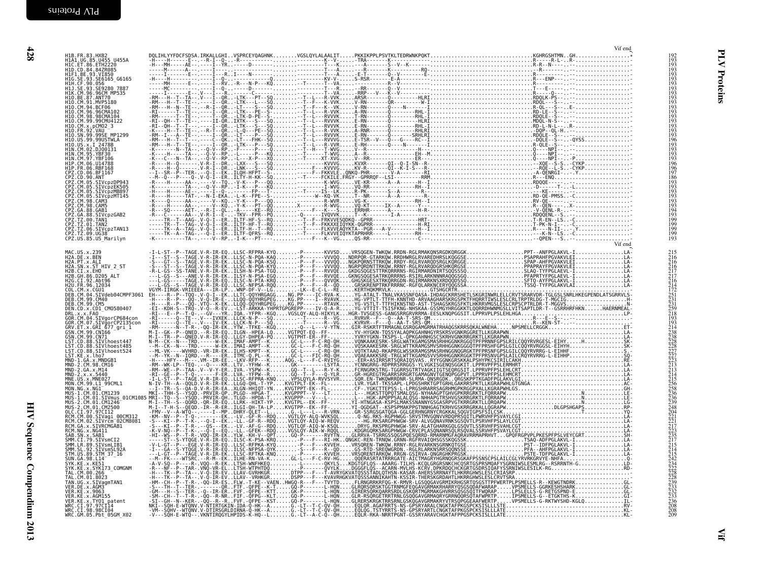| $\begin{array}{c} 192 \\ 193 \\ 193 \end{array}$<br>193 |  |  |  | H1B.FR.83.HXB2<br>H1A1.UG.85.U455 U455A<br>H1C.ET.86.ETH2220<br>H1D. CD. 84.84ZR085                                                                                    |
|---------------------------------------------------------|--|--|--|------------------------------------------------------------------------------------------------------------------------------------------------------------------------|
| 193<br>193                                              |  |  |  | HID. (U. 84 .842<br>HIF1. BE. 93. VIB50<br>HIG. SE. 93. SE6165_66165<br>HIH. CF. 99. 056<br>HIJ. SE. 93. SE9280_7887<br>HIJ. SE. 87. ANTZ0.00<br>HIQ. BE. 87. ANTZ0.00 |
| 193<br>193<br>193<br>193                                |  |  |  |                                                                                                                                                                        |
|                                                         |  |  |  | H10.CM.91.MVP5180                                                                                                                                                      |
| 193<br>193<br>193<br>193<br>193                         |  |  |  | H10. CM. 94. BCF06<br>H10. CM. 96. 96CMA102<br>H10. CM. 96. 98CMA102<br>H10. CM. 99. 99CMU4122<br>H10. CM. x. pCM02 3<br>H10. FR. 92. VAU                              |
| 193<br>193<br>193                                       |  |  |  |                                                                                                                                                                        |
| 196<br>193<br>193                                       |  |  |  | H10.SN.99.99SE_MP1299<br>H10.US.99.99USTWLA                                                                                                                            |
| 193<br>193                                              |  |  |  | H10.US.x.1 2478B<br>H1N.CM.02.DJ00131<br>H1N.CM.05.YBF30<br>H1N.CM.97.YBF106                                                                                           |
| 196<br>196<br>197                                       |  |  |  | HIP.CM.06.U14788<br>HIP.FR.06.RBF168                                                                                                                                   |
| 186<br>193<br>193                                       |  |  |  | CPZ.CD.06.BF1167<br>CPZ.CD.90.ANT<br>CPZ.CM.05.SIVcpzDP943<br>CPZ.CM.05.SIVcpzEK505                                                                                    |
| 193<br>193<br>193                                       |  |  |  |                                                                                                                                                                        |
| 193<br>194<br>193                                       |  |  |  | LPZ.CM.05.51VCpzEK505<br>CPZ.CM.05.SIVCpzMB897<br>CPZ.CM.05.SIVCpzMB897<br>CPZ.CM.98.CAM3<br>CPZ.CM.98.CAM5<br>CPZ.GA.88.GAB1<br>CPZ.GA.88.GAB1                        |
| 199<br>199<br>199                                       |  |  |  | CPZ.TZ.00.TAN1<br>CPZ.TZ.01.TAN2<br>CPZ.TZ.06.SIVcpzTAN13                                                                                                              |
| 199<br>193                                              |  |  |  | CPZ.TZ.09.UG38<br>CPZ.US.85.US_Marilyn                                                                                                                                 |
|                                                         |  |  |  |                                                                                                                                                                        |
|                                                         |  |  |  |                                                                                                                                                                        |
|                                                         |  |  |  |                                                                                                                                                                        |
|                                                         |  |  |  |                                                                                                                                                                        |
|                                                         |  |  |  |                                                                                                                                                                        |
|                                                         |  |  |  |                                                                                                                                                                        |
|                                                         |  |  |  |                                                                                                                                                                        |
|                                                         |  |  |  |                                                                                                                                                                        |
|                                                         |  |  |  |                                                                                                                                                                        |
|                                                         |  |  |  |                                                                                                                                                                        |
|                                                         |  |  |  |                                                                                                                                                                        |
|                                                         |  |  |  |                                                                                                                                                                        |
|                                                         |  |  |  |                                                                                                                                                                        |
|                                                         |  |  |  |                                                                                                                                                                        |
|                                                         |  |  |  |                                                                                                                                                                        |
|                                                         |  |  |  |                                                                                                                                                                        |
|                                                         |  |  |  |                                                                                                                                                                        |
|                                                         |  |  |  |                                                                                                                                                                        |
|                                                         |  |  |  |                                                                                                                                                                        |
|                                                         |  |  |  |                                                                                                                                                                        |
| $\frac{208}{209}$                                       |  |  |  |                                                                                                                                                                        |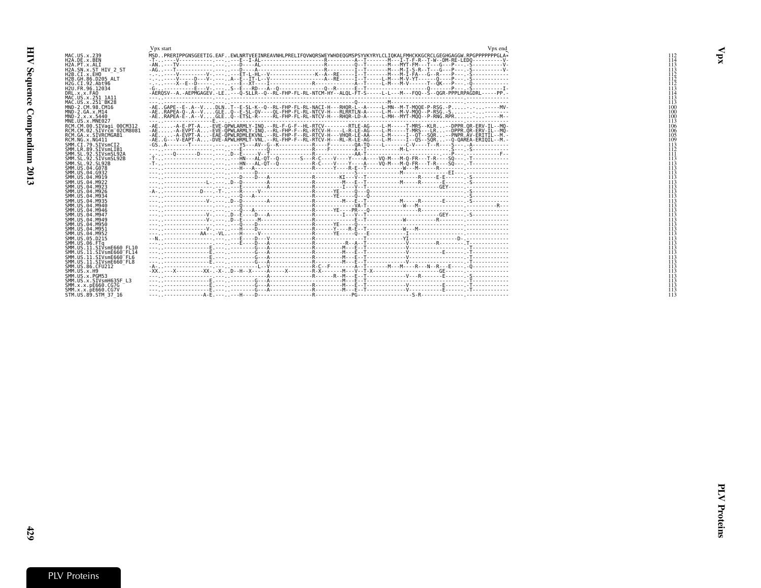<span id="page-24-0"></span>

|                                                                                                                                                                                                                                | Vpx start                                                                                                                                                                                                                                                                                                                                                                                                                                                                                                                                                                                                                                  | Vpx end |
|--------------------------------------------------------------------------------------------------------------------------------------------------------------------------------------------------------------------------------|--------------------------------------------------------------------------------------------------------------------------------------------------------------------------------------------------------------------------------------------------------------------------------------------------------------------------------------------------------------------------------------------------------------------------------------------------------------------------------------------------------------------------------------------------------------------------------------------------------------------------------------------|---------|
| MAC.US.x.239<br>H2A.DE.x.BEN<br>H <sub>2</sub> A.PT.x.ALI<br>H2A.SN.x.ST HIV 2 ST<br>H2B.CI.X.EHO<br>H2B. GH. 86. D205 ALT<br>H2G.CI.92.Abt96<br>H <sub>2U</sub> .FR.96.12034<br>DRL.x.x.FA0<br>MAC.US.x.251 1A11              | MSDPRERIPPGNSGEETIG.EAFEWLNRTVEEINREAVNHLPRELIFOVWORSWEYWHDEOGMSPSYVKYRYLCLIOKALFMHCKKGCRCLGEGHGAGGW.RPGPPPPPPGLA*<br>$\overline{3}$ $\overline{0}$ $\overline{1}$ $\overline{2}$ $\overline{1}$ $\overline{2}$ $\overline{3}$ $\overline{4}$ $\overline{2}$ $\overline{3}$ $\overline{2}$ $\overline{4}$ $\overline{2}$ $\overline{3}$ $\overline{4}$ $\overline{2}$ $\overline{3}$ $\overline{4}$ $\overline{2}$ $\overline{3}$ $\overline{4}$ $\overline{2}$ $\overline{4}$ $\overline{2}$ $\overline{$                                                                                                                                 |         |
| MAC. US. x. 251 <sup>-</sup> BK28<br>MND-2.CM.98.CM16<br>$MND-2.GA.x.M14$<br>$MND - 2. x. x. 5440$<br>MNE.US.x.MNE027                                                                                                          | -AERAPEA-0-.A--VGLEO--E-SL-OV----OL-FHP-FL-RL-NTCV-H---RLRRTLN-A-----L-M---M-V-MOO--P-RSG.-S-.-------<br>-AERAPEA-E-.A--VGLEO--ETSL-R-----RL-FHP-FL-RL-NTCV-H---RHOR-LD-A-----L-MH--MYT-MOO--P-RNG.RPR----M-                                                                                                                                                                                                                                                                                                                                                                                                                               |         |
| RCM.CM.00.SIVagi 00CM312<br>RCM.CM.02.SIVrcm <sup>-</sup> 02CM8081<br>RCM.GA.x.SIVRCMGAB1<br>RCM.NG.x.NG411<br>SMM.CI.79.SIVsmCI2<br>SMM.LR.89.SIVsmLIB1<br>SMM.SL.92.SIVsmSL92A<br>SMM.SL.92.SIVsmSL92B<br>SMM. SL. 92. SL92B | -AE-A-E-PT-A-EVE-OPWLARMLY-INO.--RL-F-G-F--HL-RTCV--------RTLE-AG----L-M-----T-MRS--KLR--DPPR.OR-ERV-IL--MO<br>-AE-A-EVPT-A-EVE-ÒPWLARMLY-INÒ.--RL-FHP-F--RL-RTCV-H----L-R-LE-AG----L-M-----T-MRS---LR--DPPR.ÒR-ERV-IL--MÒ<br>-AEA-EVPT-A-EAE-OPWLRDMLEKVNL.--RL-FHP-F--RL-RTCV-H---VHOR-LE-AA----L-M-----I--OT--SOR--PNPR.AV-ERITIL--M.<br>-AEG---V-EAPT-A-DVE-ÂPWLHRMLT-VNL.--RL-FHP-F--RL-RTCV-H---RL-R-LE-AG----L-M-----I--ÒS--SÒR--O-OAREA-ERIOIL--M.<br>-T- - - - - - - - - - - - - - - - - - - HN-- - AL-OT- - O- - - - - - - - R- C- - - V- - - Y- - - A- - - VO-M- - - M- O-FR- - - T-R- - - 50- - T- - - - - - - - - - - - - - - |         |
| SMM.US.04.G078<br>SMM. US. 04. G932<br>SMM.US.04.M919<br>SMM. US. 04. M922<br>SMM.US.04.M923<br>SMM.US.04.M926<br>SMM. US. 04. M934                                                                                            |                                                                                                                                                                                                                                                                                                                                                                                                                                                                                                                                                                                                                                            |         |
| SMM. US. 04. M935<br>SMM. US. 04. M940<br>SMM.US.04.M946<br>SMM. U.S. 04. M947<br>SMM. US. 04. M949<br>SMM.US.04.M950                                                                                                          |                                                                                                                                                                                                                                                                                                                                                                                                                                                                                                                                                                                                                                            |         |
| SMM.US.04.M951<br>SMM.US.04.M952<br>SMM.US.05.D215<br>SMM.US.06.FTa<br>SMM.US.11.SIVsmE660 FL10<br>SMM. US. 11. SIVsmE660 <sup>-</sup> FL14                                                                                    |                                                                                                                                                                                                                                                                                                                                                                                                                                                                                                                                                                                                                                            |         |
| SMM.US.11.SIVsmE660 <sup>-</sup> FL6<br>SMM.US.11.SIVsmE660 FL8<br>SMM. U.S. 86. CFU212<br>SMM. US. x. H9<br>SMM.US.x.PGM53<br>SMM.US.x.SIVsmH635F L3<br>SMM.x.x.pE660.CG7G<br>SMM.x.x.bE660.CG7V                              | $\frac{1}{2} \left( \frac{1}{2} \right) \left( \frac{1}{2} \right) \left( \frac{1}{2} \right) \left( \frac{1}{2} \right) \left( \frac{1}{2} \right) \left( \frac{1}{2} \right) \left( \frac{1}{2} \right) \left( \frac{1}{2} \right) \left( \frac{1}{2} \right) \left( \frac{1}{2} \right) \left( \frac{1}{2} \right) \left( \frac{1}{2} \right) \left( \frac{1}{2} \right) \left( \frac{1}{2} \right) \left( \frac{1}{2} \right) \left( \frac{1}{2} \right) \left( \frac$                                                                                                                                                                 |         |
| STM.US.89.STM 37 16                                                                                                                                                                                                            |                                                                                                                                                                                                                                                                                                                                                                                                                                                                                                                                                                                                                                            |         |

 $\mathbf{v}_{\mathbf{p}\mathbf{x}}$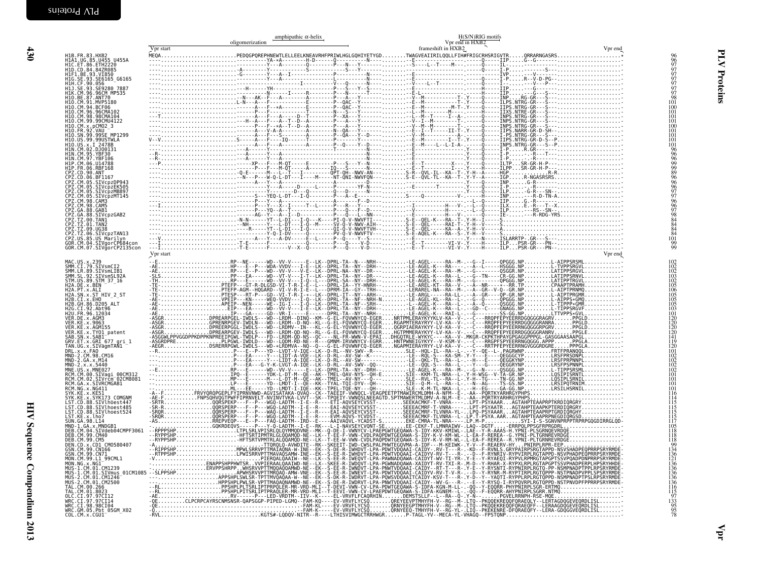<span id="page-25-0"></span>

|                                                                                                                      | Vpr start       | amphipathic $\alpha$ -helix<br>oligomerization | H(S/N)RIG motifs<br>Vpr end in HXB2<br>frameshift in HXB2 | Vpr end |                                                                           |
|----------------------------------------------------------------------------------------------------------------------|-----------------|------------------------------------------------|-----------------------------------------------------------|---------|---------------------------------------------------------------------------|
| H1B.FR.83.HXB2<br>H1A1.UG.85.U455_U455A                                                                              |                 |                                                |                                                           |         | 96                                                                        |
| H1C.ET.86.ETH2220<br>H1D.CD.84.84ZR085                                                                               |                 |                                                |                                                           |         | 9977777778                                                                |
| H1F1.BE.93.VI850<br>HIG.SE.93.SE6165_G6165                                                                           |                 |                                                |                                                           |         |                                                                           |
| H1H.CF.90.056<br>H1J.SE.93.SE9280 7887                                                                               |                 |                                                |                                                           |         |                                                                           |
| HIK.CM.96.96CM MP535<br>H10.BE.87.ANT70                                                                              |                 |                                                |                                                           |         |                                                                           |
| H10.CM.91.MVP5180<br>H10.CM.94.BCF06                                                                                 |                 |                                                |                                                           |         | 101<br>100                                                                |
| H10.CM.96.96CMA102<br>H10.CM.98.98CMA104<br>H10.CM.99.99CMU4122                                                      |                 |                                                |                                                           |         | 101<br>101                                                                |
| H10.CM.x.pCM02 3                                                                                                     |                 |                                                |                                                           |         | 101<br>100                                                                |
| H10. FR. 92. VAU --<br>H10. SN. 99. 99SE_MP1299                                                                      |                 |                                                |                                                           |         | 101<br>101                                                                |
| H10.US.99.99USTWLA<br>H10.US.x.I 2478B<br>H1N.CM.02.DJ00131                                                          |                 |                                                |                                                           |         | 101<br>101                                                                |
| HIN.CM.95.YBF30<br>HIN.CM.97.YBF30                                                                                   |                 |                                                |                                                           |         |                                                                           |
| H1P.CM.06.U14788                                                                                                     |                 |                                                |                                                           |         |                                                                           |
| HIP.FR.06.RBF168<br>CPZ.CD.90.ANT                                                                                    |                 |                                                |                                                           |         | 969999896969776667884844101                                               |
| CPZ.CD.06.BF1167<br>CPZ.CM.05.SIVcpzDP943<br>CPZ.CM.05.SIVcpzDP943<br>CPZ.CM.05.SIVcpzMB897<br>CPZ.CM.05.SIVcpzMB897 |                 |                                                |                                                           |         |                                                                           |
|                                                                                                                      |                 |                                                |                                                           |         |                                                                           |
| CPZ.CM.98.CAM3                                                                                                       |                 |                                                |                                                           |         |                                                                           |
| CPZ.CM.98.CAM5<br>CPZ.GA.88.GAB1<br>CPZ.GA.88.SIVcpzGAB2<br>CPZ.TZ.00.TAN1                                           |                 |                                                |                                                           |         |                                                                           |
|                                                                                                                      |                 |                                                |                                                           |         |                                                                           |
| CPZ.TZ.01.TAN2<br>CPZ.TZ.09.UG38<br>CPZ.TZ.06.SIVCPZTAN13                                                            |                 |                                                |                                                           |         |                                                                           |
| CPZ.US.85.US Marilyn<br>GOR.CM.04.SIVgorCP684con                                                                     |                 |                                                |                                                           |         | $\frac{99}{99}$                                                           |
| GOR.CM.07.SIVgorCP2135con                                                                                            | $\rm Vpr$ start |                                                |                                                           | Vpr end |                                                                           |
|                                                                                                                      |                 |                                                |                                                           |         |                                                                           |
|                                                                                                                      |                 |                                                |                                                           |         |                                                                           |
|                                                                                                                      |                 |                                                |                                                           |         |                                                                           |
|                                                                                                                      |                 |                                                |                                                           |         | 102<br>102<br>102<br>103<br>105<br>105<br>105<br>105<br>105<br>105<br>103 |
|                                                                                                                      |                 |                                                |                                                           |         |                                                                           |
|                                                                                                                      |                 |                                                |                                                           |         | 101                                                                       |
|                                                                                                                      |                 |                                                |                                                           |         | $\frac{120}{120}$                                                         |
|                                                                                                                      |                 |                                                |                                                           |         | 120<br>120<br>141                                                         |
|                                                                                                                      |                 |                                                |                                                           |         | 119                                                                       |
|                                                                                                                      |                 |                                                |                                                           |         | 120<br>101                                                                |
|                                                                                                                      |                 |                                                |                                                           |         | $\begin{array}{c} 102 \\ 102 \\ 102 \\ 102 \\ 102 \\ 101 \end{array}$     |
|                                                                                                                      |                 |                                                |                                                           |         |                                                                           |
|                                                                                                                      |                 |                                                |                                                           |         | 101<br>101                                                                |
|                                                                                                                      |                 |                                                |                                                           |         | 101                                                                       |
|                                                                                                                      |                 |                                                |                                                           |         | $\frac{116}{114}$<br>115                                                  |
|                                                                                                                      |                 |                                                |                                                           |         | $\frac{115}{115}$                                                         |
|                                                                                                                      |                 |                                                |                                                           |         | $\frac{115}{117}$                                                         |
|                                                                                                                      |                 |                                                |                                                           |         | 105<br>118<br>118                                                         |
|                                                                                                                      |                 |                                                |                                                           |         | 118                                                                       |
|                                                                                                                      |                 |                                                |                                                           |         | $^{99}_{134}$<br>136                                                      |
|                                                                                                                      |                 |                                                |                                                           |         |                                                                           |
|                                                                                                                      |                 |                                                |                                                           |         |                                                                           |
|                                                                                                                      |                 |                                                |                                                           |         |                                                                           |
|                                                                                                                      |                 |                                                |                                                           |         |                                                                           |
|                                                                                                                      |                 |                                                |                                                           |         |                                                                           |
|                                                                                                                      |                 |                                                |                                                           |         | 136<br>136<br>136<br>136<br>136<br>115<br>115<br>133<br>95<br>78          |
|                                                                                                                      |                 |                                                |                                                           |         |                                                                           |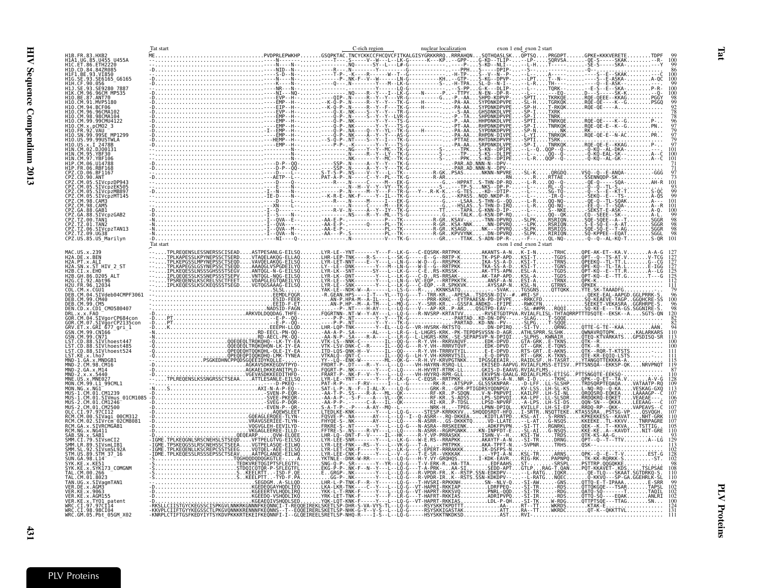<span id="page-26-0"></span>

|                                                                  | Tat start |                                                                                                                                                                                                       | C-rich region                                                                                                                                                                                                                 | nuclear localization                                                         | exon 1 end exon 2 start                                                                                                                                                                                        |                                                                                                                        |
|------------------------------------------------------------------|-----------|-------------------------------------------------------------------------------------------------------------------------------------------------------------------------------------------------------|-------------------------------------------------------------------------------------------------------------------------------------------------------------------------------------------------------------------------------|------------------------------------------------------------------------------|----------------------------------------------------------------------------------------------------------------------------------------------------------------------------------------------------------------|------------------------------------------------------------------------------------------------------------------------|
| UG.85.U455 U455A                                                 |           |                                                                                                                                                                                                       |                                                                                                                                                                                                                               |                                                                              | GSQPKTAC.TNCYCKKCCFHCQVCFITKALGISYGRKKRRQRRRAHQNSQTHQASLSKQPT5QPRGDPTGPKE*KKKVERETE                                                                                                                            |                                                                                                                        |
| ET.86. ETH2220<br>H1D.CD.84.84ZR085                              |           |                                                                                                                                                                                                       |                                                                                                                                                                                                                               | $-PPHS$ ----                                                                 | -W---L--LK-G------K---KP--GPP-G-KD--TLIP---LP-SQRVSA-QE-S-----SKAK<br>SY--L---L#-G----------------P-S-KD--NLI----L-HT------SE-S-----SKA-                                                                       |                                                                                                                        |
| 93.VT850                                                         |           |                                                                                                                                                                                                       | ----R--- N--------Y------------<br>-----T-P- --K----R-------W--T-                                                                                                                                                             |                                                                              | -DPIP-<br>-N--P-                                                                                                                                                                                               |                                                                                                                        |
| SE6165 G6165<br>056                                              |           |                                                                                                                                                                                                       |                                                                                                                                                                                                                               |                                                                              | -DPVP-.<br>$-N - I - -$ .<br>$TH - - -$                                                                                                                                                                        | $\ldots$ A-QC                                                                                                          |
| E9280 7887<br>96CM MP535                                         |           |                                                                                                                                                                                                       |                                                                                                                                                                                                                               |                                                                              | $. . TQRK -$<br>$DLP-.$<br>$-DP-R-.$<br>$- - - EQ - \ldots$                                                                                                                                                    |                                                                                                                        |
| ANT70<br>.MVP5180                                                |           |                                                                                                                                                                                                       |                                                                                                                                                                                                                               |                                                                              | $\ldots$ TGRKQK                                                                                                                                                                                                | TKRKQE                                                                                                                 |
|                                                                  |           |                                                                                                                                                                                                       |                                                                                                                                                                                                                               | H-------PA-AASYPDNKDPVPE                                                     |                                                                                                                                                                                                                | $T-RKQK$ $RQE$                                                                                                         |
| 96CMA103                                                         |           |                                                                                                                                                                                                       | -X - .NK - - - - S - -Y - -Y - - -                                                                                                                                                                                            | - - - - - - - - - - S - <u>A</u> A                                           | GHSDNKDLVPE<br>$SP-I$<br>SHPDNKDPVPE<br>. TNRK<br>. TNRKQE                                                                                                                                                     | <b>TXRK</b> .                                                                                                          |
| 99CMI14122                                                       |           | .FMP.                                                                                                                                                                                                 | H-- - - - O-P- .NK-------                                                                                                                                                                                                     |                                                                              | P.-AAHHPDNKDLVPE<br>. SP - T<br>.TNRKQK                                                                                                                                                                        | ROF-OF-<br>.RQE - QE - E -                                                                                             |
| 99SE MP1299                                                      |           |                                                                                                                                                                                                       |                                                                                                                                                                                                                               |                                                                              |                                                                                                                                                                                                                | NKRK<br>.TNRKQKRQE-QE-                                                                                                 |
| 99USTWLA                                                         |           |                                                                                                                                                                                                       |                                                                                                                                                                                                                               |                                                                              | TSRK<br>TNRKQK                                                                                                                                                                                                 |                                                                                                                        |
| 2478R<br>DJ00131                                                 |           |                                                                                                                                                                                                       |                                                                                                                                                                                                                               |                                                                              |                                                                                                                                                                                                                | $QQP - Q -  - Q - KQ -$<br>- AL - DKA -                                                                                |
| <b>/RF30</b>                                                     |           |                                                                                                                                                                                                       |                                                                                                                                                                                                                               | ----------<br>---------S----PPKS-KD--DPIPE<br>-----------PAR.AD.NNN-N--DPV-- |                                                                                                                                                                                                                |                                                                                                                        |
| RBF168                                                           |           |                                                                                                                                                                                                       |                                                                                                                                                                                                                               |                                                                              |                                                                                                                                                                                                                |                                                                                                                        |
| BF1167                                                           |           |                                                                                                                                                                                                       | -T-S-P-.NS---                                                                                                                                                                                                                 |                                                                              |                                                                                                                                                                                                                | $: 0 \times 00 \times 0000$<br>.RRŤTÁESŠENNODP-SK.                                                                     |
|                                                                  |           |                                                                                                                                                                                                       |                                                                                                                                                                                                                               |                                                                              | $QQ - Q -$                                                                                                                                                                                                     |                                                                                                                        |
| SIVcpzEK505<br>SIVcpzMB897                                       |           |                                                                                                                                                                                                       |                                                                                                                                                                                                                               |                                                                              | -DP-P---<br>$KD - DTIP - \ldots$<br>SG-TÓ-                                                                                                                                                                     |                                                                                                                        |
| IVcpzMT145<br>CM.98.CAM3                                         |           |                                                                                                                                                                                                       |                                                                                                                                                                                                                               |                                                                              | --KPASSNQD.NKDP-R---L<br>---LSAAS-THN-G--00--L<br>--HSLASS-THN-D-IRO--L<br>- TR - 0                                                                                                                            | $0E - 0 -$<br>$A - -$                                                                                                  |
| CM.98.CAM5<br>GA.88.GAB1                                         |           | - I - - D - - - - - - - .                                                                                                                                                                             |                                                                                                                                                                                                                               |                                                                              | --TAPAG-KNN-D-IP-<br>- NKE                                                                                                                                                                                     | $A - R$<br><b>SEKST</b><br>$A - 0$ .                                                                                   |
| SIVcpzGAB2<br>.00.TAN1                                           |           |                                                                                                                                                                                                       |                                                                                                                                                                                                                               |                                                                              |                                                                                                                                                                                                                | . . <b>A</b> 7<br>SGGR                                                                                                 |
| .01.TAN2                                                         |           |                                                                                                                                                                                                       |                                                                                                                                                                                                                               |                                                                              |                                                                                                                                                                                                                | . - A<br>SGGR                                                                                                          |
| CPZ.TZ.06.SIVcpzTAN13<br>CPZ.TZ.09.UG38                          |           |                                                                                                                                                                                                       |                                                                                                                                                                                                                               |                                                                              |                                                                                                                                                                                                                | SGGR<br>SGGL<br>S-QR                                                                                                   |
| CPZ.US.85.US_Marilyn                                             |           |                                                                                                                                                                                                       |                                                                                                                                                                                                                               |                                                                              | exon 1 end exon 2 start                                                                                                                                                                                        | $-0 - 0 - AL - K0 - T$                                                                                                 |
|                                                                  |           |                                                                                                                                                                                                       |                                                                                                                                                                                                                               |                                                                              | $\ldots$ . AKANTS-A-NK-I-N-TRHC                                                                                                                                                                                |                                                                                                                        |
| DE.x.BEN                                                         |           | VTAQELAKQG-ELLAQ<br>VAVQELAKQG-EILSQ                                                                                                                                                                  | LHR-LEP-TNK----R-S----L--5K-G-----E--C-<br>LYR-LET-NNT----E--Y---L--LN-G---W-D--G-                                                                                                                                            |                                                                              | .<br>PRESPKKIKA-SSP-APDKSI-TTGDS<br>PRESPKKIKA-SS-A-DKSI-TTRNS                                                                                                                                                 | . QPT - - 0 -<br>. OPEEKO -<br>$G - C$                                                                                 |
| .ST HIV 2 ST<br>SN x                                             |           | .AAAQGLVSPGDEILYQ<br>TSEĜVANTOGL-N-G-EILSO                                                                                                                                                            | . LY - - LE - - DNK - - - - - - - Y - - - M - - LN - G - - - W -                                                                                                                                                              |                                                                              | RRTPKKTKA-SS-A-D<br>$K\overline{S}\overline{I}$ -T-TGNS                                                                                                                                                        | QPE-KQ-<br>$-TI - TA$<br>. E - IGG<br>$-TGDS$<br>∙ - LG                                                                |
| GH.86.D205 ALT<br>92.Abt96                                       |           | IPLOEOESSIKSSNEPSSSTSEPVVNTOGL-NOG-EILSOLVR-LR--DNT------V--L-<br>IPSREQENSLKSSRERSSSTEEEIVDAPSLEGTOAEILYOLYR-LR--DNT-------Y---L-<br>IPSPEQENSLKSSRERSSSTEEEIVDAPSLEGTOAEILYOLYR-LE--SNK-------Y---L |                                                                                                                                                                                                                               |                                                                              |                                                                                                                                                                                                                | .-TGDSQPT-KQ-                                                                                                          |
| I2U.FR.96.12034                                                  |           |                                                                                                                                                                                                       |                                                                                                                                                                                                                               |                                                                              |                                                                                                                                                                                                                |                                                                                                                        |
| SIVdeb04CMPF306                                                  |           |                                                                                                                                                                                                       |                                                                                                                                                                                                                               |                                                                              |                                                                                                                                                                                                                |                                                                                                                        |
| CM.99.CM40<br>CM.99.CM5                                          |           |                                                                                                                                                                                                       |                                                                                                                                                                                                                               |                                                                              |                                                                                                                                                                                                                |                                                                                                                        |
| N.CD.x.CD1 CM0580407                                             |           |                                                                                                                                                                                                       |                                                                                                                                                                                                                               |                                                                              |                                                                                                                                                                                                                |                                                                                                                        |
| SIVgorCP684con<br>/ğorCP2135con                                  |           |                                                                                                                                                                                                       |                                                                                                                                                                                                                               |                                                                              |                                                                                                                                                                                                                |                                                                                                                        |
| GRI 677 gri 1<br>99.CN166                                        |           |                                                                                                                                                                                                       |                                                                                                                                                                                                                               |                                                                              |                                                                                                                                                                                                                |                                                                                                                        |
| SN.CM.99.CN71                                                    |           | .RD-EECL-PN-00-<br>.RD-AECL-PK-00-                                                                                                                                                                    |                                                                                                                                                                                                                               |                                                                              |                                                                                                                                                                                                                |                                                                                                                        |
| SIVlhoest447<br>SIVlhoest485<br>. CD                             |           |                                                                                                                                                                                                       |                                                                                                                                                                                                                               |                                                                              |                                                                                                                                                                                                                |                                                                                                                        |
| . CD.88.<br>SIVlhoest524<br>ST.KE.x.lho7                         |           |                                                                                                                                                                                                       |                                                                                                                                                                                                                               |                                                                              |                                                                                                                                                                                                                |                                                                                                                        |
| 1.GA. x. MNDGB1<br>CM.98.CM16<br>MND                             |           |                                                                                                                                                                                                       |                                                                                                                                                                                                                               |                                                                              |                                                                                                                                                                                                                |                                                                                                                        |
| MND<br>2.GA.x.M14<br>MND<br>2. x. x. 5440                        |           | .AGKAELDKKEANITPLD-                                                                                                                                                                                   | FRART-P-.NK-F                                                                                                                                                                                                                 |                                                                              | -V--Y---L--LQ----VH-HVYRQ-RPR-GLLEKVPSN-QAALG.RDIALFLMSS-ETISGPTTSNGQTE-                                                                                                                                       |                                                                                                                        |
| MNF.<br>US.x.MNE027<br>MON.CM.99.L1 99CML1                       |           |                                                                                                                                                                                                       |                                                                                                                                                                                                                               |                                                                              | LK-G---C-EQSR--RRTPKKVKANTS-A-NNR-I-D                                                                                                                                                                          | -TKHCQPK--Q-ET--TÀ.<br>SLSHPTRDSORPTEOAOA                                                                              |
| MON NG x NG1                                                     |           |                                                                                                                                                                                                       | -AA-T-P-.SS----R-A---ML-                                                                                                                                                                                                      |                                                                              |                                                                                                                                                                                                                | $SL-KS$<br>$I - NO - RO -$<br>$SI-NL$<br>LAAAAGP - - C                                                                 |
| 01.SIVmus 01CM108                                                |           |                                                                                                                                                                                                       |                                                                                                                                                                                                                               |                                                                              |                                                                                                                                                                                                                | SLSDR                                                                                                                  |
| CM.01.CM2500                                                     |           |                                                                                                                                                                                                       |                                                                                                                                                                                                                               |                                                                              |                                                                                                                                                                                                                | QQN-SN---QKKA<br>LEEAAG--<br>RRDO-RP--ÒKK-<br><b>VAPEAVS</b>                                                           |
| .97CI12<br>SIVagi                                                |           |                                                                                                                                                                                                       |                                                                                                                                                                                                                               |                                                                              |                                                                                                                                                                                                                | <b>KPKEKKESS</b>                                                                                                       |
| Vrčm <sup>-</sup> 02CM8081<br>SIVRCMGAB1                         |           |                                                                                                                                                                                                       | .S - .NK - - - - - - AY - - - L - - LO - - - - N - ASRR -GS - DKKKTO VD - LLATE - - L - AT<br>.S - .NT - - - - - - Y - - - L - - LO - G - - - N - ASRA - -RRSKEENK ADKFPVPN - SI - TT                                         |                                                                              | -SI-TT.                                                                                                                                                                                                        | .KKEEKETL<br>-KKVVTNRPAGRE<br>NSOS<br>RGNRKL<br>. QEK - - K T - - KKVA .<br>$\ldots$ TSTTIG.                           |
| SAR1                                                             |           | ::::::::::WGAGLEEREE-ILLD-<br>OEQEARPOVW-ELQEE.<br>STSEQDVFTPELGTVG-EILSQ.                                                                                                                            |                                                                                                                                                                                                                               |                                                                              | 3: NS::::A:V:::E::E3:Y:::N.ASRR--RGRPGNKK:::KN:INPEDT-E:::-SE-AI::G-NSQS:::::RE-KEA--KAVI<br>--DNT-F--V----II--HK----R--R-Y VP-PRAASKKISHN-V--HKSI-TWTRDS:QTK-KS-AA-G<br>E-SNR------Y--L--LK-G---W-E.RS--RRAFK | G-NSQSKKE-KEA--KAVDTNIT-GRE                                                                                            |
|                                                                  |           | .VGTPELASQE-EILWQ                                                                                                                                                                                     |                                                                                                                                                                                                                               |                                                                              | PRTPKKAKA-TPFT-N.                                                                                                                                                                                              | 0S <sub>K</sub>                                                                                                        |
| SIVsmLIB1<br>VsmSL92A                                            |           | VQTQEL-AEE-<br><b>FTIS</b>                                                                                                                                                                            | $-CNK$<br>- F - - - - - Y - - -                                                                                                                                                                                               |                                                                              | SVPNR<br>RRRAKKKIK-DSFPS-N.<br>KSL-TR<br><b>ARNS</b>                                                                                                                                                           | TRHS                                                                                                                   |
| STM 37 16<br>-98.I14                                             |           | .AATPGLANQE-EILWQ<br>OGHQQDQDQGKGTLE-                                                                                                                                                                 | LYR-LEE-CNK-F-----Y---L--V--G---T-E-SR--VKKKAKYPI-A-N.<br>YKTNLE--DNK-W-RR------L--LQ-G---H-Y.VY<br>. YKTNLE - -DNK-W-RR------- [--LQ-G---H-Y.VY-GRQHQS1-KDK-EAVR<br>.SNG-Q-P- .SR-------Y--YR--LQ-G---I-V-ERK-RHA-TIAEDEAAHS |                                                                              | .RIG-RKPAPNPQ                                                                                                                                                                                                  |                                                                                                                        |
|                                                                  |           | TEDKVRETOGIPTSFLEGTFL<br>TDOICOTOR-P-SFLEGTF                                                                                                                                                          |                                                                                                                                                                                                                               |                                                                              |                                                                                                                                                                                                                |                                                                                                                        |
|                                                                  |           | S. KEELRTT. . - ISD-F                                                                                                                                                                                 |                                                                                                                                                                                                                               |                                                                              |                                                                                                                                                                                                                | . (F. 1120 - - - SKAAT . SGTDRKO - S<br>. Q- KKVQ - - - SKAAT . SGTDRKO - S<br>. Q - KKVQ - - - SP - GA . GGEHRLK - SL |
| SIVaomTAN1                                                       |           |                                                                                                                                                                                                       |                                                                                                                                                                                                                               | RPKKNH                                                                       | $SN - NLV - Q$ .<br>ST-AW<br>$\ldots$ - GNS $\ldots$<br>$5I - TR$<br>DRFPEO-                                                                                                                                   | $0$ TTO-E-T-IPAAA.<br>RDS                                                                                              |
| KE.x.9063                                                        |           |                                                                                                                                                                                                       |                                                                                                                                                                                                                               | <b>RKKSVQ</b>                                                                | $PNRL-00D$<br>$ST - TR$<br>$\ldots$ -RDG $\ldots$<br>ADRIPVPO<br>$ST-IR$ .                                                                                                                                     | $0AT0 - S0 - -$<br>. TAOI I                                                                                            |
| TY01_patent<br>$C$ <sub>1.97.97<math>C</math><sup>14</sup></sub> |           |                                                                                                                                                                                                       |                                                                                                                                                                                                                               |                                                                              | -HAPRT-RKKİASLDL-P-QH-SI-TKW-RDGQTTPT5QE---TTAG<br>-RSYSKKIKPDIIIAA-----RI---IIWKRDSKIAK-E <sub>AAAA+</sub> -------                                                                                            | $-RDS$                                                                                                                 |
| WRC.CI.98.98CI04                                                 |           | SCTLPKGVONNKKRENNNFKEONNS--T--EOOEIRERLSKETLSP-NHK-G-Y--V-S--L--LO-G·                                                                                                                                 | - DHR - S - VA - VYS - TL - - LÒ -                                                                                                                                                                                            |                                                                              | .IGASTAKATTRA--TTWKRDCQT-K--QKKTTVL                                                                                                                                                                            |                                                                                                                        |
| WRC.GM.05.Pbt 05GM X02                                           |           |                                                                                                                                                                                                       |                                                                                                                                                                                                                               |                                                                              |                                                                                                                                                                                                                |                                                                                                                        |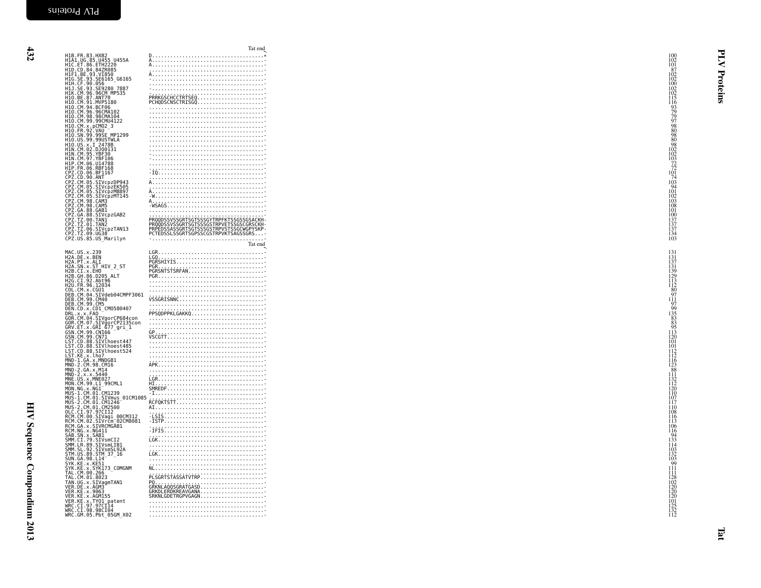|                                                                                                                                                    | Tat end                                                                                                                                                                                                                                                                                                                                                            |                                                                      |          |
|----------------------------------------------------------------------------------------------------------------------------------------------------|--------------------------------------------------------------------------------------------------------------------------------------------------------------------------------------------------------------------------------------------------------------------------------------------------------------------------------------------------------------------|----------------------------------------------------------------------|----------|
| H1B. FR. 83. HXB2                                                                                                                                  |                                                                                                                                                                                                                                                                                                                                                                    | $\begin{array}{c} 100 \\ 102 \\ 101 \\ 87 \\ 102 \\ 102 \end{array}$ |          |
| H1A1.UG.85.U455 U455A<br>H1C.ET.86.ETH2220<br>H1D.CD.84.84ZR085                                                                                    |                                                                                                                                                                                                                                                                                                                                                                    |                                                                      |          |
|                                                                                                                                                    |                                                                                                                                                                                                                                                                                                                                                                    |                                                                      |          |
| HIF1.BE.93.VI850<br>H1G.SE.93.SE6165_G6165                                                                                                         |                                                                                                                                                                                                                                                                                                                                                                    |                                                                      |          |
| H1H.CF.90.056 -------<br>H1J.SE.93.SE9280_7887<br>H1K.CM.96.96CM_MP535                                                                             |                                                                                                                                                                                                                                                                                                                                                                    |                                                                      |          |
| H10.BE.87.ANT70                                                                                                                                    |                                                                                                                                                                                                                                                                                                                                                                    | $\begin{array}{c} 100 \\ 102 \\ 102 \\ 102 \\ 115 \end{array}$       | Proteins |
| H10.CM.91.MVP5180                                                                                                                                  |                                                                                                                                                                                                                                                                                                                                                                    |                                                                      |          |
| H10.CM.94.BCF06<br>H10.CM.96.96CMA102                                                                                                              |                                                                                                                                                                                                                                                                                                                                                                    |                                                                      |          |
|                                                                                                                                                    |                                                                                                                                                                                                                                                                                                                                                                    |                                                                      |          |
|                                                                                                                                                    |                                                                                                                                                                                                                                                                                                                                                                    |                                                                      |          |
|                                                                                                                                                    |                                                                                                                                                                                                                                                                                                                                                                    |                                                                      |          |
| H10.SN.99.99SE MP1299<br>H10.US.99.99USTWLA                                                                                                        |                                                                                                                                                                                                                                                                                                                                                                    |                                                                      |          |
| H10.US.x.1 2478B<br>H1N.CM.02.DJ00131<br>H1N.CM.95.YBF30                                                                                           |                                                                                                                                                                                                                                                                                                                                                                    |                                                                      |          |
|                                                                                                                                                    |                                                                                                                                                                                                                                                                                                                                                                    |                                                                      |          |
| H1N.CM.97.YBF106<br>H1P.CM.06.U14788                                                                                                               |                                                                                                                                                                                                                                                                                                                                                                    |                                                                      |          |
| H1P.FR.06.RBF168                                                                                                                                   |                                                                                                                                                                                                                                                                                                                                                                    |                                                                      |          |
|                                                                                                                                                    |                                                                                                                                                                                                                                                                                                                                                                    |                                                                      |          |
| CPZ.CD.06.BF1167<br>CPZ.CD.90.ANT<br>CPZ.CM.05.SIVcpzDP943<br>CPZ.CM.05.SIVcpzEK505                                                                |                                                                                                                                                                                                                                                                                                                                                                    |                                                                      |          |
|                                                                                                                                                    |                                                                                                                                                                                                                                                                                                                                                                    |                                                                      |          |
| CPZ.CM.05.SIVcpzMB897<br>CPZ.CM.05.SIVcpzMB897<br>CPZ.CM.98.CAM3                                                                                   |                                                                                                                                                                                                                                                                                                                                                                    |                                                                      |          |
|                                                                                                                                                    |                                                                                                                                                                                                                                                                                                                                                                    |                                                                      |          |
| CPZ.CM.98.CAM5<br>CPZ.GA.88.GAB1<br>CPZ.GA.88.SIVCPZGAB2                                                                                           |                                                                                                                                                                                                                                                                                                                                                                    |                                                                      |          |
|                                                                                                                                                    | PROODSSVSSGRTSGTSSSGYTRPFKTSSGSSGSACKH-<br>PROODSSVSSGRTSGTSSSGSTRPVETSSGSCGRSCKH-<br>PRPEDSSASSGRTSGTSSSGSTRPVSTSSGCWGPYSKP-                                                                                                                                                                                                                                      |                                                                      |          |
|                                                                                                                                                    |                                                                                                                                                                                                                                                                                                                                                                    |                                                                      |          |
| CP2.04.06.31xv.pr<br>CP2.T2.00.TAN1<br>CP2.TZ.01.TAN2<br>CP2.TZ.06.SIVcpzTAN13<br>CPZ.TZ.09.UG38<br>CPZ.US.85.US_Marilyn                           | PCTEDSSLSSGRTSGPSSCGSTRPVKTSAGSSGRS-                                                                                                                                                                                                                                                                                                                               | 101<br>100<br>137<br>137<br>137<br>134<br>103                        |          |
|                                                                                                                                                    | Tat end                                                                                                                                                                                                                                                                                                                                                            |                                                                      |          |
|                                                                                                                                                    |                                                                                                                                                                                                                                                                                                                                                                    |                                                                      |          |
| MAC.US.x.239<br>H2A.DE.x.BEN<br>H2A.PT.x.ALI                                                                                                       |                                                                                                                                                                                                                                                                                                                                                                    | 131<br>131<br>137<br>131<br>139<br>129<br>113<br>113<br>112          |          |
|                                                                                                                                                    |                                                                                                                                                                                                                                                                                                                                                                    |                                                                      |          |
| H2A.SN.X.ST_HIV_2_ST<br>H2B.CI.X.EH0<br>H2B.GH.86.D205_ALT<br>H2G.CI.92.Abt96                                                                      |                                                                                                                                                                                                                                                                                                                                                                    |                                                                      |          |
|                                                                                                                                                    |                                                                                                                                                                                                                                                                                                                                                                    |                                                                      |          |
| H2U. FR. 96. 12034<br>COL.CM.x.CGU1                                                                                                                |                                                                                                                                                                                                                                                                                                                                                                    |                                                                      |          |
| DEB.CM.04.SIVdeb04CMPF3061<br>DEB.CM.99.CM40<br>DEB.CM.99.CM5<br>DEN.CD.x.CD1_CM0580407<br>DEN.CD.x.CD1_CM0580407                                  |                                                                                                                                                                                                                                                                                                                                                                    | $\begin{array}{r} 126 \\ 80 \\ 97 \\ 111 \\ 97 \\ 99 \end{array}$    |          |
|                                                                                                                                                    |                                                                                                                                                                                                                                                                                                                                                                    |                                                                      |          |
|                                                                                                                                                    |                                                                                                                                                                                                                                                                                                                                                                    |                                                                      |          |
| DEN.CO.X.COM<br>DRL.X.X.FAO<br>GOR.CM.09.SIVgorCP684con<br>GOR.CM.09.SIVgorCP2135con<br>GRV.ET.X.GRI 677_gri_1<br>GSN.CM.99.CN71<br>GSN.CM.99.CN71 |                                                                                                                                                                                                                                                                                                                                                                    |                                                                      |          |
|                                                                                                                                                    |                                                                                                                                                                                                                                                                                                                                                                    |                                                                      |          |
|                                                                                                                                                    |                                                                                                                                                                                                                                                                                                                                                                    |                                                                      |          |
| LST.CD.88.SIVlhoest447                                                                                                                             | $\begin{picture}(180,10) \put(0,0){\vector(1,0){100}} \put(10,0){\vector(1,0){100}} \put(10,0){\vector(1,0){100}} \put(10,0){\vector(1,0){100}} \put(10,0){\vector(1,0){100}} \put(10,0){\vector(1,0){100}} \put(10,0){\vector(1,0){100}} \put(10,0){\vector(1,0){100}} \put(10,0){\vector(1,0){100}} \put(10,0){\vector(1,0){100}} \put(10,0){\vector(1,0){100}}$ | 101                                                                  |          |
| LST.CD.88.SIVIhoest485                                                                                                                             |                                                                                                                                                                                                                                                                                                                                                                    | 101                                                                  |          |
| LST.KE.x.lho7                                                                                                                                      |                                                                                                                                                                                                                                                                                                                                                                    | $\frac{112}{112}$                                                    |          |
| <b>EST. REG. 2018</b><br>MND-2. CM. 98. CM16<br>MND-2. CM. 98. CM16<br>MND-2. x. x. 5440<br>MNE. US. x. MNE027<br>MNE. US. x. MNE027               |                                                                                                                                                                                                                                                                                                                                                                    | $\frac{116}{123}$<br>$\frac{88}{111}$                                |          |
|                                                                                                                                                    |                                                                                                                                                                                                                                                                                                                                                                    |                                                                      |          |
|                                                                                                                                                    |                                                                                                                                                                                                                                                                                                                                                                    |                                                                      |          |
| MON.CM.99.L1_99CML1                                                                                                                                |                                                                                                                                                                                                                                                                                                                                                                    |                                                                      |          |
| MON.NG.X.NGI---------<br>MUS-1.CM.01.CM1239<br>MUS-1.CM.01.SIVmus_01CM1085                                                                         |                                                                                                                                                                                                                                                                                                                                                                    | 132<br>112<br>120<br>110<br>107                                      |          |
| MUS-2.CM.01.CM1246<br>MUS-2.CM.01.CM1246<br>OLC.CI.97.97CI12                                                                                       |                                                                                                                                                                                                                                                                                                                                                                    | 117                                                                  |          |
|                                                                                                                                                    |                                                                                                                                                                                                                                                                                                                                                                    | 110<br>108                                                           |          |
| RCM.CM.00.SIVagi_00CM312<br>RCM.CM.02.SIVrcm <sup>-</sup> 02CM8081<br>RCM.GA.x.SIVRCMGAB1<br>RCM.NG.x.NG411                                        |                                                                                                                                                                                                                                                                                                                                                                    | $\frac{116}{113}$                                                    |          |
|                                                                                                                                                    |                                                                                                                                                                                                                                                                                                                                                                    | 106                                                                  |          |
| SAB.SN.x.SAB1                                                                                                                                      |                                                                                                                                                                                                                                                                                                                                                                    | 116                                                                  |          |
| SMM.CI.79.SIVsmCI2                                                                                                                                 | $\begin{minipage}{0.5\textwidth} \begin{tabular}{ c c } \hline 1 & 1 & 1 \\ 1 & 1 & 1 \\ 1 & 1 & 1 \\ 1 & 1 & 1 \\ 1 & 1 & 1 \\ 1 & 1 & 1 \\ 1 & 1 & 1 \\ 1 & 1 & 1 \\ 1 & 1 & 1 \\ 1 & 1 & 1 \\ 1 & 1 & 1 \\ 1 & 1 & 1 \\ 1 & 1 & 1 \\ 1 & 1 & 1 \\ 1 & 1 & 1 & 1 \\ 1 & 1 & 1 & 1 \\ 1 & 1 & 1 & 1 \\ 1 & 1 & 1 & 1 \\ 1 & 1 & 1 & 1 \\ 1 & 1$                   | $\frac{94}{133}$                                                     |          |
|                                                                                                                                                    |                                                                                                                                                                                                                                                                                                                                                                    |                                                                      |          |
| SMM. LR. 89. SIVSmL1B1<br>SMM. SL. 92. SIVSmL1B1<br>SMM. US. 89. SIM 37_16<br>SVM. GA. 98. L14<br>SYK. KE. x. KE51                                 |                                                                                                                                                                                                                                                                                                                                                                    | $\frac{114}{103}$<br>$\frac{132}{103}$<br>$\frac{132}{99}$           |          |
|                                                                                                                                                    |                                                                                                                                                                                                                                                                                                                                                                    |                                                                      |          |
| SYK. KE. X. SYK173_COMGNM<br>TAL. CM. 00. 266<br>TAL. CM. 01. 8023                                                                                 |                                                                                                                                                                                                                                                                                                                                                                    | 111<br>111                                                           |          |
|                                                                                                                                                    | PLSGRTSTASSATVTRP                                                                                                                                                                                                                                                                                                                                                  |                                                                      |          |
| TAN.UG.x.SIVagmTAN1<br>VER.DE.x.AGM3<br>VER.KE.x.9063<br>VER.KE.x.AGM155                                                                           |                                                                                                                                                                                                                                                                                                                                                                    | 128<br>102<br>120<br>120<br>120<br>120                               |          |
|                                                                                                                                                    |                                                                                                                                                                                                                                                                                                                                                                    |                                                                      |          |
| VER.KE.x.TY01 patent<br>WRC.CI.97.97CI14                                                                                                           |                                                                                                                                                                                                                                                                                                                                                                    |                                                                      |          |
|                                                                                                                                                    |                                                                                                                                                                                                                                                                                                                                                                    | $\frac{101}{125}$<br>$\frac{125}{132}$                               |          |
| WRC.CI.98.98CI04<br>WRC.GM.05.Pbt_05GM_X02                                                                                                         |                                                                                                                                                                                                                                                                                                                                                                    |                                                                      |          |
|                                                                                                                                                    |                                                                                                                                                                                                                                                                                                                                                                    |                                                                      |          |
|                                                                                                                                                    |                                                                                                                                                                                                                                                                                                                                                                    |                                                                      |          |
|                                                                                                                                                    |                                                                                                                                                                                                                                                                                                                                                                    |                                                                      | ؘڡ       |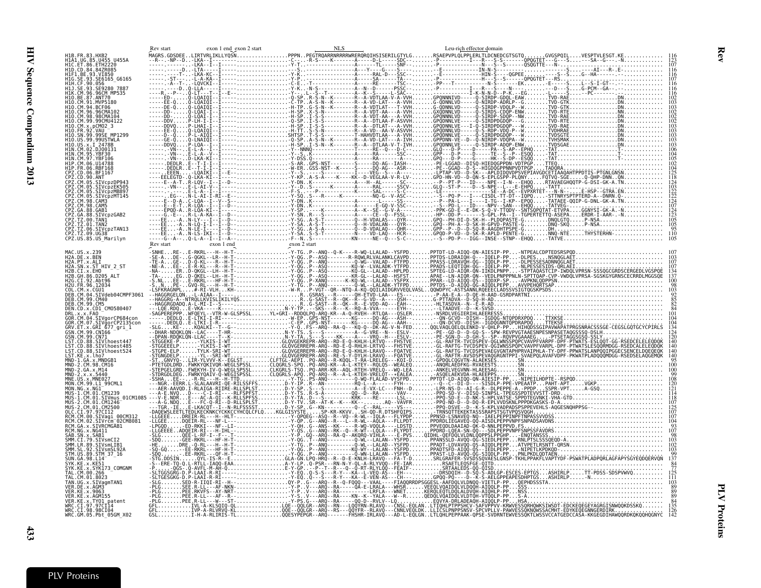<span id="page-28-0"></span>

| H1A1.UG.85.U455 U455A                                                  |                                                                                                                                                                                                                                                                                                                                                                         |  |                                                                                                                                                                                                                                                                                                                                                                                                                                       |
|------------------------------------------------------------------------|-------------------------------------------------------------------------------------------------------------------------------------------------------------------------------------------------------------------------------------------------------------------------------------------------------------------------------------------------------------------------|--|---------------------------------------------------------------------------------------------------------------------------------------------------------------------------------------------------------------------------------------------------------------------------------------------------------------------------------------------------------------------------------------------------------------------------------------|
| H1C.ET.86.ETH2220                                                      |                                                                                                                                                                                                                                                                                                                                                                         |  |                                                                                                                                                                                                                                                                                                                                                                                                                                       |
| H1D.CD.84.84ZR085<br>H1F1.BE.93.VI850                                  |                                                                                                                                                                                                                                                                                                                                                                         |  |                                                                                                                                                                                                                                                                                                                                                                                                                                       |
| SE6165 G6165                                                           |                                                                                                                                                                                                                                                                                                                                                                         |  |                                                                                                                                                                                                                                                                                                                                                                                                                                       |
| SE9280 7887                                                            |                                                                                                                                                                                                                                                                                                                                                                         |  |                                                                                                                                                                                                                                                                                                                                                                                                                                       |
| H1K.CM.96.96CM MP535<br>H10.BE.87.ANT70                                |                                                                                                                                                                                                                                                                                                                                                                         |  |                                                                                                                                                                                                                                                                                                                                                                                                                                       |
| H1O.CM.91.MVP5180                                                      |                                                                                                                                                                                                                                                                                                                                                                         |  |                                                                                                                                                                                                                                                                                                                                                                                                                                       |
| 10.CM.96.96CMA102                                                      |                                                                                                                                                                                                                                                                                                                                                                         |  |                                                                                                                                                                                                                                                                                                                                                                                                                                       |
| H10.CM.98.98CMA104                                                     |                                                                                                                                                                                                                                                                                                                                                                         |  |                                                                                                                                                                                                                                                                                                                                                                                                                                       |
| 10.CM.99.99CMU4122<br>10.CM.x.pCM02 3                                  |                                                                                                                                                                                                                                                                                                                                                                         |  |                                                                                                                                                                                                                                                                                                                                                                                                                                       |
| H10.SN.99.99SE MP1299                                                  |                                                                                                                                                                                                                                                                                                                                                                         |  |                                                                                                                                                                                                                                                                                                                                                                                                                                       |
| H10.US.99.99USTWLA                                                     |                                                                                                                                                                                                                                                                                                                                                                         |  |                                                                                                                                                                                                                                                                                                                                                                                                                                       |
| H10.US.x.I 2478B<br>H1N.CM.02.DJ00131                                  |                                                                                                                                                                                                                                                                                                                                                                         |  |                                                                                                                                                                                                                                                                                                                                                                                                                                       |
|                                                                        |                                                                                                                                                                                                                                                                                                                                                                         |  |                                                                                                                                                                                                                                                                                                                                                                                                                                       |
|                                                                        |                                                                                                                                                                                                                                                                                                                                                                         |  |                                                                                                                                                                                                                                                                                                                                                                                                                                       |
|                                                                        |                                                                                                                                                                                                                                                                                                                                                                         |  |                                                                                                                                                                                                                                                                                                                                                                                                                                       |
| .90.ANT                                                                |                                                                                                                                                                                                                                                                                                                                                                         |  |                                                                                                                                                                                                                                                                                                                                                                                                                                       |
| Z.CM.05.SIVcpzDP943<br>Z.CM.05.SIVcpzEK505                             |                                                                                                                                                                                                                                                                                                                                                                         |  |                                                                                                                                                                                                                                                                                                                                                                                                                                       |
| 2Z.CM.05.SIVcpzMB897                                                   |                                                                                                                                                                                                                                                                                                                                                                         |  |                                                                                                                                                                                                                                                                                                                                                                                                                                       |
| Z.CM.05.SIVcpzMT145<br>PZ.CM.98.CAM3                                   |                                                                                                                                                                                                                                                                                                                                                                         |  |                                                                                                                                                                                                                                                                                                                                                                                                                                       |
| PZ.CM.98.CAM5<br>PZ.GA.88.GAB1                                         |                                                                                                                                                                                                                                                                                                                                                                         |  |                                                                                                                                                                                                                                                                                                                                                                                                                                       |
| PZ.GA.88.SIVcpzGAB2                                                    |                                                                                                                                                                                                                                                                                                                                                                         |  |                                                                                                                                                                                                                                                                                                                                                                                                                                       |
| :PZ.TZ.00.TANI<br>:PZ.TZ.01.TAN2                                       |                                                                                                                                                                                                                                                                                                                                                                         |  |                                                                                                                                                                                                                                                                                                                                                                                                                                       |
| CPZ.TZ.06.SIVcpzTAN13<br>CPZ.TZ.09.UG38                                |                                                                                                                                                                                                                                                                                                                                                                         |  |                                                                                                                                                                                                                                                                                                                                                                                                                                       |
| CPZ.US.85.ŪŠ_M̄arilyn                                                  |                                                                                                                                                                                                                                                                                                                                                                         |  |                                                                                                                                                                                                                                                                                                                                                                                                                                       |
|                                                                        | $Rev start \n\nRow start \n\nNew start \n\n28 \times 10^{-12} - 14 \times 10^{-12} + 14 \times 10^{-13} + 14 \times 10^{-13} + 14 \times 10^{-13} + 14 \times 10^{-13} + 14 \times 10^{-13} + 14 \times 10^{-13} + 14 \times 10^{-13} + 14 \times 10^{-13} + 14 \times 10^{-13} + 14 \times 10^{-13} + 14 \times 10^{-13} + 14 \times 10^{-13} + 14 \times 10^{-13} + $ |  |                                                                                                                                                                                                                                                                                                                                                                                                                                       |
|                                                                        |                                                                                                                                                                                                                                                                                                                                                                         |  | PPTDT-LD-AIQQ-QN-AIESIP-PP-NTPEALCDPTEDSRSPQD                                                                                                                                                                                                                                                                                                                                                                                         |
| H2A.DE.x.BEN<br>H2A.PT.x.ALI                                           |                                                                                                                                                                                                                                                                                                                                                                         |  |                                                                                                                                                                                                                                                                                                                                                                                                                                       |
| H2A.SN.x.ST HIV 2 ST<br>H2B.CI.x.EHO                                   |                                                                                                                                                                                                                                                                                                                                                                         |  |                                                                                                                                                                                                                                                                                                                                                                                                                                       |
| H2B.GH.86.D205 ALT                                                     |                                                                                                                                                                                                                                                                                                                                                                         |  |                                                                                                                                                                                                                                                                                                                                                                                                                                       |
| H2G.CI.92.Abt96<br>H2U.FR.96.12034                                     |                                                                                                                                                                                                                                                                                                                                                                         |  |                                                                                                                                                                                                                                                                                                                                                                                                                                       |
|                                                                        |                                                                                                                                                                                                                                                                                                                                                                         |  |                                                                                                                                                                                                                                                                                                                                                                                                                                       |
| DEB.CM.04.SIVdeb04CMPF3061<br>DEB.CM.99.CM40                           |                                                                                                                                                                                                                                                                                                                                                                         |  |                                                                                                                                                                                                                                                                                                                                                                                                                                       |
| DEB.CM.99.CM5                                                          |                                                                                                                                                                                                                                                                                                                                                                         |  |                                                                                                                                                                                                                                                                                                                                                                                                                                       |
| DEN.CD.x.CD1 CM0580407                                                 |                                                                                                                                                                                                                                                                                                                                                                         |  |                                                                                                                                                                                                                                                                                                                                                                                                                                       |
| GOR.CM.04.SIVgorCP684con<br>GOR.CM.07.SIVğorCP2135con                  |                                                                                                                                                                                                                                                                                                                                                                         |  |                                                                                                                                                                                                                                                                                                                                                                                                                                       |
| GRV.ET.x.GRI 677_gri_1                                                 |                                                                                                                                                                                                                                                                                                                                                                         |  |                                                                                                                                                                                                                                                                                                                                                                                                                                       |
| GSN.CM.99.CN166<br>GSN.CM.99.CN71                                      |                                                                                                                                                                                                                                                                                                                                                                         |  |                                                                                                                                                                                                                                                                                                                                                                                                                                       |
| LST.CD.88.SIVlhoest447<br>ST.CD.88.SIVlhoest485                        |                                                                                                                                                                                                                                                                                                                                                                         |  |                                                                                                                                                                                                                                                                                                                                                                                                                                       |
| ST.CD.88.SIVlhoest524                                                  |                                                                                                                                                                                                                                                                                                                                                                         |  |                                                                                                                                                                                                                                                                                                                                                                                                                                       |
| LST.KE.x.lho7<br>MND-1.GA.x.MNDGB1                                     |                                                                                                                                                                                                                                                                                                                                                                         |  |                                                                                                                                                                                                                                                                                                                                                                                                                                       |
|                                                                        |                                                                                                                                                                                                                                                                                                                                                                         |  |                                                                                                                                                                                                                                                                                                                                                                                                                                       |
| MND-2.x.x.5440                                                         |                                                                                                                                                                                                                                                                                                                                                                         |  |                                                                                                                                                                                                                                                                                                                                                                                                                                       |
| MNE.US.x.MNE027<br>MON.CM.99.L1_99CML1                                 |                                                                                                                                                                                                                                                                                                                                                                         |  |                                                                                                                                                                                                                                                                                                                                                                                                                                       |
| MON.NG.x.NG1                                                           |                                                                                                                                                                                                                                                                                                                                                                         |  |                                                                                                                                                                                                                                                                                                                                                                                                                                       |
| MUS-1.CM.01.CM1239<br>MUS-1.CM.01.SIVmus 01CM1085                      |                                                                                                                                                                                                                                                                                                                                                                         |  |                                                                                                                                                                                                                                                                                                                                                                                                                                       |
| MUS-2.CM.01.CM1246                                                     |                                                                                                                                                                                                                                                                                                                                                                         |  |                                                                                                                                                                                                                                                                                                                                                                                                                                       |
| MUS-2.CM.01.CM2500<br>CI.97.97CI12                                     |                                                                                                                                                                                                                                                                                                                                                                         |  |                                                                                                                                                                                                                                                                                                                                                                                                                                       |
| RCM.CM.00.SIVagi_00CM312<br>RCM.CM.02.<br>SIVrčm <sup>-</sup> 02CM8081 |                                                                                                                                                                                                                                                                                                                                                                         |  |                                                                                                                                                                                                                                                                                                                                                                                                                                       |
| RCM.GA.x.SIVRCMGAB1                                                    |                                                                                                                                                                                                                                                                                                                                                                         |  |                                                                                                                                                                                                                                                                                                                                                                                                                                       |
| RCM NG x NG411<br>SAB.SN.x.SAB1                                        |                                                                                                                                                                                                                                                                                                                                                                         |  |                                                                                                                                                                                                                                                                                                                                                                                                                                       |
|                                                                        |                                                                                                                                                                                                                                                                                                                                                                         |  |                                                                                                                                                                                                                                                                                                                                                                                                                                       |
| SMM.LR.89.SIVsmLIB1<br>SIVsmSL92A                                      |                                                                                                                                                                                                                                                                                                                                                                         |  |                                                                                                                                                                                                                                                                                                                                                                                                                                       |
| STM.US.89.STM 37 16<br>SUN.GA.98.L14                                   |                                                                                                                                                                                                                                                                                                                                                                         |  |                                                                                                                                                                                                                                                                                                                                                                                                                                       |
| SYK.KE.x.KE51                                                          |                                                                                                                                                                                                                                                                                                                                                                         |  |                                                                                                                                                                                                                                                                                                                                                                                                                                       |
| SYK173 COMGNM                                                          |                                                                                                                                                                                                                                                                                                                                                                         |  |                                                                                                                                                                                                                                                                                                                                                                                                                                       |
| AL.CM.01.8023                                                          |                                                                                                                                                                                                                                                                                                                                                                         |  |                                                                                                                                                                                                                                                                                                                                                                                                                                       |
| TAN.UG.x.SIVaqmTAN1                                                    |                                                                                                                                                                                                                                                                                                                                                                         |  |                                                                                                                                                                                                                                                                                                                                                                                                                                       |
| VER.KE.x.9063<br>VER.KE.x.AGM155                                       |                                                                                                                                                                                                                                                                                                                                                                         |  |                                                                                                                                                                                                                                                                                                                                                                                                                                       |
| VER.KE.x.TYO1_patent                                                   |                                                                                                                                                                                                                                                                                                                                                                         |  | $\label{eq:3} \begin{array}{cccccccccccc} \textbf{1} & \textbf{1} & \textbf{1} & \textbf{1} & \textbf{1} & \textbf{1} & \textbf{1} & \textbf{1} & \textbf{1} & \textbf{1} & \textbf{1} & \textbf{1} & \textbf{1} & \textbf{1} & \textbf{1} & \textbf{1} & \textbf{1} & \textbf{1} & \textbf{1} & \textbf{1} & \textbf{1} & \textbf{1} & \textbf{1} & \textbf{1} & \textbf{1} & \textbf{1} & \textbf{1} & \textbf{1} & \textbf{1} & \$ |
| WRC.CI.97.97CI14<br>WRC.CI.98.98CI04                                   |                                                                                                                                                                                                                                                                                                                                                                         |  |                                                                                                                                                                                                                                                                                                                                                                                                                                       |
| WRC.GM.05.Pbt 05GM X02                                                 |                                                                                                                                                                                                                                                                                                                                                                         |  |                                                                                                                                                                                                                                                                                                                                                                                                                                       |

Rev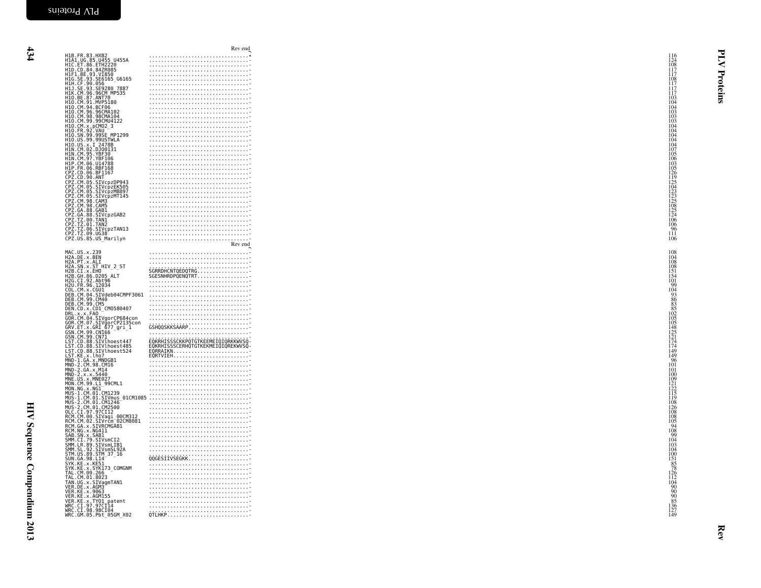|                                                                                                                                                                                                                                    | Rev end                                                                                                                                                                                                                                            |                                                                                          |          |
|------------------------------------------------------------------------------------------------------------------------------------------------------------------------------------------------------------------------------------|----------------------------------------------------------------------------------------------------------------------------------------------------------------------------------------------------------------------------------------------------|------------------------------------------------------------------------------------------|----------|
| H1B.FR.83.HXB2<br>H1A1.UG.85.U455 U455A<br>H1C.ET.86.ETH2220<br>H1D.CD.84.84ZR085<br>H1F1.BE.93.VT850<br>H1F1.EE.93.VT850<br>H1H.CE.90.056<br>H1H.CE.90.056<br>H1J1.CE.90.056<br>H1U.CE.90.056<br>H1U.CE.90.056<br>H1O.CM.87.ANT70 |                                                                                                                                                                                                                                                    | $\begin{array}{c} 116 \\ 124 \\ 108 \\ 117 \\ 117 \\ 112 \end{array}$                    |          |
|                                                                                                                                                                                                                                    |                                                                                                                                                                                                                                                    |                                                                                          |          |
|                                                                                                                                                                                                                                    |                                                                                                                                                                                                                                                    |                                                                                          |          |
|                                                                                                                                                                                                                                    |                                                                                                                                                                                                                                                    | 108                                                                                      |          |
|                                                                                                                                                                                                                                    |                                                                                                                                                                                                                                                    | $\begin{array}{c} 117 \\ 117 \\ 117 \end{array}$                                         |          |
|                                                                                                                                                                                                                                    |                                                                                                                                                                                                                                                    | 103                                                                                      | Proteins |
| H10.CM.91.MVP5180<br>H10.CM.94.BCF06                                                                                                                                                                                               |                                                                                                                                                                                                                                                    | 104                                                                                      |          |
|                                                                                                                                                                                                                                    |                                                                                                                                                                                                                                                    |                                                                                          |          |
|                                                                                                                                                                                                                                    |                                                                                                                                                                                                                                                    |                                                                                          |          |
| H10. CM. 96. 96CMA102<br>H10. CM. 98. 98CMA104<br>H10. CM. 99. 99CMU4122<br>H10. CM. x, pCM02_3<br>H10. FR. 92. VAU                                                                                                                |                                                                                                                                                                                                                                                    | $\begin{array}{c} 104 \\ 103 \\ 103 \\ 103 \\ 103 \\ 104 \end{array}$                    |          |
|                                                                                                                                                                                                                                    |                                                                                                                                                                                                                                                    | 104                                                                                      |          |
| H10. FN. 99. 99SE MP1299<br>H10. US. 99. 99USTWLA<br>H10. US. 99. 99USTWLA<br>H10. US. x. 1 2478B<br>H1N. CM. 95. YBF30.<br>H1N. CM. 95. YBF30.                                                                                    |                                                                                                                                                                                                                                                    | $\frac{104}{104}$<br>$\frac{104}{107}$                                                   |          |
|                                                                                                                                                                                                                                    |                                                                                                                                                                                                                                                    |                                                                                          |          |
|                                                                                                                                                                                                                                    |                                                                                                                                                                                                                                                    |                                                                                          |          |
| HIN.CM.97.YBF106<br>HIP.CM.06.U14788                                                                                                                                                                                               |                                                                                                                                                                                                                                                    | $\frac{106}{103}$                                                                        |          |
| H1P. FR. 06. RBF168                                                                                                                                                                                                                |                                                                                                                                                                                                                                                    |                                                                                          |          |
|                                                                                                                                                                                                                                    |                                                                                                                                                                                                                                                    |                                                                                          |          |
| CPZ.CD.06.BF1167<br>CPZ.CD.90.ANT<br>CPZ.CM.05.SIVcpzDP943<br>CPZ.CM.05.SIVcpzEK505                                                                                                                                                |                                                                                                                                                                                                                                                    |                                                                                          |          |
|                                                                                                                                                                                                                                    |                                                                                                                                                                                                                                                    |                                                                                          |          |
|                                                                                                                                                                                                                                    |                                                                                                                                                                                                                                                    |                                                                                          |          |
|                                                                                                                                                                                                                                    |                                                                                                                                                                                                                                                    |                                                                                          |          |
|                                                                                                                                                                                                                                    |                                                                                                                                                                                                                                                    | 126<br>119<br>125<br>104<br>123<br>125<br>125<br>125<br>125<br>124                       |          |
| CPZ.CM.05.SIVCp2EK505<br>CPZ.CM.05.SIVCp2EK505<br>CPZ.CM.05.SIVCp2MB897<br>CPZ.CM.08.CAMS<br>CPZ.CM.98.CAMS<br>CPZ.CM.08.CAMS<br>CPZ.CG.08.88.SIVCp2GAB2<br>CPZ.TZ.00.IAN12<br>CPZ.TZ.00.IAN2<br>CPZ.TZ.00.IAN2<br>CPZ.TZ.00.IAN2  |                                                                                                                                                                                                                                                    |                                                                                          |          |
|                                                                                                                                                                                                                                    |                                                                                                                                                                                                                                                    |                                                                                          |          |
|                                                                                                                                                                                                                                    |                                                                                                                                                                                                                                                    |                                                                                          |          |
| CPZ.TZ.09.UG38<br>CPZ.US.85.US_Marilyn                                                                                                                                                                                             |                                                                                                                                                                                                                                                    | $\frac{124}{106}$<br>$\frac{96}{96}$<br>$\frac{111}{106}$                                |          |
|                                                                                                                                                                                                                                    | Rev end                                                                                                                                                                                                                                            |                                                                                          |          |
| MAC.US.x.239<br>H2A.DE.x.BEN<br>H2A.PT.x.ALI<br>H2A.SN.x.ST_HIV_2_ST                                                                                                                                                               |                                                                                                                                                                                                                                                    | 108                                                                                      |          |
|                                                                                                                                                                                                                                    |                                                                                                                                                                                                                                                    | 104                                                                                      |          |
|                                                                                                                                                                                                                                    |                                                                                                                                                                                                                                                    | $\frac{108}{108}$                                                                        |          |
|                                                                                                                                                                                                                                    |                                                                                                                                                                                                                                                    |                                                                                          |          |
| H2B.CI.X.EHO<br>H2B.CI.X.EHO<br>H2B.GH.86.D205 ALT<br>H2G.CI.92.Abt96<br>H2U.FR.96.12034                                                                                                                                           |                                                                                                                                                                                                                                                    |                                                                                          |          |
|                                                                                                                                                                                                                                    |                                                                                                                                                                                                                                                    |                                                                                          |          |
| T201. CM. x . CGU1<br>DEB. CM. 04 . SIVdeb04CMPF3061<br>DEB. CM. 99 . CM40<br>DEB. CM. 99 . CM5<br>DEB. CM. 99 . CM5                                                                                                               |                                                                                                                                                                                                                                                    |                                                                                          |          |
|                                                                                                                                                                                                                                    |                                                                                                                                                                                                                                                    |                                                                                          |          |
|                                                                                                                                                                                                                                    |                                                                                                                                                                                                                                                    |                                                                                          |          |
|                                                                                                                                                                                                                                    |                                                                                                                                                                                                                                                    |                                                                                          |          |
|                                                                                                                                                                                                                                    |                                                                                                                                                                                                                                                    |                                                                                          |          |
|                                                                                                                                                                                                                                    |                                                                                                                                                                                                                                                    |                                                                                          |          |
|                                                                                                                                                                                                                                    |                                                                                                                                                                                                                                                    |                                                                                          |          |
|                                                                                                                                                                                                                                    |                                                                                                                                                                                                                                                    |                                                                                          |          |
|                                                                                                                                                                                                                                    |                                                                                                                                                                                                                                                    |                                                                                          |          |
|                                                                                                                                                                                                                                    |                                                                                                                                                                                                                                                    |                                                                                          |          |
|                                                                                                                                                                                                                                    |                                                                                                                                                                                                                                                    | iŏi<br>100                                                                               |          |
|                                                                                                                                                                                                                                    |                                                                                                                                                                                                                                                    | 109                                                                                      |          |
|                                                                                                                                                                                                                                    | DEB. CM. 99. CM4<br>DEB. CM. 99. CM5<br>DEB. CM. 99. CM5<br>GRR. LX. x. FAO –<br>GRR. LX. x. FAO –<br>GRR. CM: 07. SIVgor CP2135con<br>GRR. CM: 07. SIVgor CP2135con<br>GSN. CM: 99. CM166<br>GSN. CM: 99. CM166<br>GSN. CM: 99. CM166<br>LST. CD. | 121<br>122<br>115<br>119                                                                 |          |
|                                                                                                                                                                                                                                    |                                                                                                                                                                                                                                                    |                                                                                          |          |
|                                                                                                                                                                                                                                    |                                                                                                                                                                                                                                                    | $\frac{115}{108}$<br>$\frac{126}{108}$<br>$\frac{108}{105}$<br>$\frac{94}{109}$          |          |
|                                                                                                                                                                                                                                    |                                                                                                                                                                                                                                                    |                                                                                          |          |
|                                                                                                                                                                                                                                    |                                                                                                                                                                                                                                                    |                                                                                          |          |
|                                                                                                                                                                                                                                    |                                                                                                                                                                                                                                                    |                                                                                          |          |
|                                                                                                                                                                                                                                    |                                                                                                                                                                                                                                                    | $\frac{108}{99}$<br>$\frac{104}{104}$                                                    |          |
|                                                                                                                                                                                                                                    |                                                                                                                                                                                                                                                    |                                                                                          |          |
|                                                                                                                                                                                                                                    |                                                                                                                                                                                                                                                    |                                                                                          |          |
|                                                                                                                                                                                                                                    | QQGESIIVSEGKK                                                                                                                                                                                                                                      |                                                                                          |          |
| SMM. LR. 89. SIVSmLIB1<br>SMM. SL. 92. SIVSmLIB1<br>SMM. US. 89. SIVSmSL92A<br>SUN. 06. 98. L14<br>SYK. KE. x. KE51<br>SYK. KE. x. KE51                                                                                            |                                                                                                                                                                                                                                                    | 103<br>104<br>100 15<br>15<br>85<br>78<br>12<br>104<br>90 90<br>85<br>13<br>6<br>12<br>7 |          |
| SYK.KE.x.SYK173_COMGNM<br>TAL.CM.00.266                                                                                                                                                                                            |                                                                                                                                                                                                                                                    |                                                                                          |          |
| TAL.CM.01.8023                                                                                                                                                                                                                     |                                                                                                                                                                                                                                                    |                                                                                          |          |
|                                                                                                                                                                                                                                    |                                                                                                                                                                                                                                                    |                                                                                          |          |
|                                                                                                                                                                                                                                    |                                                                                                                                                                                                                                                    |                                                                                          |          |
|                                                                                                                                                                                                                                    |                                                                                                                                                                                                                                                    |                                                                                          |          |
|                                                                                                                                                                                                                                    |                                                                                                                                                                                                                                                    |                                                                                          |          |
| TAL.U.R. SV1.8V23<br>VER.LE.X.SIVagmTAN1<br>VER.KE.X.9063<br>VER.KE.X.9063<br>VER.KE.X.9063<br>VER.KE.X.TYO1<br>VER.KE.X.TYO1<br>VER.CE.97.97CI14<br>WRC.CI.98.98CI04<br>WRC.CI.98.98CI04<br>WRC.CI.98.98CI04                      |                                                                                                                                                                                                                                                    |                                                                                          |          |
|                                                                                                                                                                                                                                    |                                                                                                                                                                                                                                                    |                                                                                          |          |
|                                                                                                                                                                                                                                    |                                                                                                                                                                                                                                                    |                                                                                          | kev      |
|                                                                                                                                                                                                                                    |                                                                                                                                                                                                                                                    |                                                                                          |          |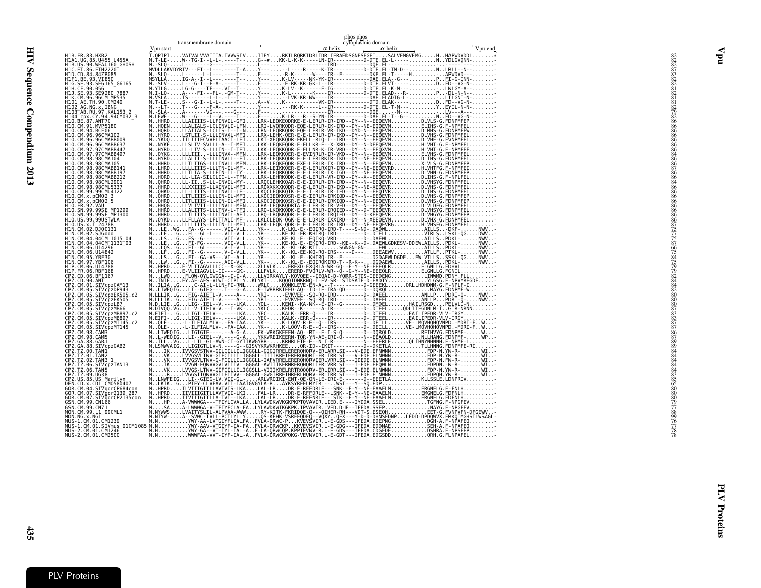<span id="page-30-0"></span>

| transmembrane domain | phos phos<br>cytoplasmic domain               |
|----------------------|-----------------------------------------------|
| Vpu start            | Vpu end<br>$\alpha$ -helix<br>$\alpha$ -helix |
|                      |                                               |
|                      |                                               |
|                      |                                               |
|                      |                                               |
|                      |                                               |
|                      |                                               |
|                      |                                               |
|                      |                                               |
|                      |                                               |
|                      |                                               |
|                      |                                               |
|                      |                                               |
|                      |                                               |
|                      |                                               |
|                      |                                               |
|                      |                                               |
|                      |                                               |
|                      |                                               |
|                      |                                               |
|                      |                                               |
|                      |                                               |
|                      |                                               |
|                      |                                               |
|                      |                                               |
|                      |                                               |
|                      |                                               |
|                      |                                               |
|                      |                                               |
|                      |                                               |
|                      |                                               |
|                      |                                               |
|                      |                                               |
|                      |                                               |
|                      |                                               |
|                      |                                               |
|                      |                                               |
|                      |                                               |
|                      |                                               |
|                      |                                               |
|                      |                                               |
|                      |                                               |
|                      |                                               |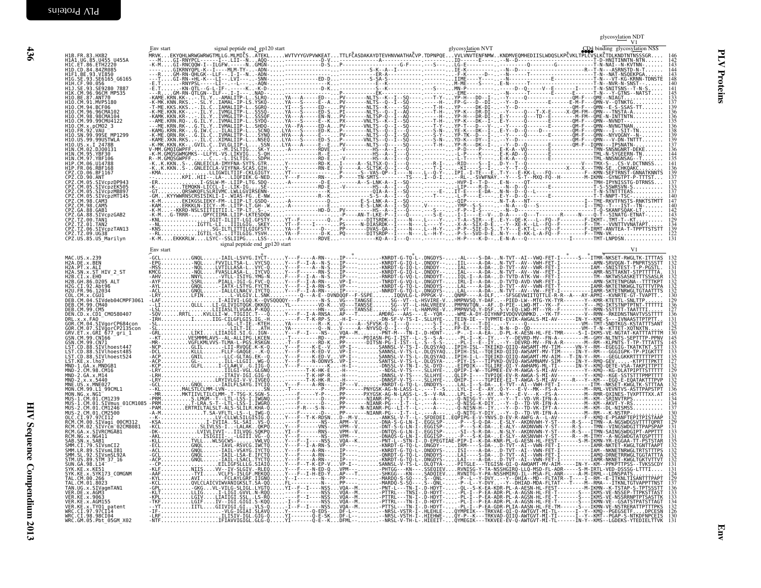<span id="page-31-0"></span>

| H1B.FR.83.HXB2<br>H1A1.UG.85.U455_U455A                                                                                             | signal peptide end gp120 start<br>Env start | CD4 binding glycosylation NSS<br>glycosylation NVT |
|-------------------------------------------------------------------------------------------------------------------------------------|---------------------------------------------|----------------------------------------------------|
| H1C.ET.86.ETH2220<br>H1D.CD.84.84ZR085<br>H1F1.BE.93.V1850                                                                          |                                             |                                                    |
| H1G.SE.93.SE6165_G6165<br>H1H.CF.90.056<br>H1J.SE.93.SE9280 7887                                                                    |                                             |                                                    |
| <u>H1K.CM.96.96CM MP535</u><br>H10.BE.87.ANT70<br>H10.CM.91.MVP5180                                                                 |                                             |                                                    |
| H10.CM.94.BCF06<br>HĨŎ.CM.96.96CMA102<br>H10.CM.98.98CMA104                                                                         |                                             |                                                    |
| H10.CM.99.99CMU4122<br>H10.CM.x.pCM02 3<br>H1O.FR.92.VAU<br>H1O.SN.99.99SE_MP1299                                                   |                                             |                                                    |
| H10.US.99.99USTWLA<br>H10.US.x.I_2478B                                                                                              |                                             |                                                    |
| HIN.ČM.02.DJ00131<br>HIN.CM.95.YBE30<br>H1N.CM.97.YBF106<br>H1P.CM.06.U14788                                                        |                                             |                                                    |
| H1P.FR.06.RBF168<br>CPZ.CD.06.BF1167<br>CPZ.CD.90.ANT                                                                               |                                             |                                                    |
| ČPŽ.ČM.05.SIVcpzDP943<br>CPZ.CM.05.SIVcpzEK505<br>CPZ.CM.05.SIVcpzMB897                                                             |                                             |                                                    |
| CPZ.CM.05.SIVcpzMT145<br>CPZ.CM.98.CAM3<br>ČPŽ. ČM. 98. ČAM5<br>CPZ. GA. 88. GAB1                                                   |                                             |                                                    |
| CPZ.GA.88.SIVcpzGAB2<br>ČPŽ. TZ. 00. TANI<br>CPZ. TZ. 01. TAN2                                                                      |                                             |                                                    |
| CPZ.TZ.06.SIVcpzTAN13<br>CPZ.TZ.09.UG38<br>ČPŽ.US.85.US Marilyn                                                                     |                                             |                                                    |
|                                                                                                                                     | signal peptide end_gp120 start<br>Env start |                                                    |
| MAC.US.x.239<br>H2A.DE.x.BEN<br>H2A.PT.x.ALI                                                                                        |                                             |                                                    |
| H2A.SN.x.ST HIV 2 ST<br>H2B.CI.x.EHO<br>H2B.GH.86.D205_ALT                                                                          |                                             |                                                    |
| H2G.CI.92.Abt96<br>H2U.FR.96.12034<br>COL.CM.x.CGU1                                                                                 |                                             |                                                    |
| DEB.CM.04.SIVdeb04CMPF3061<br>DEB.CM.99.CM40<br>DEB.CM.99.CM5                                                                       |                                             |                                                    |
| DEN.CD.x.CD1 CM0580407<br>DRL.x.x.FAO<br>GOR.CM.04.SIVgorCP684con                                                                   |                                             |                                                    |
| GOR.CM.07.SIVğorCP2135con<br>GRV.ET.x.GRI 677 gri 1<br>ĞSN.CM.99.CN166<br>GSN.CM.99.CN71                                            |                                             |                                                    |
| LST.CD.88.SIVlhoest447<br>LST.CD.88.SIVlhoest485<br>LST.CD.88.SIVlhoest524<br>LST.KE.x.lho7<br>LST.KE.x.lho7                        |                                             |                                                    |
| MND-1.GA.x.MNDGB1<br>MND-2.CM.98.CM16                                                                                               |                                             |                                                    |
| MND-2.GA.x.M14<br>MND-2.x.x.5440<br>MNE.US.x.MNE027                                                                                 |                                             |                                                    |
| MON.CM.99.L1_99CML1<br>MON NG X NG1<br>.<br>MUS-1.CM.01.CM1239<br>MUS-1.CM.01.SIVmus 01CM1085                                       |                                             |                                                    |
| MUS-2.CM.01.CM1246<br>MUS-2.CM.01.CM2500                                                                                            |                                             |                                                    |
| OLC.CI.97.97CI12<br>RCM.CM.00.SIVagi 00CM312<br>RCM.CM.02.SIVrcm=02CM8081<br>RCM.GA.x.SIVRCMGAB1                                    |                                             |                                                    |
| RCM.NG.x.NG411<br>SAB.SN.x.SAB1<br>SMM.CI.79.SIVsmCI2                                                                               |                                             |                                                    |
| SMM.LR.89.SIVSMLIB1<br>SMM.SL.92.SIVsmSL92A<br>STM.US.89.STM_37_16                                                                  |                                             |                                                    |
| ŠUN. GA. 98. L14<br>SYK. KE. x. KE51<br>SYK.KE.x.SYKI73_COMGNM<br>TAL.CM.00.266                                                     |                                             |                                                    |
|                                                                                                                                     |                                             |                                                    |
| TAL.CM.00.250<br>TAL.CM.01.8023<br>TAN.UG.x.SIVagmTAN1<br>VER.KE.x.AGM155<br>VER.KE.x.AGM155<br>VER.KE.x.AGM155<br>VER.KE.x.TQ17714 |                                             |                                                    |
| WRC.CI.97.97CI14<br>WRC.CI.98.98CI04                                                                                                |                                             |                                                    |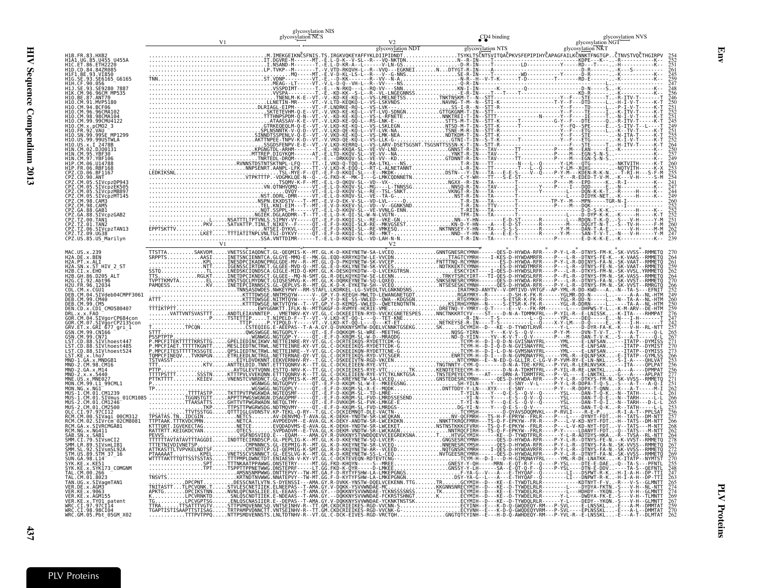|                                                                                                                       |  | glycosylation NIS<br>glycosylation NCS |  | CD <sub>4</sub> binding | glycosylation NVS |
|-----------------------------------------------------------------------------------------------------------------------|--|----------------------------------------|--|-------------------------|-------------------|
| H1B.FR.83.HXB2<br>H1A1.UG.85.U455 U455A                                                                               |  |                                        |  |                         |                   |
| H1C.ET.86.ETH2220<br>CD.84.84ZR085<br>SE. 93. SE6165                                                                  |  |                                        |  |                         |                   |
| SE.93. SE9280 7887<br>CM.96.96CM MP535                                                                                |  |                                        |  |                         |                   |
| 87.ANT70<br>.MVP5180<br>96CMA102                                                                                      |  |                                        |  |                         |                   |
| CM.96.<br>H10.CM.99.99CMU4122<br>x.pCM02_3                                                                            |  |                                        |  |                         |                   |
| 99SF MP1299<br>99USTWLA                                                                                               |  |                                        |  |                         |                   |
| 2478R                                                                                                                 |  |                                        |  |                         |                   |
| .06.RBF168<br>BF1167                                                                                                  |  |                                        |  |                         |                   |
| .90.ANT<br>.05.SIVcpzDP943<br>05.SIVcpzEK505<br>SIVcpzMB897                                                           |  |                                        |  |                         |                   |
| SIVcpzMT145<br>CPZ.CM.98.CAM3<br>CPZ.CM.98.CAM5                                                                       |  |                                        |  |                         |                   |
| CPZ.GA.88.GAB1<br>GA.88.<br>SIVcpzGAB2<br>.TZ.00.TAN1<br>CPZ.TZ.01.TAN2                                               |  |                                        |  |                         |                   |
| CPZ.TZ.06.SIVcpzTAN13<br>CPZ.TZ.09.UG38<br>CPZ.US.85.US_Marilyn                                                       |  |                                        |  |                         |                   |
|                                                                                                                       |  |                                        |  |                         |                   |
| H2A.DE.x.BBN<br>H2A.PT.x.ALI<br>H2A.SN.x.ST HIV_2_ST<br>H2B.CI.x.EH0                                                  |  |                                        |  |                         |                   |
| H2B.GH.86.D205 ALT<br>H2G.CI.92.Abt96<br>12U.FR.96.12034<br>.CM.x.CGU1                                                |  |                                        |  |                         |                   |
| DEB.CM.04.SIVdeb04CMPF3061<br>DEB.CM.99.CM40<br>DEB.CM.99.CM5                                                         |  |                                        |  |                         |                   |
| DEN.CD.x.CD1 CM0580407<br>CM.04.SIVgorCP684con                                                                        |  |                                        |  |                         |                   |
| .CM.07.SIVgorCP2135con<br>.ET.x.GRI_677_gri_1<br>GSN.CM.99.CN166<br>CM.99.CN71                                        |  |                                        |  |                         |                   |
| CD.88.SIVlhoest447<br>.CD.88.SIVlhoest485<br>.CD.88.SIVlhoest524<br>ST.KE.x.lho7                                      |  |                                        |  |                         |                   |
| .x.MNDGB1<br>2.CM.98.CM16                                                                                             |  |                                        |  |                         |                   |
| US.x.MNE027<br>CM.99.L1_99CML1<br>MON.NG.x.NGI-                                                                       |  |                                        |  |                         |                   |
| CM.01.SIVmus<br>2.CM.01.CM1246                                                                                        |  |                                        |  |                         |                   |
| 2.CM.01.CM2500<br>OLC.CI.97.97CI12<br>RCM.CM.00.SIVagi 00CM312<br>RCM.CM.02.SIVrcm <sup>-</sup> 02CM8081              |  |                                        |  |                         |                   |
| GA.x.SIVRCMGAB1<br>SN.x.SAB1                                                                                          |  |                                        |  |                         |                   |
| .79.SIVsmCI2<br>SMM.LR.89.SIVSMCIE<br>SMM.LR.89.SIVsmLIB1<br>SMM.SL.92.SIVsmSL92<br>STVsmSL92A<br>STM.US.89.STM 37 16 |  |                                        |  |                         |                   |
| SUN. GA. 98. L14<br>.x.SYK173 COMGNM                                                                                  |  |                                        |  |                         |                   |
| CM.00.266<br>CM.01.8023<br>UG.x.SIVaamTAN1<br>DE.x.AGM3                                                               |  |                                        |  |                         |                   |
| KE.x.9063<br>KE.x.AGM155<br>KE.x.TY01_patent                                                                          |  |                                        |  |                         |                   |
| WRC.CI.97.97CI14<br>WRC.CI.98.98CI04<br>WRC.GM.05 Ph+<br>GM.05.Pbt 05GM X02                                           |  |                                        |  |                         |                   |

Env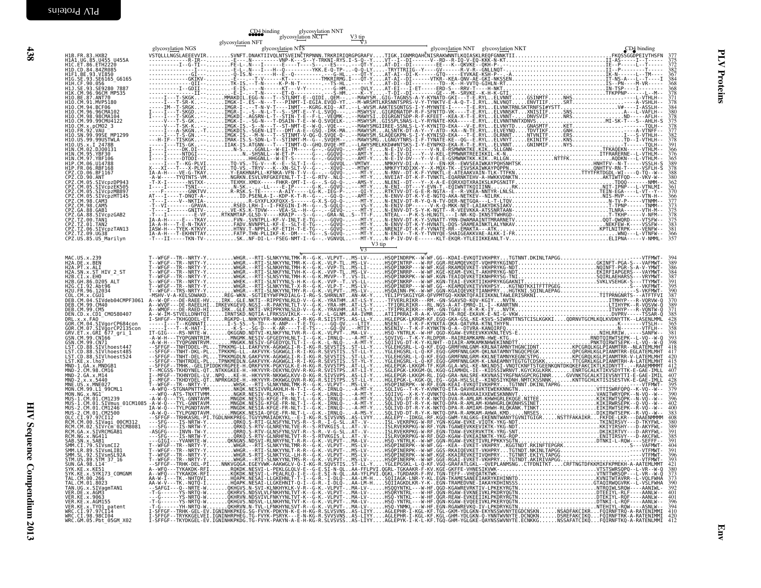|                                                                                                                                                                                                                                                                          |                   | <b>CD4</b> binding<br>glycosylation NFT | g glycosylation NNT<br>glycosy <u>lati</u> on NCT | $\frac{V3 \text{ tip}}{V3}$ |                                     |                                                                                                                                                                                                                                                                                                                                                                                                                                                             |                                        |
|--------------------------------------------------------------------------------------------------------------------------------------------------------------------------------------------------------------------------------------------------------------------------|-------------------|-----------------------------------------|---------------------------------------------------|-----------------------------|-------------------------------------|-------------------------------------------------------------------------------------------------------------------------------------------------------------------------------------------------------------------------------------------------------------------------------------------------------------------------------------------------------------------------------------------------------------------------------------------------------------|----------------------------------------|
| H1B.FR.83.HXB2<br>H1A1.UG.85.U455_U455A                                                                                                                                                                                                                                  | glycosylation NGS | glycosylation NTS                       |                                                   |                             | glycosylation NNT glycosylation NKT | $CD4$ binding<br>$\label{eq:3} \begin{small} \textbf{a)} & \textbf{a} & \textbf{b} & \textbf{c} & \textbf{c} & \textbf{d} & \textbf{d} & \textbf{e} \\ \textbf{b)} & \textbf{c} & \textbf{d} & \textbf{e} & \textbf{e} \\ \textbf{c)} & \textbf{c} & \textbf{e} & \textbf{e} \\ \textbf{d} & \textbf{e} & \textbf{e} \\ \textbf{e} & \textbf{e} & \textbf{e} \\ \textbf{e} & \textbf{e} \\ \textbf{e} & \textbf{e} \\ \textbf{e} & \textbf{e} \\ \textbf{e$ |                                        |
| HIAI - UG, 89, U4955 U455<br>HIC. ET. 86, ETH2220<br>HIF. BE. 93, VIBS0<br>HIF. BE. 93, VIBS0<br>HIH. CF. 99, SE0165<br>HIH. CF. 99, 956<br>HIJ. CF. 99, 96CM MP535<br>HIO. CM, 96, 96CM MP535<br>HIO. CM, 94, MVP5180<br>HIO. CM, 94, MVP5180<br>HIO. CM,               |                   |                                         |                                                   |                             |                                     |                                                                                                                                                                                                                                                                                                                                                                                                                                                             | $\frac{375}{372}$<br>382               |
|                                                                                                                                                                                                                                                                          |                   |                                         |                                                   |                             |                                     |                                                                                                                                                                                                                                                                                                                                                                                                                                                             | 368                                    |
|                                                                                                                                                                                                                                                                          |                   |                                         |                                                   |                             |                                     |                                                                                                                                                                                                                                                                                                                                                                                                                                                             | 378<br>378                             |
| H10. CM. 96. 96CMA102                                                                                                                                                                                                                                                    |                   |                                         |                                                   |                             |                                     |                                                                                                                                                                                                                                                                                                                                                                                                                                                             | 384<br>380                             |
| H10. CM.98.98CMA104<br>H10. CM.98.98CMA104<br>H10. CM. x. pCM02_3<br>H10. CM. x. pCM02_3<br>H10. EM. x. pCM02_3<br>H10. US. 99.99USTWLA<br>H10. US. x. 1<br>TH2. US. 2009151<br>H1N. CM. 97. VBF306<br>H1P. CM. 97. VBF306<br>H1P. CM. 97. VBF306<br>H1P. CM. 9          |                   |                                         |                                                   |                             |                                     |                                                                                                                                                                                                                                                                                                                                                                                                                                                             | 378<br>375                             |
|                                                                                                                                                                                                                                                                          |                   |                                         |                                                   |                             |                                     |                                                                                                                                                                                                                                                                                                                                                                                                                                                             | 382                                    |
|                                                                                                                                                                                                                                                                          |                   |                                         |                                                   |                             |                                     |                                                                                                                                                                                                                                                                                                                                                                                                                                                             | 366<br>376<br>365<br>389               |
| HIP : FR. 06 . RBF168<br>CPZ . CD . 06 . BF1167<br>CPZ . CD . 90 . ANT<br>CPZ . CM . 05 . SIV.CP2DP943                                                                                                                                                                   |                   |                                         |                                                   |                             |                                     |                                                                                                                                                                                                                                                                                                                                                                                                                                                             | 378<br>388<br>380                      |
|                                                                                                                                                                                                                                                                          |                   |                                         |                                                   |                             |                                     |                                                                                                                                                                                                                                                                                                                                                                                                                                                             | 362<br>370                             |
|                                                                                                                                                                                                                                                                          |                   |                                         |                                                   |                             |                                     |                                                                                                                                                                                                                                                                                                                                                                                                                                                             | 366                                    |
| CP2.CM.05.SIVcpzDP943<br>CP2.CM.05.SIVcpzEK505<br>CP2.CM.05.SIVcpzME897<br>CP2.CM.05.SIVcpzMT145<br>CP2.CM.98.CAMS<br>CP2.CM.98.CAMS<br>CP2.CA.88.GAMS<br>CP2.CA.88.GAMS<br>CP2.CA.88.SIVcpzGAB2<br>CP2.T2.00.TAN1<br>CP2.T2.00.TAN1<br>CP2.T2.00.TAN2<br>CP2.T2.0       |                   |                                         |                                                   |                             |                                     |                                                                                                                                                                                                                                                                                                                                                                                                                                                             | 378<br>375                             |
|                                                                                                                                                                                                                                                                          |                   |                                         |                                                   |                             |                                     |                                                                                                                                                                                                                                                                                                                                                                                                                                                             | 383<br>$\frac{381}{366}$<br>366<br>357 |
|                                                                                                                                                                                                                                                                          |                   |                                         |                                                   | V3 tip<br>$\nabla$ 3        |                                     |                                                                                                                                                                                                                                                                                                                                                                                                                                                             |                                        |
| MAC.US.x.239<br>H2A.DE.x.BEN<br>H2A.PT.x.ALI                                                                                                                                                                                                                             |                   |                                         |                                                   |                             |                                     |                                                                                                                                                                                                                                                                                                                                                                                                                                                             |                                        |
|                                                                                                                                                                                                                                                                          |                   |                                         |                                                   |                             |                                     |                                                                                                                                                                                                                                                                                                                                                                                                                                                             |                                        |
| H2A. FN. x. ALI<br>H2A. SN. x. ST HIV_2_ST<br>H2B. GH. 86. D205_ALT<br>H2B. GH. 86. D205_ALT<br>H2G. CT. 92. Ab196<br>H2U. FR. 96. 12034<br>DEB. CM. 94. SIVdeb04CMPF3061<br>DEB. CM. 99. CM4<br>DEB. CM. 99. CM5<br>DEB. CM. 99. CM5<br>DRL. x. x. FAO_CMO5             |                   |                                         |                                                   |                             |                                     |                                                                                                                                                                                                                                                                                                                                                                                                                                                             |                                        |
|                                                                                                                                                                                                                                                                          |                   |                                         |                                                   |                             |                                     |                                                                                                                                                                                                                                                                                                                                                                                                                                                             |                                        |
| DRL.x.x.FAO                                                                                                                                                                                                                                                              |                   |                                         |                                                   |                             |                                     |                                                                                                                                                                                                                                                                                                                                                                                                                                                             |                                        |
| DRN. CU. X.COL CHUSSON<br>CON CHI ASSAM CONTROL CHI ANNO CHI ANNO CHI ANNI CHI ASSAM CHI ASSAM CHI ASSAM CHI ASSAM CHI ASSAM CHI ANNI CHI ANNI CHI ANNI CHI ANNI CHI ANNI CHI ANNI CHI ANNI CHI ANNI CHI ANNI CHI ANNI CHI ANNI                                          |                   |                                         |                                                   |                             |                                     |                                                                                                                                                                                                                                                                                                                                                                                                                                                             |                                        |
|                                                                                                                                                                                                                                                                          |                   |                                         |                                                   |                             |                                     |                                                                                                                                                                                                                                                                                                                                                                                                                                                             |                                        |
|                                                                                                                                                                                                                                                                          |                   |                                         |                                                   |                             |                                     |                                                                                                                                                                                                                                                                                                                                                                                                                                                             |                                        |
|                                                                                                                                                                                                                                                                          |                   |                                         |                                                   |                             |                                     |                                                                                                                                                                                                                                                                                                                                                                                                                                                             |                                        |
|                                                                                                                                                                                                                                                                          |                   |                                         |                                                   |                             |                                     |                                                                                                                                                                                                                                                                                                                                                                                                                                                             |                                        |
|                                                                                                                                                                                                                                                                          |                   |                                         |                                                   |                             |                                     |                                                                                                                                                                                                                                                                                                                                                                                                                                                             |                                        |
| NCM.CM.00.STVagi 00CM312<br>RCM.CM.02.STVagi 00CM312<br>RCM.GA.x.STVRCMGAB1<br>RCM.NG.x.NG411<br>SAB.SN.x.SAB1<br>SAB.SN.x.SAB1                                                                                                                                          |                   |                                         |                                                   |                             |                                     |                                                                                                                                                                                                                                                                                                                                                                                                                                                             |                                        |
| SMM.CI.79.SIVsmCI2                                                                                                                                                                                                                                                       |                   |                                         |                                                   |                             |                                     |                                                                                                                                                                                                                                                                                                                                                                                                                                                             |                                        |
| SMM.LL.79.31VSMC12<br>SMM.LR.89.SIVSmLIB1<br>SMM.SL.92.SIVSmSL92A<br>STM.US.89.STM_37_16                                                                                                                                                                                 |                   |                                         |                                                   |                             |                                     |                                                                                                                                                                                                                                                                                                                                                                                                                                                             |                                        |
|                                                                                                                                                                                                                                                                          |                   |                                         |                                                   |                             |                                     |                                                                                                                                                                                                                                                                                                                                                                                                                                                             |                                        |
|                                                                                                                                                                                                                                                                          |                   |                                         |                                                   |                             |                                     |                                                                                                                                                                                                                                                                                                                                                                                                                                                             |                                        |
|                                                                                                                                                                                                                                                                          |                   |                                         |                                                   |                             |                                     |                                                                                                                                                                                                                                                                                                                                                                                                                                                             |                                        |
| STM.US.89.STM<br>SUN.GA.98.LI4<br>SYK.KE.x.KESI<br>SYK.KE.x.STM.DR.2000<br>TAL.CM.00.266<br>TAL.CM.01.8023<br>TAL.CM.01.8023<br>VER.KE.x.AGM3<br>VER.KE.x.AGM3<br>VER.KE.x.AGM3<br>VER.KE.x.AGM3<br>WER.CE.x.AGM3<br>VER.KE.x.AGM3<br>VER.KE.x.AGM3<br>VER.CCI.93.98CI04 |                   |                                         |                                                   |                             |                                     |                                                                                                                                                                                                                                                                                                                                                                                                                                                             |                                        |
|                                                                                                                                                                                                                                                                          |                   |                                         |                                                   |                             |                                     |                                                                                                                                                                                                                                                                                                                                                                                                                                                             |                                        |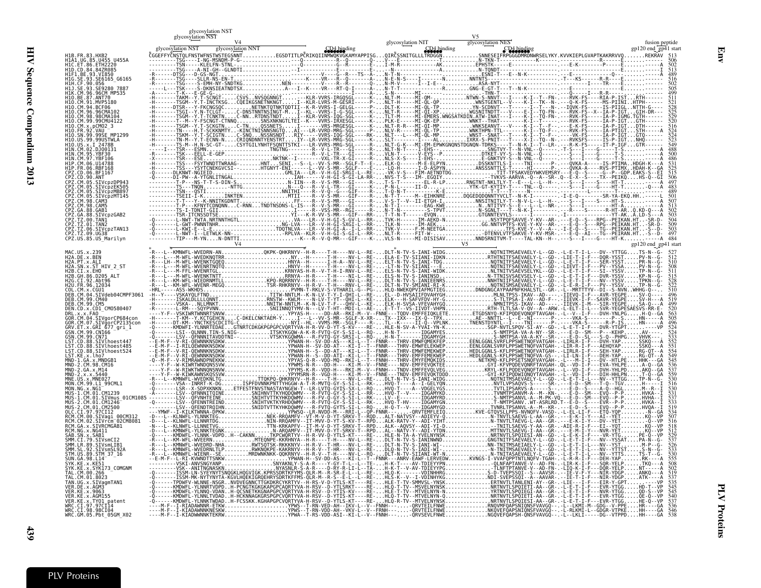| fusion peptide<br>gp120 end_gp41 start<br>H1B. FR. 83. HXB2<br>H1A1.UG.85.U455 U455A<br>H1C.ET.86.ETH2220<br>HID.CD.84.84ZR085<br>HIF1.BE.93.VI850<br>G6165<br>SE.93.SE6165<br>96CM MP535<br>. ANT70<br>CM.91.MVP5186<br><b>RCF06</b><br>96CMA102<br>pCM02 3<br><b>VAII</b><br>99SF MP1299<br>99USTWLA<br><b>YBF106</b><br>BF116/<br>90.ANT<br>483<br>CM.05.SIVcpzEK505<br>CPZ.CM.05.SIVCPZMB897<br>CPZ.CM.05.SIVCPZMB897<br>CPZ.CM.98.CAM3<br>CPZ.CM.98.CAM3<br>CPZ.GA.88.GAB1<br>ČPZ.GA.88.SIVcpzGAB2<br>PZ.TZ.00.TAN1:<br>CPZ.TZ.01.TAN2<br>CPZ.TZ.06.SIVcpzTAN13<br>ČPŽ.TŽ.09.UG38<br>CPZ.US.85.US_Marilyn<br>gp120 end_gp41 start<br>H2A .DE .x .BEN<br>H2A .PT .x .ALI<br>H2A .SN .x .ST .HIV_2_ST<br>H2B .CI .x .EHO___ _<br>H2B.GH.86.D205<br>ALT<br>H2G.CT.92.Abt96<br>H2U.FR.96.12034<br>COL.CM.x.CGU1<br>DEB.CM.84.SIVdeb04CMPF3061<br>DEB.CM.99.CM40<br>DEB.CM.99.CM5<br>DEN.CD.x.<br>CD1 CM0580407<br>x.x.FAO<br>CM.04.SIVgorCP684con<br>GOR.CM.07.SIVgorCP2135con<br>GRV.ET.x.GRI_677_gri_1<br>99.CN166<br>CM.99.CN71<br>CD.88.SIVlhoest447<br>.CD.88.SIVlhoest485<br>ST.CD.88.SIVlhoest524<br>ST.KE.x.lho7<br>MND-1.GA.x.MNDGB1<br>MND-2.GA.x.M14<br>MND-2.x.x.5440<br>MNE.US.x.MNE027<br>MON.CM.99.L1_99CML1 |              | glycosylation NST | glycosylation NST |  |  |
|------------------------------------------------------------------------------------------------------------------------------------------------------------------------------------------------------------------------------------------------------------------------------------------------------------------------------------------------------------------------------------------------------------------------------------------------------------------------------------------------------------------------------------------------------------------------------------------------------------------------------------------------------------------------------------------------------------------------------------------------------------------------------------------------------------------------------------------------------------------------------------------------------------------------------------------------------------------------------------------------------------------------------------------------------------------------------------------------------------------------------------------------------------------------------------------------------------------------------|--------------|-------------------|-------------------|--|--|
|                                                                                                                                                                                                                                                                                                                                                                                                                                                                                                                                                                                                                                                                                                                                                                                                                                                                                                                                                                                                                                                                                                                                                                                                                              |              |                   |                   |  |  |
|                                                                                                                                                                                                                                                                                                                                                                                                                                                                                                                                                                                                                                                                                                                                                                                                                                                                                                                                                                                                                                                                                                                                                                                                                              |              |                   |                   |  |  |
|                                                                                                                                                                                                                                                                                                                                                                                                                                                                                                                                                                                                                                                                                                                                                                                                                                                                                                                                                                                                                                                                                                                                                                                                                              |              |                   |                   |  |  |
|                                                                                                                                                                                                                                                                                                                                                                                                                                                                                                                                                                                                                                                                                                                                                                                                                                                                                                                                                                                                                                                                                                                                                                                                                              |              |                   |                   |  |  |
|                                                                                                                                                                                                                                                                                                                                                                                                                                                                                                                                                                                                                                                                                                                                                                                                                                                                                                                                                                                                                                                                                                                                                                                                                              |              |                   |                   |  |  |
|                                                                                                                                                                                                                                                                                                                                                                                                                                                                                                                                                                                                                                                                                                                                                                                                                                                                                                                                                                                                                                                                                                                                                                                                                              |              |                   |                   |  |  |
|                                                                                                                                                                                                                                                                                                                                                                                                                                                                                                                                                                                                                                                                                                                                                                                                                                                                                                                                                                                                                                                                                                                                                                                                                              |              |                   |                   |  |  |
|                                                                                                                                                                                                                                                                                                                                                                                                                                                                                                                                                                                                                                                                                                                                                                                                                                                                                                                                                                                                                                                                                                                                                                                                                              |              |                   |                   |  |  |
|                                                                                                                                                                                                                                                                                                                                                                                                                                                                                                                                                                                                                                                                                                                                                                                                                                                                                                                                                                                                                                                                                                                                                                                                                              |              |                   |                   |  |  |
|                                                                                                                                                                                                                                                                                                                                                                                                                                                                                                                                                                                                                                                                                                                                                                                                                                                                                                                                                                                                                                                                                                                                                                                                                              |              |                   |                   |  |  |
|                                                                                                                                                                                                                                                                                                                                                                                                                                                                                                                                                                                                                                                                                                                                                                                                                                                                                                                                                                                                                                                                                                                                                                                                                              |              |                   |                   |  |  |
|                                                                                                                                                                                                                                                                                                                                                                                                                                                                                                                                                                                                                                                                                                                                                                                                                                                                                                                                                                                                                                                                                                                                                                                                                              |              |                   |                   |  |  |
|                                                                                                                                                                                                                                                                                                                                                                                                                                                                                                                                                                                                                                                                                                                                                                                                                                                                                                                                                                                                                                                                                                                                                                                                                              |              |                   |                   |  |  |
|                                                                                                                                                                                                                                                                                                                                                                                                                                                                                                                                                                                                                                                                                                                                                                                                                                                                                                                                                                                                                                                                                                                                                                                                                              |              |                   |                   |  |  |
|                                                                                                                                                                                                                                                                                                                                                                                                                                                                                                                                                                                                                                                                                                                                                                                                                                                                                                                                                                                                                                                                                                                                                                                                                              |              |                   |                   |  |  |
|                                                                                                                                                                                                                                                                                                                                                                                                                                                                                                                                                                                                                                                                                                                                                                                                                                                                                                                                                                                                                                                                                                                                                                                                                              |              |                   |                   |  |  |
|                                                                                                                                                                                                                                                                                                                                                                                                                                                                                                                                                                                                                                                                                                                                                                                                                                                                                                                                                                                                                                                                                                                                                                                                                              |              |                   |                   |  |  |
|                                                                                                                                                                                                                                                                                                                                                                                                                                                                                                                                                                                                                                                                                                                                                                                                                                                                                                                                                                                                                                                                                                                                                                                                                              |              |                   |                   |  |  |
|                                                                                                                                                                                                                                                                                                                                                                                                                                                                                                                                                                                                                                                                                                                                                                                                                                                                                                                                                                                                                                                                                                                                                                                                                              |              |                   |                   |  |  |
|                                                                                                                                                                                                                                                                                                                                                                                                                                                                                                                                                                                                                                                                                                                                                                                                                                                                                                                                                                                                                                                                                                                                                                                                                              |              |                   |                   |  |  |
|                                                                                                                                                                                                                                                                                                                                                                                                                                                                                                                                                                                                                                                                                                                                                                                                                                                                                                                                                                                                                                                                                                                                                                                                                              |              |                   |                   |  |  |
|                                                                                                                                                                                                                                                                                                                                                                                                                                                                                                                                                                                                                                                                                                                                                                                                                                                                                                                                                                                                                                                                                                                                                                                                                              |              |                   |                   |  |  |
|                                                                                                                                                                                                                                                                                                                                                                                                                                                                                                                                                                                                                                                                                                                                                                                                                                                                                                                                                                                                                                                                                                                                                                                                                              |              |                   |                   |  |  |
|                                                                                                                                                                                                                                                                                                                                                                                                                                                                                                                                                                                                                                                                                                                                                                                                                                                                                                                                                                                                                                                                                                                                                                                                                              |              |                   |                   |  |  |
|                                                                                                                                                                                                                                                                                                                                                                                                                                                                                                                                                                                                                                                                                                                                                                                                                                                                                                                                                                                                                                                                                                                                                                                                                              |              |                   |                   |  |  |
|                                                                                                                                                                                                                                                                                                                                                                                                                                                                                                                                                                                                                                                                                                                                                                                                                                                                                                                                                                                                                                                                                                                                                                                                                              |              |                   |                   |  |  |
|                                                                                                                                                                                                                                                                                                                                                                                                                                                                                                                                                                                                                                                                                                                                                                                                                                                                                                                                                                                                                                                                                                                                                                                                                              |              |                   |                   |  |  |
|                                                                                                                                                                                                                                                                                                                                                                                                                                                                                                                                                                                                                                                                                                                                                                                                                                                                                                                                                                                                                                                                                                                                                                                                                              | MON.NG.x.NG1 |                   |                   |  |  |
| 01CM1085                                                                                                                                                                                                                                                                                                                                                                                                                                                                                                                                                                                                                                                                                                                                                                                                                                                                                                                                                                                                                                                                                                                                                                                                                     |              |                   |                   |  |  |
| 2.CM.01.CM1246<br>2 CM.01.CM2500<br>OLC.CI.97.97CI12<br>RCM.CM.00.SIVagi 00CM312                                                                                                                                                                                                                                                                                                                                                                                                                                                                                                                                                                                                                                                                                                                                                                                                                                                                                                                                                                                                                                                                                                                                             |              |                   |                   |  |  |
| SIVrcm 02CM8081<br>GA.x.SIVRCMGAB1                                                                                                                                                                                                                                                                                                                                                                                                                                                                                                                                                                                                                                                                                                                                                                                                                                                                                                                                                                                                                                                                                                                                                                                           |              |                   |                   |  |  |
| SN.x.SAB1                                                                                                                                                                                                                                                                                                                                                                                                                                                                                                                                                                                                                                                                                                                                                                                                                                                                                                                                                                                                                                                                                                                                                                                                                    |              |                   |                   |  |  |
| SMM.LR.89.SIVsmLIB1<br>SMM.SL.92.SIVsmSL92<br>STVsmSL92A                                                                                                                                                                                                                                                                                                                                                                                                                                                                                                                                                                                                                                                                                                                                                                                                                                                                                                                                                                                                                                                                                                                                                                     |              |                   |                   |  |  |
| STM.US.89.STM 37 16<br>SUN. GA. 98. L14                                                                                                                                                                                                                                                                                                                                                                                                                                                                                                                                                                                                                                                                                                                                                                                                                                                                                                                                                                                                                                                                                                                                                                                      |              |                   |                   |  |  |
| .x.SYK173 COMGNM                                                                                                                                                                                                                                                                                                                                                                                                                                                                                                                                                                                                                                                                                                                                                                                                                                                                                                                                                                                                                                                                                                                                                                                                             |              |                   |                   |  |  |
| CM 01 8023<br>SIVaomTAN1                                                                                                                                                                                                                                                                                                                                                                                                                                                                                                                                                                                                                                                                                                                                                                                                                                                                                                                                                                                                                                                                                                                                                                                                     |              |                   |                   |  |  |
| KE.x.9063<br>KE.x.AGM155<br>x.TY01_patent                                                                                                                                                                                                                                                                                                                                                                                                                                                                                                                                                                                                                                                                                                                                                                                                                                                                                                                                                                                                                                                                                                                                                                                    |              |                   |                   |  |  |
| CT 97 97CT14<br>WRC.CI.98.98CI04<br>GM.05.Pbt 05GM X02                                                                                                                                                                                                                                                                                                                                                                                                                                                                                                                                                                                                                                                                                                                                                                                                                                                                                                                                                                                                                                                                                                                                                                       |              |                   |                   |  |  |

Env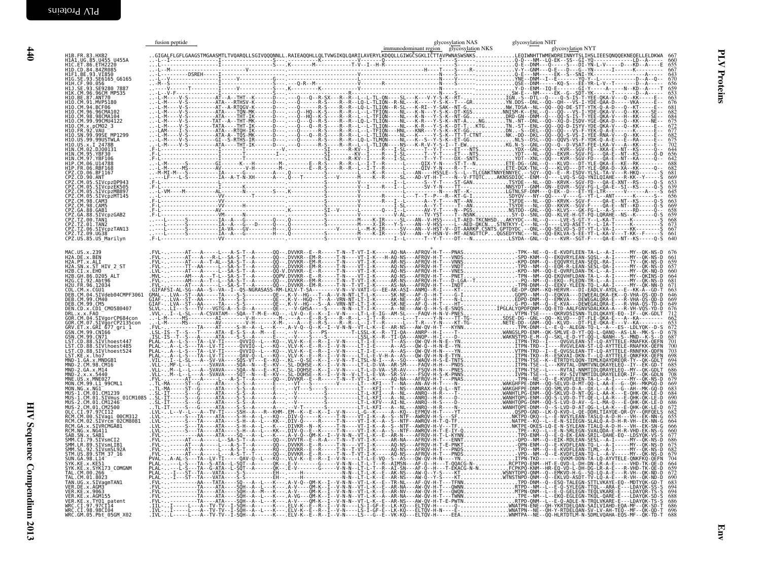|                                                                                                                                                                                                                                                           | fusion peptide |  | glycosylation NAS | glycosylation NHT |                                 |
|-----------------------------------------------------------------------------------------------------------------------------------------------------------------------------------------------------------------------------------------------------------|----------------|--|-------------------|-------------------|---------------------------------|
| H1B.FR.83.HXB2<br>H1A1.UG.85.U455_U455A                                                                                                                                                                                                                   |                |  |                   |                   |                                 |
| HIC.ET.86.ETH2220<br>HID.CD.84.84ZR085<br>HIF1.BE.93.VI850                                                                                                                                                                                                |                |  |                   |                   |                                 |
| H1G. SE. 93. SE6165_G6165<br>H1H. CF. 90. 056<br>H1J. SE. 93. SE9280_7887                                                                                                                                                                                 |                |  |                   |                   |                                 |
| HIK.CM.96.96CM MP535<br>H10.BE.87.ANT70<br>H10.CM.91.MVP5180                                                                                                                                                                                              |                |  |                   |                   |                                 |
| H10.CM.94.BCF06<br>H10.CM.96.96CMA102<br>H10.CM.98.98CMA104<br>H10.CM.99.99CMU4122                                                                                                                                                                        |                |  |                   |                   |                                 |
| H10.CM.x.,pCM02_3<br>H10.FR.92.VAU<br>H10.FR.92.VAU -<br>H10.SN.99.99SE_MP1299                                                                                                                                                                            |                |  |                   |                   |                                 |
| H10.US.99.99USTWLA                                                                                                                                                                                                                                        |                |  |                   |                   |                                 |
| H10.US.x.I 2478B<br>H1N.CM.02.DJ00131                                                                                                                                                                                                                     |                |  |                   |                   |                                 |
|                                                                                                                                                                                                                                                           |                |  |                   |                   |                                 |
|                                                                                                                                                                                                                                                           |                |  |                   |                   |                                 |
| H1N. CM. 95. DJ09131<br>H1N. CM. 95. YBF30<br>H1P. CM. 06. U14788<br>H1P. CM. 06. U14788<br>CPZ. CD. 96. RH1167<br>CPZ. CM. 05. STVCP2PP43<br>CPZ. CM. 05. STVCP2PP43<br>CPZ. CM. 05. STVCP2PR6997<br>CPZ. CM. 08. STVCP2PR6997<br>CPZ. CM. 08. STVCP2PR6 |                |  |                   |                   |                                 |
| CPZ.CM.98.CAM5<br>CPZ.GA.88.GAB1                                                                                                                                                                                                                          |                |  |                   |                   |                                 |
| CPZ.GA.88.SIVcpzGAB2<br>CPZ.TZ.00.TAN1                                                                                                                                                                                                                    |                |  |                   |                   |                                 |
| CPZ.TZ.01.TAN2<br>CPZ.TZ.06.SIVcpzTAN13<br>ČPŽ.TŽ.09.UG38<br>CPZ.US.85.US_Marilyn                                                                                                                                                                         |                |  |                   |                   |                                 |
|                                                                                                                                                                                                                                                           |                |  |                   |                   |                                 |
|                                                                                                                                                                                                                                                           |                |  |                   |                   |                                 |
|                                                                                                                                                                                                                                                           |                |  |                   |                   | 660<br>664                      |
|                                                                                                                                                                                                                                                           |                |  |                   |                   |                                 |
|                                                                                                                                                                                                                                                           |                |  |                   |                   | 663<br>646<br>669               |
|                                                                                                                                                                                                                                                           |                |  |                   |                   |                                 |
|                                                                                                                                                                                                                                                           |                |  |                   |                   |                                 |
|                                                                                                                                                                                                                                                           |                |  |                   |                   |                                 |
|                                                                                                                                                                                                                                                           |                |  |                   |                   | 700                             |
|                                                                                                                                                                                                                                                           |                |  |                   |                   | 694<br>686                      |
|                                                                                                                                                                                                                                                           |                |  |                   |                   |                                 |
|                                                                                                                                                                                                                                                           |                |  |                   |                   | $\frac{683}{684}$               |
|                                                                                                                                                                                                                                                           |                |  |                   |                   | 690                             |
|                                                                                                                                                                                                                                                           |                |  |                   |                   | $682$<br>$655$<br>664           |
|                                                                                                                                                                                                                                                           |                |  |                   |                   | 666                             |
|                                                                                                                                                                                                                                                           |                |  |                   |                   | $\frac{677}{686}$<br>675<br>682 |
|                                                                                                                                                                                                                                                           |                |  |                   |                   |                                 |
|                                                                                                                                                                                                                                                           |                |  |                   |                   |                                 |
|                                                                                                                                                                                                                                                           |                |  |                   |                   | 690<br>694                      |
|                                                                                                                                                                                                                                                           |                |  |                   |                   | 694<br>688                      |
|                                                                                                                                                                                                                                                           |                |  |                   |                   | 686<br>696                      |
|                                                                                                                                                                                                                                                           |                |  |                   |                   |                                 |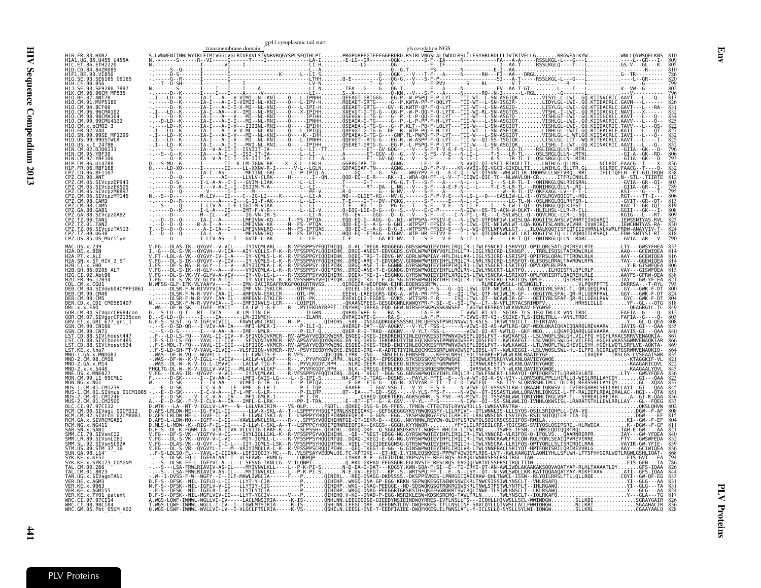|                                         |                                                          |  | transmembrane domain          | gp41 cytoplasmic tail start | glycosylation NGS                                                                                                              |  |  |
|-----------------------------------------|----------------------------------------------------------|--|-------------------------------|-----------------------------|--------------------------------------------------------------------------------------------------------------------------------|--|--|
|                                         |                                                          |  |                               |                             |                                                                                                                                |  |  |
| H1D.CD.84.84ZR085                       |                                                          |  |                               |                             |                                                                                                                                |  |  |
|                                         | 93.VT850                                                 |  |                               |                             |                                                                                                                                |  |  |
|                                         | <b>FQ28A 7887</b><br>96CM MP535                          |  |                               |                             |                                                                                                                                |  |  |
| H10.BE.87.ANT70                         | .MVP5180                                                 |  |                               |                             |                                                                                                                                |  |  |
|                                         |                                                          |  |                               |                             |                                                                                                                                |  |  |
|                                         |                                                          |  |                               |                             |                                                                                                                                |  |  |
|                                         |                                                          |  |                               |                             |                                                                                                                                |  |  |
|                                         |                                                          |  |                               |                             |                                                                                                                                |  |  |
|                                         |                                                          |  |                               |                             |                                                                                                                                |  |  |
|                                         | <b>RBF168</b>                                            |  |                               |                             |                                                                                                                                |  |  |
| ANT                                     | BF1167                                                   |  |                               |                             |                                                                                                                                |  |  |
|                                         | SIVcpzEK505<br>SIVcpzMB897                               |  |                               |                             |                                                                                                                                |  |  |
| <b>98. CAM3</b>                         | SIVcpzMT145                                              |  |                               |                             |                                                                                                                                |  |  |
| 27. CM. 98. CAM5<br>GAR1                |                                                          |  |                               |                             |                                                                                                                                |  |  |
| .00.TAN1<br>PZ.TZ.01.TAN2               | SIVcpzGAB2                                               |  |                               |                             |                                                                                                                                |  |  |
| PZ.TZ.06.SIVcpzTAN13:<br>CPZ.TZ.09.UG38 |                                                          |  |                               |                             |                                                                                                                                |  |  |
| CPZ.US.85.US_Marilyn                    |                                                          |  |                               |                             | V.FG---DLAS-IK--OYGVY--V-VIL----IYIVOMLAKL----R-VFSSPPSYFOOTHIOOD-AL-TREGK-RDGGEGG.GNSSWPWOIEYIHFLIROLIR-LTWLFSNCRT-LSRVYOI-OI |  |  |
| 2A.PT.x.ALI                             |                                                          |  |                               |                             |                                                                                                                                |  |  |
| 2B.CI.x.EHO                             | SN.x.ST HIV 2 ST                                         |  |                               |                             |                                                                                                                                |  |  |
| 2B.GH.86.D205 ALT<br>.CT.92.Abt96       |                                                          |  |                               |                             |                                                                                                                                |  |  |
| 96.12034                                | CM.04.SIVdeb04CMPF3061                                   |  |                               |                             |                                                                                                                                |  |  |
| DEB.CM.99.CM40<br>DEB.CM.99.CM5         |                                                          |  |                               |                             |                                                                                                                                |  |  |
| DEN.CD.x.CD1 CM0580407                  |                                                          |  |                               |                             |                                                                                                                                |  |  |
|                                         | CM.04.SIVgorCP684con<br>SIVğorCP2135con<br>GRI 677_gri_1 |  |                               |                             |                                                                                                                                |  |  |
| 99.CN166                                |                                                          |  |                               |                             |                                                                                                                                |  |  |
|                                         | IVlhoest485                                              |  |                               |                             |                                                                                                                                |  |  |
|                                         | SIVlhoest524<br>.x.MNDGR1                                |  |                               |                             |                                                                                                                                |  |  |
|                                         |                                                          |  |                               |                             |                                                                                                                                |  |  |
|                                         |                                                          |  |                               |                             |                                                                                                                                |  |  |
|                                         | M.99.L1 99CML1                                           |  |                               |                             |                                                                                                                                |  |  |
|                                         | .SIVmus 01CM1085                                         |  |                               |                             |                                                                                                                                |  |  |
|                                         | .CM 01.CM2500                                            |  |                               |                             |                                                                                                                                |  |  |
|                                         | Vrčm <sup>-</sup> 02CM8081                               |  |                               |                             |                                                                                                                                |  |  |
|                                         |                                                          |  |                               |                             |                                                                                                                                |  |  |
|                                         | Vsml TR1                                                 |  |                               |                             |                                                                                                                                |  |  |
|                                         | IVsmSL92A<br>STM 37 16                                   |  |                               |                             |                                                                                                                                |  |  |
|                                         |                                                          |  |                               |                             |                                                                                                                                |  |  |
|                                         |                                                          |  |                               |                             |                                                                                                                                |  |  |
|                                         | SIVagmTAN1                                               |  |                               |                             |                                                                                                                                |  |  |
| KE.x.9063                               | KE.x.TY01 patent                                         |  |                               |                             |                                                                                                                                |  |  |
| /RC.CI.97.97CI14<br>WRC.CI.98.98CI04    |                                                          |  |                               |                             |                                                                                                                                |  |  |
| WRC.GM.05.Pbt 05GM X02                  |                                                          |  | -LV--I-VLGCLFTSLRIA-----K-VS- |                             |                                                                                                                                |  |  |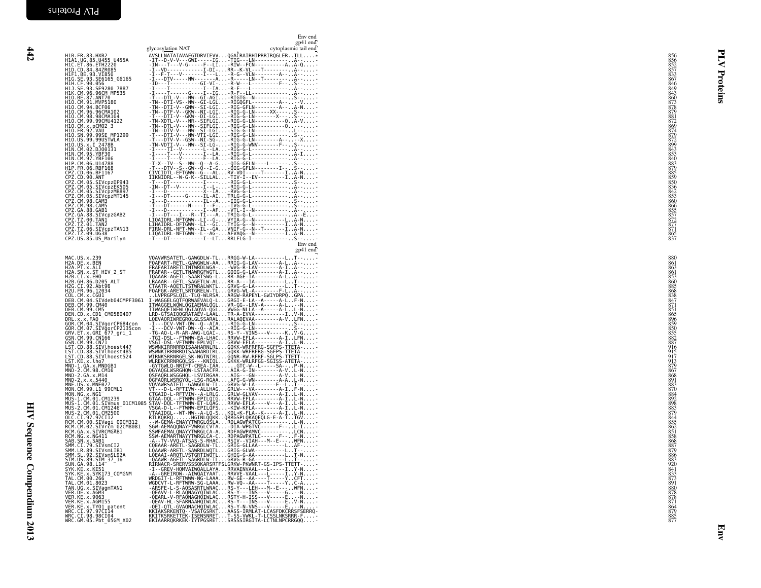| HIV Sequence Compendium 2013                                                                                                                                                                                                         |                               |
|--------------------------------------------------------------------------------------------------------------------------------------------------------------------------------------------------------------------------------------|-------------------------------|
| MAC                                                                                                                                                                                                                                  | <b>CPZCPZZCPZCPZCPZCPZCPZ</b> |
| きょうきょう きょうきょう きょうきょう きょうきょう きゅうきゅう はんかい かいしんしん しんしんしん けいけいけい はんしゅう                                                                                                                                                                   | CM CM CM GA GA THINK          |
| <b>USPETALLY, 2007, 2008, 2008, 2008, 2008, 2008, 2008, 2008, 2008, 2008, 2008, 2008, 2008, 2008, 2008, 2008, 2008, 2008, 2008, 2008, 2008, 2008, 2008, 2008, 2008, 2008, 2008, 2008, 2008, 2008, 2008, 2008, 2008, 2008, 2008, </b> |                               |
|                                                                                                                                                                                                                                      | <b>SISTER CASTANTS</b>        |

|                                                                                                                                                                                                                                                                                                                      | Env end<br>gp41 end  |                                               |
|----------------------------------------------------------------------------------------------------------------------------------------------------------------------------------------------------------------------------------------------------------------------------------------------------------------------|----------------------|-----------------------------------------------|
| glycosylation NAT<br>AVSLLNATAIAVAEGTDRVIEVVQGACRAIRHIPRRIRQGLERILL*                                                                                                                                                                                                                                                 | cytoplasmic tail end |                                               |
| H1B.FR.83.HXB2<br>H1A1.UG.85.U455 U455A<br>H1C.ET.86.ETH2220<br>H1D.CD.84.84ZR085                                                                                                                                                                                                                                    |                      | 856<br>852<br>857<br>833<br>867               |
| HID.CD.84.842K085<br>HIF1.BE.93.VI850<br>HIH.CF.90.056<br>HIH.CF.90.056<br>HIK.CM.96.0566<br>HIC.CM.96.96CM MP535<br>HIO.CM.91.MVP5180<br>HIO.CM.91.MVP5180<br>HIO.CM.91.MVP5180<br>HIO.CM.91.MVP5180                                                                                                                |                      | Proteins<br>846<br>849                        |
|                                                                                                                                                                                                                                                                                                                      |                      | 843<br>$\frac{860}{873}$                      |
|                                                                                                                                                                                                                                                                                                                      |                      | 878<br>879<br>$\frac{881}{872}$               |
| H10.CM:94.8EP0<br>H10.CM:98.96CMA102<br>H10.CM:98.98CMA104<br>H10.CM:99.99CMU4122<br>H10.FR:92.VAU –<br>H10.SN:99.99SE MP1299<br>H10.US.99.99SE MP1299<br>H10.US.99.99SE                                                                                                                                             |                      | 869<br>874                                    |
| H10.US.x.I 2478B                                                                                                                                                                                                                                                                                                     |                      | $\frac{879}{872}$<br>899<br>843               |
| H10.09.7.1<br>H1N.CM.02.DJ00131<br>H1N.CM.95.YBF30<br>H1N.CM.97.YBF106<br>H1P.CM.06.U14788                                                                                                                                                                                                                           |                      | $\frac{853}{840}$<br>883                      |
|                                                                                                                                                                                                                                                                                                                      |                      | 879<br>$\frac{885}{859}$                      |
| HIP. CM. 06. UI4788<br>HIP. FR. 06. RBF168<br>CPZ. CD. 06. BF1167<br>CPZ. CD. 06. BT1167<br>CPZ. CD. 09. ANT<br>CPZ. CM. 05. SIVCpzDP943<br>CPZ. CM. 05. SIVCpzMT145<br>CPZ. CM. 05. SIVCpzMT145<br>CPZ. CM. 08. CAM5<br>CPZ. CM. 98. CAM5<br>CPZ. CM. 98. C                                                         |                      | 850<br>$\frac{836}{842}$                      |
|                                                                                                                                                                                                                                                                                                                      |                      | 853<br>860                                    |
|                                                                                                                                                                                                                                                                                                                      |                      | 866<br>855<br>857                             |
|                                                                                                                                                                                                                                                                                                                      |                      | $\frac{872}{877}$<br>865<br>837               |
|                                                                                                                                                                                                                                                                                                                      | Env end<br>gp41 end  |                                               |
|                                                                                                                                                                                                                                                                                                                      |                      | 880<br>861<br>863                             |
|                                                                                                                                                                                                                                                                                                                      |                      | 861<br>853<br>860                             |
|                                                                                                                                                                                                                                                                                                                      |                      | 885<br>$\frac{868}{838}$                      |
|                                                                                                                                                                                                                                                                                                                      |                      | 847<br>$\frac{871}{851}$<br>865               |
|                                                                                                                                                                                                                                                                                                                      |                      | 896<br>859<br>850                             |
|                                                                                                                                                                                                                                                                                                                      |                      | 855<br>$\frac{882}{887}$<br>916               |
|                                                                                                                                                                                                                                                                                                                      |                      | 915<br>917                                    |
|                                                                                                                                                                                                                                                                                                                      |                      | $\frac{913}{879}$<br>867<br>868               |
|                                                                                                                                                                                                                                                                                                                      |                      | 891<br>883<br>870                             |
|                                                                                                                                                                                                                                                                                                                      |                      | 884<br>892<br>898                             |
|                                                                                                                                                                                                                                                                                                                      |                      | 883<br>879<br>$\frac{844}{855}$               |
|                                                                                                                                                                                                                                                                                                                      |                      | 862<br>$\frac{851}{858}$                      |
|                                                                                                                                                                                                                                                                                                                      |                      | 868<br>887<br>879                             |
|                                                                                                                                                                                                                                                                                                                      |                      | 886<br>883<br>920<br>841                      |
| SYK.KE.x.KE51<br>SYK.KE.x.KE51<br>SYK.KE.x.SYK173_COMGNM<br>ATAMOREY-HOMAZINGALLAYA - CRIVAENVAAL---L-----I-Y-N-<br>-A--GREV-HOMAZINGALLAYA - RRVVE-VAAL---L----I.Y-N--<br>-A--GREIRDW--AIWOAIYAAIRRVVE-VAAL---L-----I.Y-N--<br>WRDGIT-L-RFTWW-NG-LAAARW-GE--AA----T-----YCFT-<br>TAL.CM.00.266<br>TAL.CM.01.8023    |                      | 833<br>873<br>891                             |
| WGDCVT-L-RFTWRW-SG-LAAARW-VQ--AA----T-----YC-A<br>-ARSFE-L-S-AQSASRTLWNACRS-Y---LEH---M--E---WFN-<br>-OEAVV-L-RLAQNAGYQIWLACRS-Y---INS---V-----G-N-<br>-QEANL-V-RFAQNAGHQIMLACRSTV-H-ISS---V-----E------<br>TAN.UG.x.SIVagmTAN1<br>VER.DE.x.AGM3<br>VER.KE.x.9063                                                    |                      | 880                                           |
| - JUAN L-V-REARMARIQUMLACRS-7---1NS----V------ECHAL-V-REARMARIQUMLACRS-7---1NS---V-----EV-N--<br>-QEAV-HL-GFARMARHQIMLACRS-7---INS---V-----EV-N-----<br>-REI-QTL-GVAQNACHQIMLACRASS-IRMLAT-LCASFDRCRRSFSERR<br>VER.KE.X.300<br>VER.KE.X.AGM155<br>VER.KE.x.TY01 patent<br>WRC.CI.98.98CI04<br>WRC.GM.05.Pbt_05GM_X02 |                      | 878<br>878<br>871<br>864<br>879<br>885<br>877 |
|                                                                                                                                                                                                                                                                                                                      |                      |                                               |
|                                                                                                                                                                                                                                                                                                                      |                      | Einv                                          |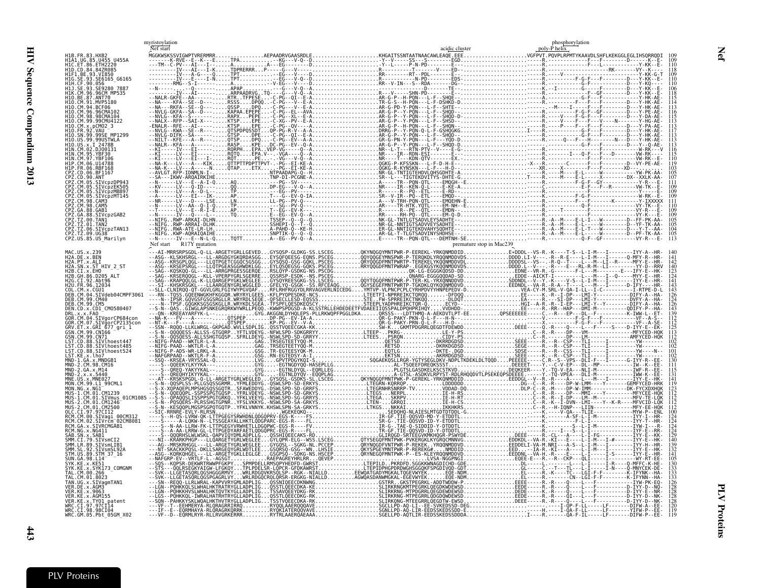| HID: CO: 34. 8276085<br>HILL: SE. 93. VIRSIS<br>HILL: E. 93. VIRSIS<br>HILL: CM. 96. 96765<br>HILL: CM. 96. 96765<br>HILL: CM. 96. 96765<br>HILL: CM. 96. 96761<br>HILL: CM. 96. 96761<br>HID: CM. 96. 96761<br>HID: CM. 96. 96761<br>HID: CM. 96. |  |
|----------------------------------------------------------------------------------------------------------------------------------------------------------------------------------------------------------------------------------------------------|--|
|                                                                                                                                                                                                                                                    |  |
|                                                                                                                                                                                                                                                    |  |
|                                                                                                                                                                                                                                                    |  |
|                                                                                                                                                                                                                                                    |  |
|                                                                                                                                                                                                                                                    |  |
|                                                                                                                                                                                                                                                    |  |
|                                                                                                                                                                                                                                                    |  |
|                                                                                                                                                                                                                                                    |  |
|                                                                                                                                                                                                                                                    |  |
|                                                                                                                                                                                                                                                    |  |
|                                                                                                                                                                                                                                                    |  |
|                                                                                                                                                                                                                                                    |  |
|                                                                                                                                                                                                                                                    |  |
|                                                                                                                                                                                                                                                    |  |
|                                                                                                                                                                                                                                                    |  |
|                                                                                                                                                                                                                                                    |  |
|                                                                                                                                                                                                                                                    |  |
|                                                                                                                                                                                                                                                    |  |
|                                                                                                                                                                                                                                                    |  |
|                                                                                                                                                                                                                                                    |  |
|                                                                                                                                                                                                                                                    |  |
|                                                                                                                                                                                                                                                    |  |
|                                                                                                                                                                                                                                                    |  |
|                                                                                                                                                                                                                                                    |  |
|                                                                                                                                                                                                                                                    |  |
|                                                                                                                                                                                                                                                    |  |
|                                                                                                                                                                                                                                                    |  |
|                                                                                                                                                                                                                                                    |  |
|                                                                                                                                                                                                                                                    |  |
|                                                                                                                                                                                                                                                    |  |
|                                                                                                                                                                                                                                                    |  |
|                                                                                                                                                                                                                                                    |  |
|                                                                                                                                                                                                                                                    |  |
|                                                                                                                                                                                                                                                    |  |
|                                                                                                                                                                                                                                                    |  |
|                                                                                                                                                                                                                                                    |  |
|                                                                                                                                                                                                                                                    |  |
|                                                                                                                                                                                                                                                    |  |
|                                                                                                                                                                                                                                                    |  |
|                                                                                                                                                                                                                                                    |  |
|                                                                                                                                                                                                                                                    |  |
|                                                                                                                                                                                                                                                    |  |
|                                                                                                                                                                                                                                                    |  |
|                                                                                                                                                                                                                                                    |  |
|                                                                                                                                                                                                                                                    |  |
|                                                                                                                                                                                                                                                    |  |
|                                                                                                                                                                                                                                                    |  |
|                                                                                                                                                                                                                                                    |  |
|                                                                                                                                                                                                                                                    |  |
|                                                                                                                                                                                                                                                    |  |
|                                                                                                                                                                                                                                                    |  |
|                                                                                                                                                                                                                                                    |  |
|                                                                                                                                                                                                                                                    |  |
|                                                                                                                                                                                                                                                    |  |
|                                                                                                                                                                                                                                                    |  |
|                                                                                                                                                                                                                                                    |  |
|                                                                                                                                                                                                                                                    |  |
|                                                                                                                                                                                                                                                    |  |
|                                                                                                                                                                                                                                                    |  |
|                                                                                                                                                                                                                                                    |  |
|                                                                                                                                                                                                                                                    |  |
|                                                                                                                                                                                                                                                    |  |
|                                                                                                                                                                                                                                                    |  |
|                                                                                                                                                                                                                                                    |  |
|                                                                                                                                                                                                                                                    |  |
|                                                                                                                                                                                                                                                    |  |
|                                                                                                                                                                                                                                                    |  |
|                                                                                                                                                                                                                                                    |  |
| CP2.772.60 UGS18"<br>PRACE CREATIVE AND A CONSIDERATIVE AND A CONSIDERATIVE AND CREATIVE AND CREATIVE AND CREATIVE AND CREATIVE AND CREATIVE AND CREATIVE AND CREATIVE AND CREATIVE AND CREATIVE AND CREATIVE AND CREATIVE AND                     |  |

<span id="page-38-0"></span>

|                        | A-I<br>GD<br>GD |
|------------------------|-----------------|
| $\ddot{\phantom{1}}$ . |                 |
|                        |                 |
|                        | ĎĎ              |
|                        | ĠĎI             |
|                        | GĎİ             |
|                        | <b>GD</b>       |
|                        | GD <sup>-</sup> |
|                        | <b>VK</b>       |
|                        | SK              |
|                        | Šκ              |
|                        |                 |

|                      |                  |                                      | phosphory<br>vlation            |
|----------------------|------------------|--------------------------------------|---------------------------------|
|                      |                  | acidic cluster                       | nol'<br>µ helix                 |
| <b>UTCUDTUDEDMDD</b> | AFDAADDUCAACDDLF | <b>VUCATTCCNTAATMAACAMI FAOE FEE</b> | DOUDLDDMTVI/AA<br>$\frac{1}{2}$ |

| H1B.FR.83.HXB2<br>H1A1.UG.85.U455 U455A<br>H1C.ET.86.ETH2220<br>H1D.CD.84.84ZR085<br>H1G.SE.93.SE6165 G6165<br>110.BE.87.ANT70<br>10. CM. 99. 99CMU4122<br>PZ.CD.06.BF1167<br>CPZ.CD.90.ANT<br>PZ.CM.05.SIVcpzDP943<br>.<br>PZ.CM.05.SIVcpzEK505<br>PZ.CM.05.SIVcpzMB897<br>2Z.CM.05.SIVcpzMT145<br>PZ.CM.98.CAM3<br>2. CM. 98. CAM5<br>.<br>PZ.GA.88.GABI<br>PZ.GA.88.SIVcpzGAB2<br>Z.TZ.00.TAN1 <sup>'</sup><br>Z.TZ.01.TAN2<br>ČPŽ.TŽ.06.SIVCpzTAN13<br>CPZ.TZ.09.UG38<br>CPZ.US.85.US Marilyn<br>H2A.DE.x.BEN<br>H2A.PT.x.ALI<br>H2A.SN.x.ST_HIV_2_ST<br>H2B.CI.x.EHO<br>12B.GH.86.D205 ALT<br>H2G.CI.92.Abt96<br>H2U.FR.96.12034<br>DEB.CM.04.SIVdeb04CMPF306<br>DEN.CD.x.CD1 CM0580407<br>CM.04.SIVgorCP684con<br>GRV.ET.x.GRI 677 gri 1<br>GSN.CM.99.CN166´-9' --<br>GSN.CM.99.CN71<br>LST.CD.88.SIVlhoest447<br>LST.CD.88.SIVlhoest485<br>ST.CD.88.SIVlhoest524<br>LST.KE.x.lho7<br>MND-2.CM.98.CM16<br>MON.NG.x.NG1<br>MUS-1.CM.01.SIVmus_01CM1085<br>MŪŠ-2.ČM.01.CM1246<br>MUS-2.CM.01.CM2500<br>RCM.CM.00.SIVagi 00CM312<br>SIVrčm <sup>-</sup> 02CM8081<br>RCM.GA.x.SIVRCMGAB1<br>MM.LR.89.SIVsmLIB1<br>TAL.CM.01.8023<br>ER.KE.x.9063<br>WRC.CI.97.97CI14 |                                            | myristoylation<br>Nef start |  | phosphorylation<br>poly-P helix |
|------------------------------------------------------------------------------------------------------------------------------------------------------------------------------------------------------------------------------------------------------------------------------------------------------------------------------------------------------------------------------------------------------------------------------------------------------------------------------------------------------------------------------------------------------------------------------------------------------------------------------------------------------------------------------------------------------------------------------------------------------------------------------------------------------------------------------------------------------------------------------------------------------------------------------------------------------------------------------------------------------------------------------------------------------------------------------------------------------------------------------------------------------------------------|--------------------------------------------|-----------------------------|--|---------------------------------|
|                                                                                                                                                                                                                                                                                                                                                                                                                                                                                                                                                                                                                                                                                                                                                                                                                                                                                                                                                                                                                                                                                                                                                                        |                                            |                             |  |                                 |
|                                                                                                                                                                                                                                                                                                                                                                                                                                                                                                                                                                                                                                                                                                                                                                                                                                                                                                                                                                                                                                                                                                                                                                        |                                            |                             |  |                                 |
|                                                                                                                                                                                                                                                                                                                                                                                                                                                                                                                                                                                                                                                                                                                                                                                                                                                                                                                                                                                                                                                                                                                                                                        | HIF1.BE.93.VI850                           |                             |  |                                 |
|                                                                                                                                                                                                                                                                                                                                                                                                                                                                                                                                                                                                                                                                                                                                                                                                                                                                                                                                                                                                                                                                                                                                                                        |                                            |                             |  |                                 |
|                                                                                                                                                                                                                                                                                                                                                                                                                                                                                                                                                                                                                                                                                                                                                                                                                                                                                                                                                                                                                                                                                                                                                                        |                                            |                             |  |                                 |
|                                                                                                                                                                                                                                                                                                                                                                                                                                                                                                                                                                                                                                                                                                                                                                                                                                                                                                                                                                                                                                                                                                                                                                        | H10.CM.91.MVP5180                          |                             |  |                                 |
|                                                                                                                                                                                                                                                                                                                                                                                                                                                                                                                                                                                                                                                                                                                                                                                                                                                                                                                                                                                                                                                                                                                                                                        | H10.CM.96.96CMA102                         |                             |  |                                 |
|                                                                                                                                                                                                                                                                                                                                                                                                                                                                                                                                                                                                                                                                                                                                                                                                                                                                                                                                                                                                                                                                                                                                                                        |                                            |                             |  |                                 |
|                                                                                                                                                                                                                                                                                                                                                                                                                                                                                                                                                                                                                                                                                                                                                                                                                                                                                                                                                                                                                                                                                                                                                                        |                                            |                             |  |                                 |
|                                                                                                                                                                                                                                                                                                                                                                                                                                                                                                                                                                                                                                                                                                                                                                                                                                                                                                                                                                                                                                                                                                                                                                        |                                            |                             |  |                                 |
|                                                                                                                                                                                                                                                                                                                                                                                                                                                                                                                                                                                                                                                                                                                                                                                                                                                                                                                                                                                                                                                                                                                                                                        |                                            |                             |  |                                 |
|                                                                                                                                                                                                                                                                                                                                                                                                                                                                                                                                                                                                                                                                                                                                                                                                                                                                                                                                                                                                                                                                                                                                                                        |                                            |                             |  |                                 |
|                                                                                                                                                                                                                                                                                                                                                                                                                                                                                                                                                                                                                                                                                                                                                                                                                                                                                                                                                                                                                                                                                                                                                                        |                                            |                             |  |                                 |
|                                                                                                                                                                                                                                                                                                                                                                                                                                                                                                                                                                                                                                                                                                                                                                                                                                                                                                                                                                                                                                                                                                                                                                        |                                            |                             |  |                                 |
|                                                                                                                                                                                                                                                                                                                                                                                                                                                                                                                                                                                                                                                                                                                                                                                                                                                                                                                                                                                                                                                                                                                                                                        |                                            |                             |  |                                 |
|                                                                                                                                                                                                                                                                                                                                                                                                                                                                                                                                                                                                                                                                                                                                                                                                                                                                                                                                                                                                                                                                                                                                                                        |                                            |                             |  |                                 |
|                                                                                                                                                                                                                                                                                                                                                                                                                                                                                                                                                                                                                                                                                                                                                                                                                                                                                                                                                                                                                                                                                                                                                                        |                                            |                             |  |                                 |
|                                                                                                                                                                                                                                                                                                                                                                                                                                                                                                                                                                                                                                                                                                                                                                                                                                                                                                                                                                                                                                                                                                                                                                        |                                            |                             |  |                                 |
|                                                                                                                                                                                                                                                                                                                                                                                                                                                                                                                                                                                                                                                                                                                                                                                                                                                                                                                                                                                                                                                                                                                                                                        |                                            |                             |  |                                 |
|                                                                                                                                                                                                                                                                                                                                                                                                                                                                                                                                                                                                                                                                                                                                                                                                                                                                                                                                                                                                                                                                                                                                                                        |                                            |                             |  |                                 |
|                                                                                                                                                                                                                                                                                                                                                                                                                                                                                                                                                                                                                                                                                                                                                                                                                                                                                                                                                                                                                                                                                                                                                                        | MAC.US.x.239                               |                             |  |                                 |
|                                                                                                                                                                                                                                                                                                                                                                                                                                                                                                                                                                                                                                                                                                                                                                                                                                                                                                                                                                                                                                                                                                                                                                        |                                            |                             |  |                                 |
|                                                                                                                                                                                                                                                                                                                                                                                                                                                                                                                                                                                                                                                                                                                                                                                                                                                                                                                                                                                                                                                                                                                                                                        |                                            |                             |  |                                 |
|                                                                                                                                                                                                                                                                                                                                                                                                                                                                                                                                                                                                                                                                                                                                                                                                                                                                                                                                                                                                                                                                                                                                                                        |                                            |                             |  |                                 |
|                                                                                                                                                                                                                                                                                                                                                                                                                                                                                                                                                                                                                                                                                                                                                                                                                                                                                                                                                                                                                                                                                                                                                                        | COL.CM.x.CGU1                              |                             |  |                                 |
|                                                                                                                                                                                                                                                                                                                                                                                                                                                                                                                                                                                                                                                                                                                                                                                                                                                                                                                                                                                                                                                                                                                                                                        | DEB.CM.99.CM40                             |                             |  |                                 |
|                                                                                                                                                                                                                                                                                                                                                                                                                                                                                                                                                                                                                                                                                                                                                                                                                                                                                                                                                                                                                                                                                                                                                                        |                                            |                             |  |                                 |
|                                                                                                                                                                                                                                                                                                                                                                                                                                                                                                                                                                                                                                                                                                                                                                                                                                                                                                                                                                                                                                                                                                                                                                        | GOR.CM.07.SIVğorCP2135con                  |                             |  |                                 |
|                                                                                                                                                                                                                                                                                                                                                                                                                                                                                                                                                                                                                                                                                                                                                                                                                                                                                                                                                                                                                                                                                                                                                                        |                                            |                             |  |                                 |
|                                                                                                                                                                                                                                                                                                                                                                                                                                                                                                                                                                                                                                                                                                                                                                                                                                                                                                                                                                                                                                                                                                                                                                        |                                            |                             |  |                                 |
|                                                                                                                                                                                                                                                                                                                                                                                                                                                                                                                                                                                                                                                                                                                                                                                                                                                                                                                                                                                                                                                                                                                                                                        |                                            |                             |  |                                 |
|                                                                                                                                                                                                                                                                                                                                                                                                                                                                                                                                                                                                                                                                                                                                                                                                                                                                                                                                                                                                                                                                                                                                                                        | MND-1.GA.x.MNDGB1                          |                             |  |                                 |
|                                                                                                                                                                                                                                                                                                                                                                                                                                                                                                                                                                                                                                                                                                                                                                                                                                                                                                                                                                                                                                                                                                                                                                        | MND-2.GA.x.M14<br>MND-2.x.x.5440           |                             |  |                                 |
|                                                                                                                                                                                                                                                                                                                                                                                                                                                                                                                                                                                                                                                                                                                                                                                                                                                                                                                                                                                                                                                                                                                                                                        | MON.CM.99.L1 99CML1                        |                             |  |                                 |
|                                                                                                                                                                                                                                                                                                                                                                                                                                                                                                                                                                                                                                                                                                                                                                                                                                                                                                                                                                                                                                                                                                                                                                        | MUS-1.CM.01.CM1239                         |                             |  |                                 |
|                                                                                                                                                                                                                                                                                                                                                                                                                                                                                                                                                                                                                                                                                                                                                                                                                                                                                                                                                                                                                                                                                                                                                                        |                                            |                             |  |                                 |
|                                                                                                                                                                                                                                                                                                                                                                                                                                                                                                                                                                                                                                                                                                                                                                                                                                                                                                                                                                                                                                                                                                                                                                        | OLC.CI.97.97CI12                           |                             |  |                                 |
|                                                                                                                                                                                                                                                                                                                                                                                                                                                                                                                                                                                                                                                                                                                                                                                                                                                                                                                                                                                                                                                                                                                                                                        | RCM.CM.02.                                 |                             |  |                                 |
|                                                                                                                                                                                                                                                                                                                                                                                                                                                                                                                                                                                                                                                                                                                                                                                                                                                                                                                                                                                                                                                                                                                                                                        |                                            |                             |  |                                 |
|                                                                                                                                                                                                                                                                                                                                                                                                                                                                                                                                                                                                                                                                                                                                                                                                                                                                                                                                                                                                                                                                                                                                                                        |                                            |                             |  |                                 |
|                                                                                                                                                                                                                                                                                                                                                                                                                                                                                                                                                                                                                                                                                                                                                                                                                                                                                                                                                                                                                                                                                                                                                                        |                                            |                             |  |                                 |
|                                                                                                                                                                                                                                                                                                                                                                                                                                                                                                                                                                                                                                                                                                                                                                                                                                                                                                                                                                                                                                                                                                                                                                        |                                            |                             |  |                                 |
|                                                                                                                                                                                                                                                                                                                                                                                                                                                                                                                                                                                                                                                                                                                                                                                                                                                                                                                                                                                                                                                                                                                                                                        |                                            |                             |  |                                 |
|                                                                                                                                                                                                                                                                                                                                                                                                                                                                                                                                                                                                                                                                                                                                                                                                                                                                                                                                                                                                                                                                                                                                                                        | TAN.UG.x.SIVaαmTAN1                        |                             |  |                                 |
|                                                                                                                                                                                                                                                                                                                                                                                                                                                                                                                                                                                                                                                                                                                                                                                                                                                                                                                                                                                                                                                                                                                                                                        |                                            |                             |  |                                 |
|                                                                                                                                                                                                                                                                                                                                                                                                                                                                                                                                                                                                                                                                                                                                                                                                                                                                                                                                                                                                                                                                                                                                                                        | VER.KE.x.TYO1 patent                       |                             |  |                                 |
|                                                                                                                                                                                                                                                                                                                                                                                                                                                                                                                                                                                                                                                                                                                                                                                                                                                                                                                                                                                                                                                                                                                                                                        | WRC.CI.98.98CI04<br>WRC.GM.05.Pbt 05GM X02 |                             |  |                                 |

Nef